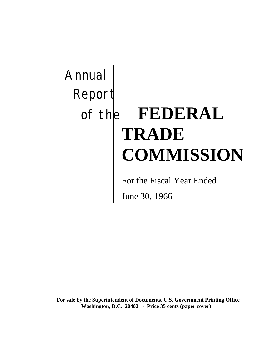# Annual Report of the **FEDERAL TRADE COMMISSION**

For the Fiscal Year Ended

June 30, 1966

**For sale by the Superintendent of Documents, U.S. Government Printing Office Washington, D.C. 20402 - Price 35 cents (paper cover)**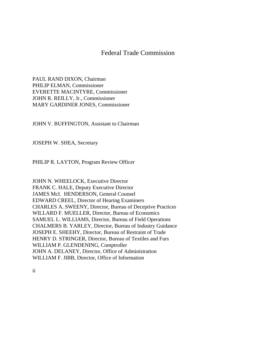# Federal Trade Commission

PAUL RAND DIXON, Chairman PHILIP ELMAN, Commissioner EVERETTE MACINTYRE, Commissioner JOHN R. REILLY, Jr., Commissioner MARY GARDINER JONES, Commissioner

JOHN V. BUFFINGTON, Assistant to Chairman

JOSEPH W. SHEA, Secretary

PHILIP R. LAYTON, Program Review Officer

JOHN N. WHEELOCK, Executive Director FRANK C. HALE, Deputy Executive Director JAMES McI. HENDERSON, General Counsel EDWARD CREEL, Director of Hearing Examiners CHARLES A. SWEENY, Director, Bureau of Deceptive Practices WILLARD F. MUELLER, Director, Bureau of Economics SAMUEL L. WILLIAMS, Director, Bureau of Field Operations CHALMERS B. YARLEY, Director, Bureau of Industry Guidance JOSEPH E. SHEEHY, Director, Bureau of Restraint of Trade HENRY D. STRINGER, Director, Bureau of Textiles and Furs WILLIAM P. GLENDENING, Comptroller JOHN A. DELANEY, Director, Office of Administration WILLIAM F. JIBB, Director, Office of Information

ii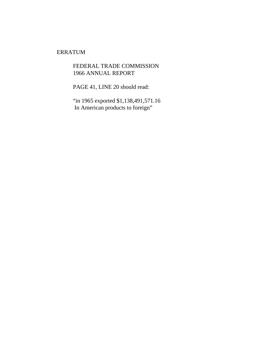## ERRATUM

FEDERAL TRADE COMMISSION 1966 ANNUAL REPORT

PAGE 41, LINE 20 should read:

"in 1965 exported \$1,138,491,571.16 In American products to foreign"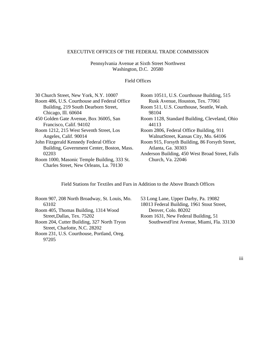#### EXECUTIVE OFFICES OF THE FEDERAL TRADE COMMISSION

Pennsylvania Avenue at Sixth Street Northwest Washington, D.C. 20580

Field Offices

| 30 Church Street, New York, N.Y. 10007       | Room 10511, U.S. Courthouse Building, 515       |
|----------------------------------------------|-------------------------------------------------|
| Room 486, U.S. Courthouse and Federal Office | Rusk Avenue, Houston, Tex. 77061                |
| Building, 219 South Dearborn Street,         | Room 511, U.S. Courthouse, Seattle, Wash.       |
| Chicago, Ill. 60604                          | 98104                                           |
| 450 Golden Gate Avenue, Box 36005, San       | Room 1128, Standard Building, Cleveland, Ohio   |
| Francisco, Calif. 94102                      | 44113                                           |
| Room 1212, 215 West Seventh Street, Los      | Room 2806, Federal Office Building, 911         |
| Angeles, Calif. 90014                        | WalnutStreet, Kansas City, Mo. 64106            |
| John Fitzgerald Kennedy Federal Office       | Room 915, Forsyth Building, 86 Forsyth Street,  |
| Building, Government Center, Boston, Mass.   | Atlanta, Ga. 30303                              |
| 02203                                        | Anderson Building, 450 West Broad Street, Falls |
| Room 1000, Masonic Temple Building, 333 St.  | Church, Va. 22046                               |
| Charles Street, New Orleans, La. 70130       |                                                 |

Field Stations for Textiles and Furs in Addition to the Above Branch Offices

| Room 907, 208 North Broadway, St. Louis, Mo. |
|----------------------------------------------|
| 63102                                        |
| Room 405, Thomas Building, 1314 Wood         |
| Street, Dallas, Tex. 75202                   |
| Room 204, Cutter Building, 327 North Tryon   |
| Street, Charlotte, N.C. 28202                |
| Room 231, U.S. Courthouse, Portland, Oreg.   |
| 97205                                        |

53 Long Lane, Upper Darby, Pa. 19082 18013 Federal Building, 1961 Stout Street, Denver, Colo. 80202 Room 1631, New Federal Building, 51 SouthwestFirst Avenue, Miami, Fla. 33130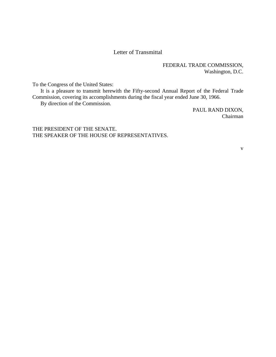## Letter of Transmittal

FEDERAL TRADE COMMISSION, Washington, D.C.

To the Congress of the United States:

It is a pleasure to transmit herewith the Fifty-second Annual Report of the Federal Trade Commission, covering its accomplishments during the fiscal year ended June 30, 1966.

By direction of the Commission.

PAUL RAND DIXON, Chairman

THE PRESIDENT OF THE SENATE. THE SPEAKER OF THE HOUSE OF REPRESENTATIVES.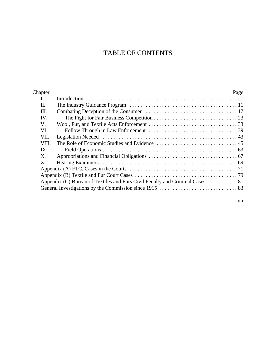# TABLE OF CONTENTS

| Chapter        |                                                                               | Page |
|----------------|-------------------------------------------------------------------------------|------|
| L.             |                                                                               |      |
| Π.             |                                                                               |      |
| III.           |                                                                               |      |
| IV.            |                                                                               |      |
| V.             |                                                                               |      |
| VI.            |                                                                               |      |
| VII.           |                                                                               |      |
| VIII.          |                                                                               |      |
| IX.            |                                                                               |      |
| X.             |                                                                               |      |
| $\mathbf{X}$ . |                                                                               |      |
|                |                                                                               |      |
|                |                                                                               |      |
|                | Appendix (C) Bureau of Textiles and Furs Civil Penalty and Criminal Cases  81 |      |
|                |                                                                               |      |
|                |                                                                               |      |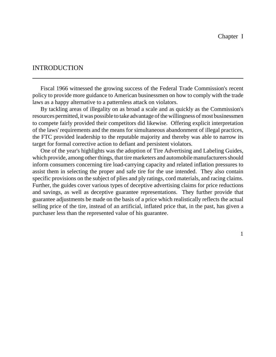## INTRODUCTION

Fiscal 1966 witnessed the growing success of the Federal Trade Commission's recent policy to provide more guidance to American businessmen on how to comply with the trade laws as a happy alternative to a patternless attack on violators.

By tackling areas of illegality on as broad a scale and as quickly as the Commission's resources permitted, it was possible to take advantage of the willingness of most businessmen to compete fairly provided their competitors did likewise. Offering explicit interpretation of the laws' requirements and the means for simultaneous abandonment of illegal practices, the FTC provided leadership to the reputable majority and thereby was able to narrow its target for formal corrective action to defiant and persistent violators.

One of the year's highlights was the adoption of Tire Advertising and Labeling Guides, which provide, among other things, that tire marketers and automobile manufacturers should inform consumers concerning tire load-carrying capacity and related inflation pressures to assist them in selecting the proper and safe tire for the use intended. They also contain specific provisions on the subject of plies and ply ratings, cord materials, and racing claims. Further, the guides cover various types of deceptive advertising claims for price reductions and savings, as well as deceptive guarantee representations. They further provide that guarantee adjustments be made on the basis of a price which realistically reflects the actual selling price of the tire, instead of an artificial, inflated price that, in the past, has given a purchaser less than the represented value of his guarantee.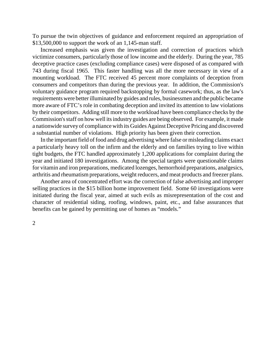To pursue the twin objectives of guidance and enforcement required an appropriation of \$13,500,000 to support the work of an 1,145-man staff.

Increased emphasis was given the investigation and correction of practices which victimize consumers, particularly those of low income and the elderly. During the year, 785 deceptive practice cases (excluding compliance cases) were disposed of as compared with 743 during fiscal 1965. This faster handling was all the more necessary in view of a mounting workload. The FTC received 45 percent more complaints of deception from consumers and competitors than during the previous year. In addition, the Commission's voluntary guidance program required backstopping by formal casework; thus, as the law's requirements were better illuminated by guides and rules, businessmen and the public became more aware of FTC's role in combating deception and invited its attention to law violations by their competitors. Adding still more to the workload have been compliance checks by the Commission's staff on how well its industry guides are being observed. For example, it made a nationwide surveyof compliance with its Guides Against Deceptive Pricing and discovered a substantial number of violations. High priority has been given their correction.

In the important field of food and drug advertising where false or misleading claims exact a particularly heavy toll on the infirm and the elderly and on families trying to live within tight budgets, the FTC handled approximately 1,200 applications for complaint during the year and initiated 180 investigations. Among the special targets were questionable claims for vitamin and iron preparations, medicated lozenges, hemorrhoid preparations, analgesics, arthritis and rheumatism preparations, weight reducers, and meat products and freezer plans.

Another area of concentrated effort was the correction of false advertising and improper selling practices in the \$15 billion home improvement field. Some 60 investigations were initiated during the fiscal year, aimed at such evils as misrepresentation of the cost and character of residential siding, roofing, windows, paint, etc., and false assurances that benefits can be gained by permitting use of homes as "models."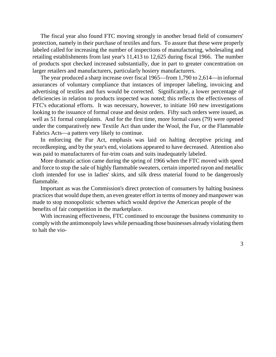The fiscal year also found FTC moving strongly in another broad field of consumers' protection, namely in their purchase of textiles and furs. To assure that these were properly labeled called for increasing the number of inspections of manufacturing, wholesaling and retailing establishments from last year's 11,413 to 12,625 during fiscal 1966. The number of products spot checked increased substantially, due in part to greater concentration on larger retailers and manufacturers, particularly hosiery manufacturers.

The year produced a sharp increase over fiscal 1965—from 1,790 to 2,614—in informal assurances of voluntary compliance that instances of improper labeling, invoicing and advertising of textiles and furs would be corrected. Significantly, a lower percentage of deficiencies in relation to products inspected was noted; this reflects the effectiveness of FTC's educational efforts. It was necessary, however, to initiate 160 new investigations looking to the issuance of formal cease and desist orders. Fifty such orders were issued, as well as 51 formal complaints. And for the first time, more formal cases (79) were opened under the comparatively new Textile Act than under the Wool, the Fur, or the Flammable Fabrics Acts—a pattern very likely to continue.

In enforcing the Fur Act, emphasis was laid on halting deceptive pricing and recordkeeping, and by the year's end, violations appeared to have decreased. Attention also was paid to manufacturers of fur-trim coats and suits inadequately labeled.

More dramatic action came during the spring of 1966 when the FTC moved with speed and force to stop the sale of highly flammable sweaters, certain imported rayon and metallic cloth intended for use in ladies' skirts, and silk dress material found to be dangerously flammable.

Important as was the Commission's direct protection of consumers by halting business practices that would dupe them, an even greater effort in terms of money and manpower was made to stop monopolistic schemes which would deprive the American people of the benefits of fair competition in the marketplace.

With increasing effectiveness, FTC continued to encourage the business community to comply with the antimonopoly laws while persuading those businesses already violating them to halt the vio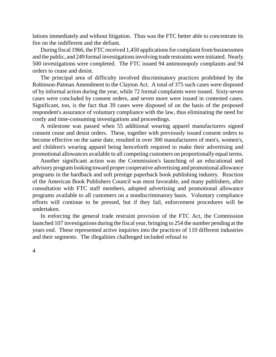lations immediately and without litigation. Thus was the FTC better able to concentrate its fire on the indifferent and the defiant.

During fiscal 1966, the FTC received 1,450 applications for complaint from businessmen and the public, and 249 formal investigationsinvolving trade restraints were initiated. Nearly 500 investigations were completed. The FTC issued 94 antimonopoly complaints and 94 orders to cease and desist.

The principal area of difficulty involved discriminatory practices prohibited by the Robinson-Patman Amendment to the Clayton Act. A total of 375 such cases were disposed of by informal action during the year, while 72 formal complaints were issued. Sixty-seven cases were concluded by consent orders, and seven more were issued in contested cases. Significant, too, is the fact that 39 cases were disposed of on the basis of the proposed respondent's assurance of voluntary compliance with the law, thus eliminating the need for costly and time-consuming investigations and proceedings.

A milestone was passed when 55 additional wearing apparel manufacturers signed consent cease and desist orders. These, together with previously issued consent orders to become effective on the same date, resulted in over 300 manufacturers of men's, women's, and children's wearing apparel being henceforth required to make their advertising and promotional allowances available to all competing customers on proportionally equal terms.

Another significant action was the Commission's launching of an educational and advisoryprogramlooking toward proper cooperative advertising and promotional allowance programs in the hardback and soft prestige paperback book publishing industry. Reaction of the American Book Publishers Council was most favorable, and many publishers, after consultation with FTC staff members, adopted advertising and promotional allowance programs available to all customers on a nondiscriminatory basis. Voluntary compliance efforts will continue to be pressed, but if they fail, enforcement procedures will be undertaken.

In enforcing the general trade restraint provision of the FTC Act, the Commission launched 107 investigations during the fiscal year, bringing to 254 the number pending at the years end. These represented active inquiries into the practices of 110 different industries and their segments. The illegalities challenged included refusal to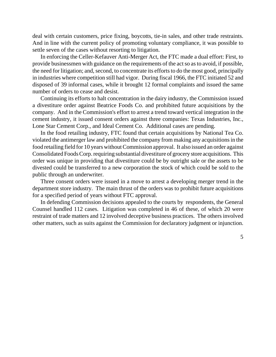deal with certain customers, price fixing, boycotts, tie-in sales, and other trade restraints. And in line with the current policy of promoting voluntary compliance, it was possible to settle seven of the cases without resorting to litigation.

In enforcing the Celler-Kefauver Anti-Merger Act, the FTC made a dual effort: First, to provide businessmen with guidance on the requirements of the act so as to avoid, if possible, the need for litigation; and, second, to concentrate its efforts to do the most good, principally in industries where competition still had vigor. During fiscal 1966, the FTC initiated 52 and disposed of 39 informal cases, while it brought 12 formal complaints and issued the same number of orders to cease and desist.

Continuing its efforts to halt concentration in the dairy industry, the Commission issued a divestiture order against Beatrice Foods Co. and prohibited future acquisitions by the company. And in the Commission's effort to arrest a trend toward vertical integration in the cement industry, it issued consent orders against three companies: Texas Industries, Inc., Lone Star Cement Corp., and Ideal Cement Co. Additional cases are pending.

In the food retailing industry, FTC found that certain acquisitions by National Tea Co. violated the antimerger law and prohibited the company from making any acquisitionsin the food retailing field for 10 years withoutCommission approval. It also issued an order against Consolidated Foods Corp. requiring substantial divestiture of grocery store acquisitions. This order was unique in providing that divestiture could be by outright sale or the assets to be divested could be transferred to a new corporation the stock of which could be sold to the public through an underwriter.

Three consent orders were issued in a move to arrest a developing merger trend in the department store industry. The main thrust of the orders was to prohibit future acquisitions for a specified period of years without FTC approval.

In defending Commission decisions appealed to the courts by respondents, the General Counsel handled 112 cases. Litigation was completed in 46 of these, of which 20 were restraint of trade matters and 12 involved deceptive business practices. The others involved other matters, such as suits against the Commission for declaratory judgment or injunction.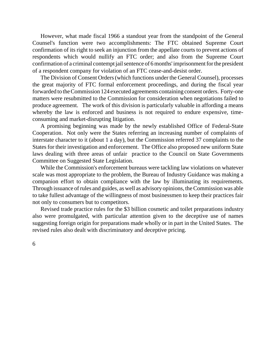However, what made fiscal 1966 a standout year from the standpoint of the General Counsel's function were two accomplishments: The FTC obtained Supreme Court confirmation of its right to seek an injunction from the appellate courts to prevent actions of respondents which would nullify an FTC order; and also from the Supreme Court confirmation of a criminal contempt jail sentence of 6 months' imprisonment for the president of a respondent company for violation of an FTC cease-and-desist order.

The Division of Consent Orders(which functions under the General Counsel), processes the great majority of FTC formal enforcement proceedings, and during the fiscal year forwarded to the Commission 124 executed agreements containing consent orders. Forty-one matters were resubmitted to the Commission for consideration when negotiations failed to produce agreement. The work of this division is particularly valuable in affording a means whereby the law is enforced and business is not required to endure expensive, timeconsuming and market-disrupting litigation.

A promising beginning was made by the newly established Office of Federal-State Cooperation. Not only were the States referring an increasing number of complaints of interstate character to it (about 1 a day), but the Commission referred 37 complaints to the States for their investigation and enforcement. The Office also proposed new uniform State laws dealing with three areas of unfair practice to the Council on State Governments Committee on Suggested State Legislation.

While the Commission's enforcement bureaus were tackling law violations on whatever scale was most appropriate to the problem, the Bureau of Industry Guidance was making a companion effort to obtain compliance with the law by illuminating its requirements. Through issuance of rules and guides, as well as advisory opinions, theCommission was able to take fullest advantage of the willingness of most businessmen to keep their practices fair not only to consumers but to competitors.

Revised trade practice rules for the \$3 billion cosmetic and toilet preparations industry also were promulgated, with particular attention given to the deceptive use of names suggesting foreign origin for preparations made wholly or in part in the United States. The revised rules also dealt with discriminatory and deceptive pricing.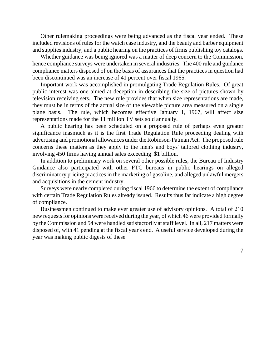Other rulemaking proceedings were being advanced as the fiscal year ended. These included revisions of rules for the watch case industry, and the beauty and barber equipment and supplies industry, and a public hearing on the practices of firms publishing toy catalogs.

Whether guidance was being ignored was a matter of deep concern to the Commission, hence compliance surveys were undertaken in several industries. The 400 rule and guidance compliance matters disposed of on the basis of assurances that the practices in question had been discontinued was an increase of 41 percent over fiscal 1965.

Important work was accomplished in promulgating Trade Regulation Rules. Of great public interest was one aimed at deception in describing the size of pictures shown by television receiving sets. The new rule provides that when size representations are made, they must be in terms of the actual size of the viewable picture area measured on a single plane basis. The rule, which becomes effective January 1, 1967, will affect size representations made for the 11 million TV sets sold annually.

A public hearing has been scheduled on a proposed rule of perhaps even greater significance inasmuch as it is the first Trade Regulation Rule proceeding dealing with advertising and promotional allowances under the Robinson-Patman Act. The proposed rule concerns these matters as they apply to the men's and boys' tailored clothing industry, involving 450 firms having annual sales exceeding \$1 billion.

In addition to preliminary work on several other possible rules, the Bureau of Industry Guidance also participated with other FTC bureaus in public hearings on alleged discriminatory pricing practices in the marketing of gasoline, and alleged unlawful mergers and acquisitions in the cement industry.

Surveys were nearly completed during fiscal 1966 to determine the extent of compliance with certain Trade Regulation Rules already issued. Results thus far indicate a high degree of compliance.

Businessmen continued to make ever greater use of advisory opinions. A total of 210 new requests for opinions were received during the year, of which 46 were provided formally by the Commission and 54 were handled satisfactorily at staff level. In all, 217 matters were disposed of, with 41 pending at the fiscal year's end. A useful service developed during the year was making public digests of these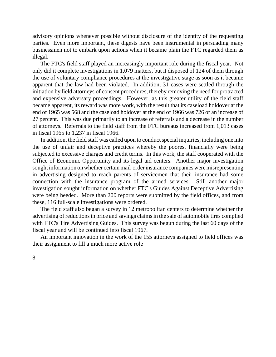advisory opinions whenever possible without disclosure of the identity of the requesting parties. Even more important, these digests have been instrumental in persuading many businessmen not to embark upon actions when it became plain the FTC regarded them as illegal.

The FTC's field staff played an increasingly important role during the fiscal year. Not only did it complete investigations in 1,079 matters, but it disposed of 124 of them through the use of voluntary compliance procedures at the investigative stage as soon as it became apparent that the law had been violated. In addition, 31 cases were settled through the initiation by field attorneys of consent procedures, thereby removing the need for protracted and expensive adversary proceedings. However, as this greater utility of the field staff became apparent, its reward was more work, with the result that its caseload holdover at the end of 1965 was 568 and the caseload holdover at the end of 1966 was 726 or an increase of 27 percent. This was due primarily to an increase of referrals and a decrease in the number of attorneys. Referrals to the field staff from the FTC bureaus increased from 1,013 cases in fiscal 1965 to 1,237 in fiscal 1966.

In addition, the field staff was called upon to conduct special inquiries, including one into the use of unfair and deceptive practices whereby the poorest financially were being subjected to excessive charges and credit terms. In this work, the staff cooperated with the Office of Economic Opportunity and its legal aid centers. Another major investigation sought information on whether certain mail order insurance companies were misrepresenting in advertising designed to reach parents of servicemen that their insurance had some connection with the insurance program of the armed services. Still another major investigation sought information on whether FTC's Guides Against Deceptive Advertising were being heeded. More than 200 reports were submitted by the field offices, and from these, 116 full-scale investigations were ordered.

The field staff also began a survey in 12 metropolitan centers to determine whether the advertising of reductions in price and savings claims in the sale of automobile tires complied with FTC's Tire Advertising Guides. This survey was begun during the last 60 days of the fiscal year and will be continued into fiscal 1967.

An important innovation in the work of the 155 attorneys assigned to field offices was their assignment to fill a much more active role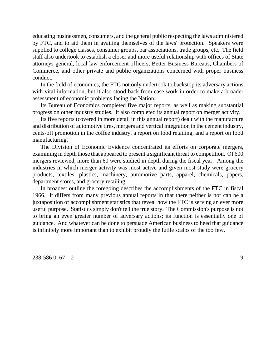educating businessmen, consumers, and the general public respecting the laws administered by FTC, and to aid them in availing themselves of the laws' protection. Speakers were supplied to college classes, consumer groups, bar associations, trade groups, etc. The field staff also undertook to establish a closer and more useful relationship with offices of State attorneys general, local law enforcement officers, Better Business Bureaus, Chambers of Commerce, and other private and public organizations concerned with proper business conduct.

In the field of economics, the FTC not only undertook to backstop its adversary actions with vital information, but it also stood back from case work in order to make a broader assessment of economic problems facing the Nation.

Its Bureau of Economics completed five major reports, as well as making substantial progress on other industry studies. It also completed its annual report on merger activity.

Its five reports (covered in more detail in this annual report) dealt with the manufacture and distribution of automotive tires, mergers and vertical integration in the cement industry, cents-off promotion in the coffee industry, a report on food retailing, and a report on food manufacturing.

The Division of Economic Evidence concentrated its efforts on corporate mergers, examining in depth those that appeared to present a significant threat to competition. Of 600 mergers reviewed, more than 60 were studied in depth during the fiscal year. Among the industries in which merger activity was most active and given most study were grocery products, textiles, plastics, machinery, automotive parts, apparel, chemicals, papers, department stores, and grocery retailing.

In broadest outline the foregoing describes the accomplishments of the FTC in fiscal 1966. It differs from many previous annual reports in that there neither is nor can be a juxtaposition of accomplishment statistics that reveal how the FTC is serving an ever more useful purpose. Statistics simply don't tell the true story. The Commission's purpose is not to bring an even greater number of adversary actions; its function is essentially one of guidance. And whatever can be done to persuade American business to heed that guidance is infinitely more important than to exhibit proudly the futile scalps of the too few.

238-586 0–67—2 9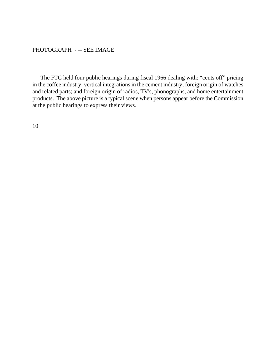## PHOTOGRAPH - -- SEE IMAGE

The FTC held four public hearings during fiscal 1966 dealing with: "cents off" pricing in the coffee industry; vertical integrations in the cement industry; foreign origin of watches and related parts; and foreign origin of radios, TV's, phonographs, and home entertainment products. The above picture is a typical scene when persons appear before the Commission at the public hearings to express their views.

10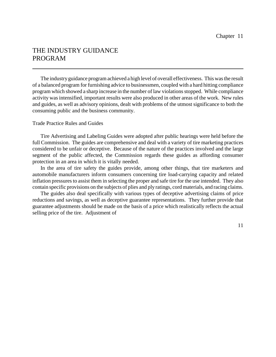# THE INDUSTRY GUIDANCE PROGRAM

The industryguidance program achieved a high level of overall effectiveness. This was the result of a balanced program for furnishing advice to businessmen, coupled with a hard hitting compliance program which showed a sharp increase in the number of law violations stopped. While compliance activity was intensified, important results were also produced in other areas of the work. New rules and guides, as well as advisory opinions, dealt with problems of the utmost significance to both the consuming public and the business community.

#### Trade Practice Rules and Guides

Tire Advertising and Labeling Guides were adopted after public hearings were held before the full Commission. The guides are comprehensive and deal with a variety of tire marketing practices considered to be unfair or deceptive. Because of the nature of the practices involved and the large segment of the public affected, the Commission regards these guides as affording consumer protection in an area in which it is vitally needed.

In the area of tire safety the guides provide, among other things, that tire marketers and automobile manufacturers inform consumers concerning tire load-carrying capacity and related inflation pressures to assist them in selecting the proper and safe tire for the use intended. They also contain specific provisions on the subjects of plies and ply ratings, cord materials, and racing claims.

The guides also deal specifically with various types of deceptive advertising claims of price reductions and savings, as well as deceptive guarantee representations. They further provide that guarantee adjustments should be made on the basis of a price which realistically reflects the actual selling price of the tire. Adjustment of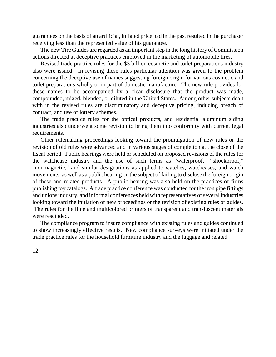guarantees on the basis of an artificial, inflated price had in the past resulted in the purchaser receiving less than the represented value of his guarantee.

The new Tire Guides are regarded as an important step in the long history of Commission actions directed at deceptive practices employed in the marketing of automobile tires.

Revised trade practice rules for the \$3 billion cosmetic and toilet preparations industry also were issued. In revising these rules particular attention was given to the problem concerning the deceptive use of names suggesting foreign origin for various cosmetic and toilet preparations wholly or in part of domestic manufacture. The new rule provides for these names to be accompanied by a clear disclosure that the product was made, compounded, mixed, blended, or diluted in the United States. Among other subjects dealt with in the revised rules are discriminatory and deceptive pricing, inducing breach of contract, and use of lottery schemes.

The trade practice rules for the optical products, and residential aluminum siding industries also underwent some revision to bring them into conformity with current legal requirements.

Other rulemaking proceedings looking toward the promulgation of new rules or the revision of old rules were advanced and in various stages of completion at the close of the fiscal period. Public hearings were held or scheduled on proposed revisions of the rules for the watchcase industry and the use of such terms as "waterproof," "shockproof," "nonmagnetic," and similar designations as applied to watches, watchcases, and watch movements, as well as a public hearing on the subject of failing to disclose the foreign origin of these and related products. A public hearing was also held on the practices of firms publishing toy catalogs. A trade practice conference was conducted for the iron pipe fittings and unions industry, and informal conferences held with representatives of several industries looking toward the initiation of new proceedings or the revision of existing rules or guides. The rules for the lime and multicolored printers of transparent and transluscent materials

were rescinded.

The compliance program to insure compliance with existing rules and guides continued to show increasingly effective results. New compliance surveys were initiated under the trade practice rules for the household furniture industry and the luggage and related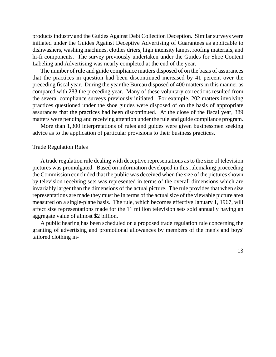products industry and the Guides Against Debt Collection Deception. Similar surveys were initiated under the Guides Against Deceptive Advertising of Guarantees as applicable to dishwashers, washing machines, clothes driers, high intensity lamps, roofing materials, and hi-fi components. The survey previously undertaken under the Guides for Shoe Content Labeling and Advertising was nearly completed at the end of the year.

The number of rule and guide compliance matters disposed of on the basis of assurances that the practices in question had been discontinued increased by 41 percent over the preceding fiscal year. During the year the Bureau disposed of 400 matters in this manner as compared with 283 the preceding year. Many of these voluntary corrections resulted from the several compliance surveys previously initiated. For example, 202 matters involving practices questioned under the shoe guides were disposed of on the basis of appropriate assurances that the practices had been discontinued. At the close of the fiscal year, 389 matters were pending and receiving attention under the rule and guide compliance program.

More than 1,300 interpretations of rules and guides were given businessmen seeking advice as to the application of particular provisions to their business practices.

#### Trade Regulation Rules

A trade regulation rule dealing with deceptive representations as to the size of television pictures was promulgated. Based on information developed in this rulemaking proceeding the Commission concluded that the public was deceived when the size of the pictures shown by television receiving sets was represented in terms of the overall dimensions which are invariably larger than the dimensions of the actual picture. The rule provides that when size representations are made they must be in terms of the actualsize of the viewable picture area measured on a single-plane basis. The rule, which becomes effective January 1, 1967, will affect size representations made for the 11 million television sets sold annually having an aggregate value of almost \$2 billion.

A public hearing has been scheduled on a proposed trade regulation rule concerning the granting of advertising and promotional allowances by members of the men's and boys' tailored clothing in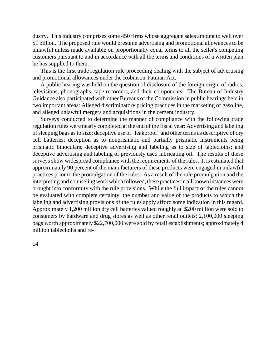dustry. This industry comprises some 450 firms whose aggregate sales amount to well over \$1 billion. The proposed rule would presume advertising and promotional allowances to be unlawful unless made available on proportionally equal terms to all the seller's competing customers pursuant to and in accordance with all the terms and conditions of a written plan he has supplied to them.

This is the first trade regulation rule proceeding dealing with the subject of advertising and promotional allowances under the Robinson-Patman Act.

A public hearing was held on the question of disclosure of the foreign origin of radios, televisions, phonographs, tape recorders, and their components. The Bureau of Industry Guidance also participated with other Bureaus of the Commission in public hearings held in two important areas: Alleged discriminatory pricing practices in the marketing of gasoline, and alleged unlawful mergers and acquisitions in the cement industry.

Surveys conducted to determine the manner of compliance with the following trade regulation rules were nearly completed at the end of the fiscal year: Advertising and labeling of sleeping bags asto size; deceptive use of "leakproof" and other terms as descriptive of dry cell batteries; deception as to nonprismatic and partially prismatic instruments being prismatic binoculars; deceptive advertising and labeling as to size of tablecloths; and deceptive advertising and labeling of previously used lubricating oil. The results of these surveys show widespread compliance with the requirements of the rules. It is estimated that approximately 90 percent of the manufacturers of these products were engaged in unlawful practices prior to the promulgation of the rules. As a result of the rule promulgation and the interpreting and counseling work which followed, these practices in all known instances were brought into conformity with the rule provisions. While the full impact of the rules cannot be evaluated with complete certainty, the number and value of the products to which the labeling and advertising provisions of the rules apply afford some indication in this regard. Approximately 1,200 million dry cell batteries valued roughly at \$200 million were sold to consumers by hardware and drug stores as well as other retail outlets; 2,100,000 sleeping bags worth approximately \$22,700,000 were sold by retail establishments; approximately 4 million tablecloths and re-

14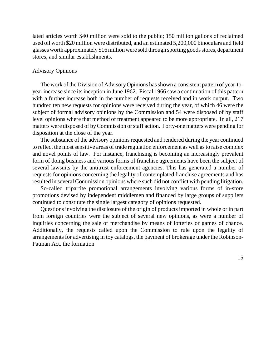lated articles worth \$40 million were sold to the public; 150 million gallons of reclaimed used oil worth \$20 million were distributed, and an estimated 5,200,000 binoculars and field glasses worth approximately \$16 million were sold through sporting goods stores, department stores, and similar establishments.

#### Advisory Opinions

The work of the Division of AdvisoryOpinions hasshown a consistent pattern of year-toyear increase since its inception in June 1962. Fiscal 1966 saw a continuation of this pattern with a further increase both in the number of requests received and in work output. Two hundred ten new requests for opinions were received during the year, of which 46 were the subject of formal advisory opinions by the Commission and 54 were disposed of by staff level opinions where that method of treatment appeared to be more appropriate. In all, 217 matters were disposed of byCommission orstaff action. Forty-one matters were pending for disposition at the close of the year.

The substance of the advisory opinions requested and rendered during the year continued to reflect the most sensitive areas of trade regulation enforcement as well as to raise complex and novel points of law. For instance, franchising is becoming an increasingly prevalent form of doing business and various forms of franchise agreements have been the subject of several lawsuits by the antitrust enforcement agencies. This has generated a number of requests for opinions concerning the legality of contemplated franchise agreements and has resulted in several Commission opinions where such did not conflict with pending litigation.

So-called tripartite promotional arrangements involving various forms of in-store promotions devised by independent middlemen and financed by large groups of suppliers continued to constitute the single largest category of opinions requested.

Questions involving the disclosure of the origin of products imported in whole or in part from foreign countries were the subject of several new opinions, as were a number of inquiries concerning the sale of merchandise by means of lotteries or games of chance. Additionally, the requests called upon the Commission to rule upon the legality of arrangements for advertising in toy catalogs, the payment of brokerage under the Robinson-Patman Act, the formation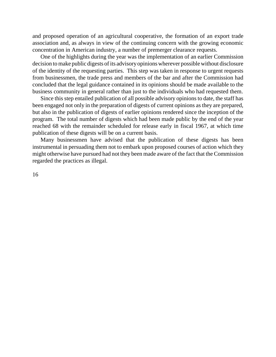and proposed operation of an agricultural cooperative, the formation of an export trade association and, as always in view of the continuing concern with the growing economic concentration in American industry, a number of premerger clearance requests.

One of the highlights during the year was the implementation of an earlier Commission decision to make public digests of its advisory opinions wherever possible without disclosure of the identity of the requesting parties. This step was taken in response to urgent requests from businessmen, the trade press and members of the bar and after the Commission had concluded that the legal guidance contained in its opinions should be made available to the business community in general rather than just to the individuals who had requested them.

Since this step entailed publication of all possible advisory opinionsto date, the staff has been engaged not only in the preparation of digests of current opinions as they are prepared, but also in the publication of digests of earlier opinions rendered since the inception of the program. The total number of digests which had been made public by the end of the year reached 68 with the remainder scheduled for release early in fiscal 1967, at which time publication of these digests will be on a current basis.

Many businessmen have advised that the publication of these digests has been instrumental in persuading them not to embark upon proposed courses of action which they might otherwise have pursued had not they been made aware of the fact that the Commission regarded the practices as illegal.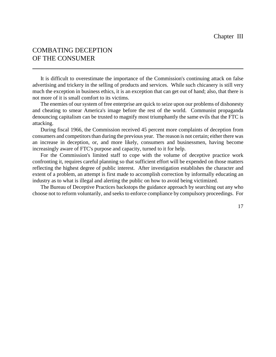# COMBATING DECEPTION OF THE CONSUMER

It is difficult to overestimate the importance of the Commission's continuing attack on false advertising and trickery in the selling of products and services. While such chicanery is still very much the exception in business ethics, it is an exception that can get out of hand; also, that there is not more of it is small comfort to its victims.

The enemies of our system of free enterprise are quick to seize upon our problems of dishonesty and cheating to smear America's image before the rest of the world. Communist propaganda denouncing capitalism can be trusted to magnify most triumphantly the same evils that the FTC is attacking.

During fiscal 1966, the Commission received 45 percent more complaints of deception from consumers and competitors than during the previous year. The reason is not certain; either there was an increase in deception, or, and more likely, consumers and businessmen, having become increasingly aware of FTC's purpose and capacity, turned to it for help.

For the Commission's limited staff to cope with the volume of deceptive practice work confronting it, requires careful planning so that sufficient effort will be expended on those matters reflecting the highest degree of public interest. After investigation establishes the character and extent of a problem, an attempt is first made to accomplish correction by informally educating an industry as to what is illegal and alerting the public on how to avoid being victimized.

The Bureau of Deceptive Practices backstops the guidance approach by searching out any who choose not to reform voluntarily, and seeks to enforce compliance by compulsory proceedings. For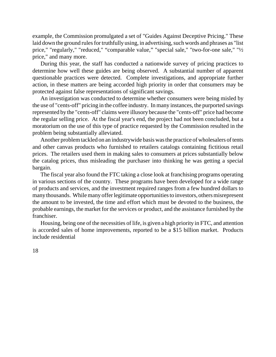example, the Commission promulgated a set of "Guides Against Deceptive Pricing." These laid down the ground rules for truthfully using, in advertising, such words and phrases as "list" price," "regularly," "reduced," "comparable value," "special sale," "two-for-one sale," "½ price," and many more.

During this year, the staff has conducted a nationwide survey of pricing practices to determine how well these guides are being observed. A substantial number of apparent questionable practices were detected. Complete investigations, and appropriate further action, in these matters are being accorded high priority in order that consumers may be protected against false representations of significant savings.

An investigation was conducted to determine whether consumers were being misled by the use of "cents-off" pricing in the coffee industry. In many instances, the purported savings represented by the "cents-off" claims were illusory because the "cents-off" price had become the regular selling price. At the fiscal year's end, the project had not been concluded, but a moratorium on the use of this type of practice requested by the Commission resulted in the problem being substantially alleviated.

Another problemtackled on an industrywide basis was the practice of wholesalers of tents and other canvas products who furnished to retailers catalogs containing fictitious retail prices. The retailers used them in making sales to consumers at prices substantially below the catalog prices, thus misleading the purchaser into thinking he was getting a special bargain.

The fiscal year also found the FTC taking a close look at franchising programs operating in various sections of the country. These programs have been developed for a wide range of products and services, and the investment required ranges from a few hundred dollars to manythousands. While many offer legitimate opportunities to investors, others misrepresent the amount to be invested, the time and effort which must be devoted to the business, the probable earnings, the market for the services or product, and the assistance furnished by the franchiser.

Housing, being one of the necessities of life, is given a high priority in FTC, and attention is accorded sales of home improvements, reported to be a \$15 billion market. Products include residential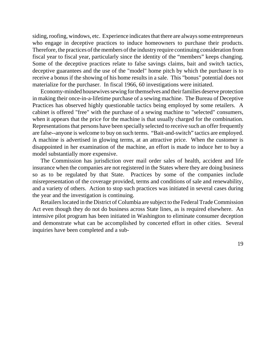siding, roofing, windows, etc. Experience indicates that there are always some entrepreneurs who engage in deceptive practices to induce homeowners to purchase their products. Therefore, the practices of the members of the industry require continuing consideration from fiscal year to fiscal year, particularly since the identity of the "members" keeps changing. Some of the deceptive practices relate to false savings claims, bait and switch tactics, deceptive guarantees and the use of the "model" home pitch by which the purchaser is to receive a bonus if the showing of his home results in a sale. This "bonus" potential does not materialize for the purchaser. In fiscal 1966, 60 investigations were initiated.

Economy-minded housewives sewing for themselves and their families deserve protection in making their once-in-a-lifetime purchase of a sewing machine. The Bureau of Deceptive Practices has observed highly questionable tactics being employed by some retailers. A cabinet is offered "free" with the purchase of a sewing machine to "selected" consumers, when it appears that the price for the machine is that usually charged for the combination. Representations that persons have been specially selected to receive such an offer frequently are false--anyone is welcome to buy on such terms. "Bait-and-switch" tactics are employed. A machine is advertised in glowing terms, at an attractive price. When the customer is disappointed in her examination of the machine, an effort is made to induce her to buy a model substantially more expensive.

The Commission has jurisdiction over mail order sales of health, accident and life insurance when the companies are not registered in the States where they are doing business so as to be regulated by that State. Practices by some of the companies include misrepresentation of the coverage provided, terms and conditions of sale and renewability, and a variety of others. Action to stop such practices was initiated in several cases during the year and the investigation is continuing.

Retailers located in the District of Columbia are subject to the Federal Trade Commission Act even though they do not do business across State lines, as is required elsewhere. An intensive pilot program has been initiated in Washington to eliminate consumer deception and demonstrate what can be accomplished by concerted effort in other cities. Several inquiries have been completed and a sub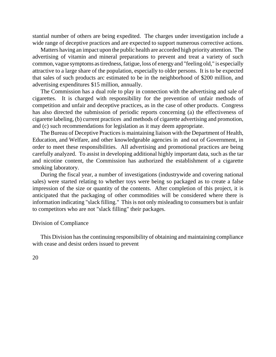stantial number of others are being expedited. The charges under investigation include a wide range of deceptive practices and are expected to support numerous corrective actions.

Matters having an impact upon the public health are accorded high priority attention. The advertising of vitamin and mineral preparations to prevent and treat a variety of such common, vague symptoms as tiredness, fatigue, loss of energy and "feeling old," is especially attractive to a large share of the population, especially to older persons. It is to be expected that sales of such products arc estimated to be in the neighborhood of \$200 million, and advertising expenditures \$15 million, annually.

The Commission has a dual role to play in connection with the advertising and sale of cigarettes. It is charged with responsibility for the prevention of unfair methods of competition and unfair and deceptive practices, as in the case of other products. Congress has also directed the submission of periodic reports concerning (a) the effectiveness of cigarette labeling, (b) current practices and methods of cigarette advertising and promotion, and (c) such recommendations for legislation as it may deem appropriate.

The Bureau of Deceptive Practices is maintaining liaison with the Department of Health, Education, and Welfare, and other knowledgeable agencies in and out of Government, in order to meet these responsibilities. All advertising and promotional practices are being carefully analyzed. To assist in developing additional highly important data, such as the tar and nicotine content, the Commission has authorized the establishment of a cigarette smoking laboratory.

During the fiscal year, a number of investigations (industrywide and covering national sales) were started relating to whether toys were being so packaged as to create a false impression of the size or quantity of the contents. After completion of this project, it is anticipated that the packaging of other commodities will be considered where there is information indicating "slack filling." This is not only misleading to consumers but is unfair to competitors who are not "slack filling" their packages.

#### Division of Compliance

This Division hasthe continuing responsibility of obtaining and maintaining compliance with cease and desist orders issued to prevent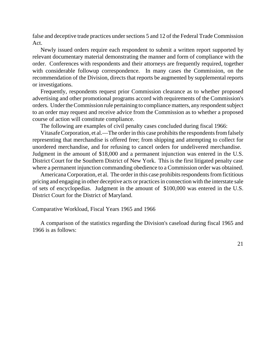false and deceptive trade practices under sections 5 and 12 of the Federal Trade Commission Act.

Newly issued orders require each respondent to submit a written report supported by relevant documentary material demonstrating the manner and form of compliance with the order. Conferences with respondents and their attorneys are frequently required, together with considerable followup correspondence. In many cases the Commission, on the recommendation of the Division, directs that reports be augmented by supplemental reports or investigations.

Frequently, respondents request prior Commission clearance as to whether proposed advertising and other promotional programs accord with requirements of the Commission's orders. Under the Commission rule pertaining to compliance matters, any respondent subject to an order may request and receive advice from the Commission as to whether a proposed course of action will constitute compliance.

The following are examples of civil penalty cases concluded during fiscal 1966:

Vitasafe Corporation, et al.—The order in this case prohibits the respondents from falsely representing that merchandise is offered free; from shipping and attempting to collect for unordered merchandise, and for refusing to cancel orders for undelivered merchandise. Judgment in the amount of \$18,000 and a permanent injunction was entered in the U.S. District Court for the Southern District of New York. This is the first litigated penalty case where a permanent injunction commanding obedience to a Commission order was obtained.

AmericanaCorporation, et al. The order in this case prohibits respondents from fictitious pricing and engaging in other deceptive acts or practices in connection with the interstate sale of sets of encyclopedias. Judgment in the amount of \$100,000 was entered in the U.S. District Court for the District of Maryland.

## Comparative Workload, Fiscal Years 1965 and 1966

A comparison of the statistics regarding the Division's caseload during fiscal 1965 and 1966 is as follows: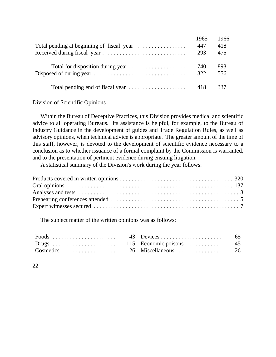| 1965 | 1966 |
|------|------|
| 447  | 418  |
| 293  | 475  |
| 740  | 893  |
| 322  | 556  |
| 418  | 337  |

## Division of Scientific Opinions

Within the Bureau of Deceptive Practices, this Division provides medical and scientific advice to all operating Bureaus. Its assistance is helpful, for example, to the Bureau of Industry Guidance in the development of guides and Trade Regulation Rules, as well as advisory opinions, when technical advice is appropriate. The greater amount of the time of this staff, however, is devoted to the development of scientific evidence necessary to a conclusion as to whether issuance of a formal complaint by the Commission is warranted, and to the presentation of pertinent evidence during ensuing litigation.

A statistical summary of the Division's work during the year follows:

The subject matter of the written opinions was as follows: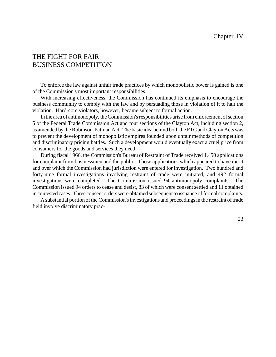# THE FIGHT FOR FAIR BUSINESS COMPETITION

To enforce the law against unfair trade practices by which monopolistic power is gained is one of the Commission's most important responsibilities.

With increasing effectiveness, the Commission has continued its emphasis to encourage the business community to comply with the law and by persuading those in violation of it to halt the violation. Hard-core violators, however, became subject to formal action.

In the area of antimonopoly, the Commission's responsibilities arise from enforcement of section 5 of the Federal Trade Commission Act and four sections of the Clayton Act, including section 2, as amended by the Robinson-Patman Act. The basic idea behind both the FTC and Clayton Acts was to prevent the development of monopolistic empires founded upon unfair methods of competition and discriminatory pricing battles. Such a development would eventually exact a cruel price from consumers for the goods and services they need.

During fiscal 1966, the Commission's Bureau of Restraint of Trade received 1,450 applications for complaint from businessmen and the public. Those applications which appeared to have merit and over which the Commission had jurisdiction were entered for investigation. Two hundred and forty-nine formal investigations involving restraint of trade were initiated, and 492 formal investigations were completed. The Commission issued 94 antimonopoly complaints. The Commission issued 94 orders to cease and desist, 83 of which were consent settled and 11 obtained in contested cases. Three consent orders were obtained subsequent to issuance of formal complaints.

A substantial portion of the Commission's investigations and proceedings in the restraint of trade field involve discriminatory prac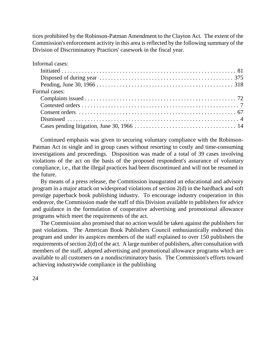tices prohibited by the Robinson-Patman Amendment to the Clayton Act. The extent of the Commission's enforcement activity in this area is reflected by the following summary of the Division of Discriminatory Practices' casework in the fiscal year.

Informal cases:

| Formal cases: |
|---------------|
|               |
|               |
|               |
|               |
|               |

Continued emphasis was given to securing voluntary compliance with the Robinson-Patman Act in single and in group cases without resorting to costly and time-consuming investigations and proceedings. Disposition was made of a total of 39 cases involving violations of the act on the basis of the proposed respondent's assurance of voluntary compliance, i.e., that the illegal practices had been discontinued and will not be resumed in the future.

By means of a press release, the Commission inaugurated an educational and advisory program in a major attack on widespread violations of section 2(d) in the hardback and soft prestige paperback book publishing industry. To encourage industry cooperation in this endeavor, the Commission made the staff of this Division available to publishers for advice and guidance in the formulation of cooperative advertising and promotional allowance programs which meet the requirements of the act.

The Commission also promised that no action would be taken against the publishers for past violations. The American Book Publishers Council enthusiastically endorsed this program and under its auspices members of the staff explained to over 150 publishers the requirements of section  $2(d)$  of the act. A large number of publishers, after consultation with members of the staff, adopted advertising and promotional allowance programs which are available to all customers on a nondiscriminatory basis. The Commission's efforts toward achieving industrywide compliance in the publishing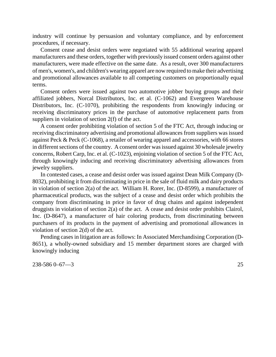industry will continue by persuasion and voluntary compliance, and by enforcement procedures, if necessary.

Consent cease and desist orders were negotiated with 55 additional wearing apparel manufacturers and these orders, together with previously issued consent orders against other manufacturers, were made effective on the same date. As a result, over 300 manufacturers of men's, women's, and children's wearing apparel are now required to make their advertising and promotional allowances available to all competing customers on proportionally equal terms.

Consent orders were issued against two automotive jobber buying groups and their affiliated jobbers, Norcal Distributors, Inc. et al. (C-1062) and Evergreen Warehouse Distributors, Inc. (C-1070), prohibiting the respondents from knowingly inducing or receiving discriminatory prices in the purchase of automotive replacement parts from suppliers in violation of section 2(f) of the act.

A consent order prohibiting violation of section 5 of the FTC Act, through inducing or receiving discriminatory advertising and promotional allowances from suppliers was issued against Peck & Peck (C-1068), a retailer of wearing apparel and accessories, with 66 stores in different sections of the country. A consent order was issued against 30 wholesale jewelry concerns, Robert Carp, Inc. et al. (C-1023), enjoining violation of section 5 of the FTC Act, through knowingly inducing and receiving discriminatory advertising allowances from jewelry suppliers.

In contested cases, a cease and desist order was issued against Dean Milk Company (D-8032), prohibiting it from discriminating in price in the sale of fluid milk and dairy products in violation of section 2(a) of the act. William H. Rorer, Inc. (D-8599), a manufacturer of pharmaceutical products, was the subject of a cease and desist order which prohibits the company from discriminating in price in favor of drug chains and against independent druggists in violation of section 2(a) of the act. A cease and desist order prohibits Clairol, Inc. (D-8647), a manufacturer of hair coloring products, from discriminating between purchasers of its products in the payment of advertising and promotional allowances in violation of section 2(d) of the act.

Pending cases in litigation are as follows: In Associated Merchandising Corporation (D-8651), a wholly-owned subsidiary and 15 member department stores are charged with knowingly inducing

238-586 0–67—3 25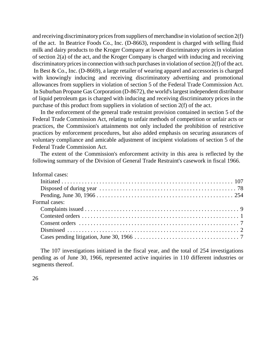and receiving discriminatory prices from suppliers of merchandise in violation of section  $2(f)$ of the act. In Beatrice Foods Co., Inc. (D-8663), respondent is charged with selling fluid milk and dairy products to the Kroger Company at lower discriminatory prices in violation of section 2(a) of the act, and the Kroger Company is charged with inducing and receiving discriminatory prices in connection with such purchases in violation of section  $2(f)$  of the act. In Best & Co., Inc. (D-8669), a large retailer of wearing apparel and accessories is charged with knowingly inducing and receiving discriminatory advertising and promotional allowances from suppliers in violation of section 5 of the Federal Trade Commission Act. In Suburban Propane Gas Corporation (D-8672), the world'slargest independent distributor of liquid petroleum gas is charged with inducing and receiving discriminatory prices in the purchase of this product from suppliers in violation of section 2(f) of the act.

In the enforcement of the general trade restraint provision contained in section 5 of the Federal Trade Commission Act, relating to unfair methods of competition or unfair acts or practices, the Commission's attainments not only included the prohibition of restrictive practices by enforcement procedures, but also added emphasis on securing assurances of voluntary compliance and amicable adjustment of incipient violations of section 5 of the Federal Trade Commission Act.

The extent of the Commission's enforcement activity in this area is reflected by the following summary of the Division of General Trade Restraint's casework in fiscal 1966.

The 107 investigations initiated in the fiscal year, and the total of 254 investigations pending as of June 30, 1966, represented active inquiries in 110 different industries or segments thereof.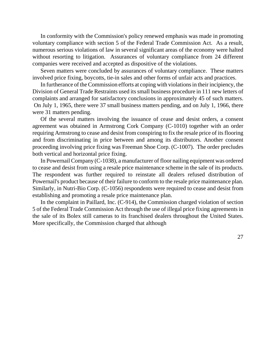In conformity with the Commission's policy renewed emphasis was made in promoting voluntary compliance with section 5 of the Federal Trade Commission Act. As a result, numerous serious violations of law in several significant areas of the economy were halted without resorting to litigation. Assurances of voluntary compliance from 24 different companies were received and accepted as dispositive of the violations.

Seven matters were concluded by assurances of voluntary compliance. These matters involved price fixing, boycotts, tie-in sales and other forms of unfair acts and practices.

In furtherance of the Commission efforts at coping with violations in their incipiency, the Division of General Trade Restraints used itssmall business procedure in 111 new letters of complaints and arranged for satisfactory conclusions in approximately 45 of such matters. On July 1, 1965, there were 37 small business matters pending, and on July 1, 1966, there were 31 matters pending.

Of the several matters involving the issuance of cease and desist orders, a consent agreement was obtained in Armstrong Cork Company (C-1010) together with an order requiring Armstrong to cease and desist from conspiring to fix the resale price of its flooring and from discriminating in price between and among its distributors. Another consent proceeding involving price fixing was Freeman Shoe Corp. (C-1007). The order precludes both vertical and horizontal price fixing.

In PowernailCompany (C-1038), a manufacturer of floor nailing equipment was ordered to cease and desist from using a resale price maintenance scheme in the sale of its products. The respondent was further required to reinstate all dealers refused distribution of Powernail's product because of their failure to conform to the resale price maintenance plan. Similarly, in Nutri-Bio Corp. (C-1056) respondents were required to cease and desist from establishing and promoting a resale price maintenance plan.

In the complaint in Paillard, Inc. (C-914), the Commission charged violation of section 5 of the Federal Trade Commission Act through the use of illegal price fixing agreements in the sale of its Bolex still cameras to its franchised dealers throughout the United States. More specifically, the Commission charged that although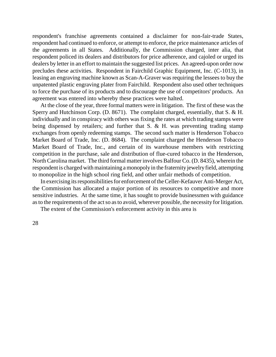respondent's franchise agreements contained a disclaimer for non-fair-trade States, respondent had continued to enforce, or attempt to enforce, the price maintenance articles of the agreements in all States. Additionally, the Commission charged, inter alia, that respondent policed its dealers and distributors for price adherence, and cajoled or urged its dealers by letter in an effort to maintain the suggested list prices. An agreed-upon order now precludes these activities. Respondent in Fairchild Graphic Equipment, Inc. (C-1013), in leasing an engraving machine known as Scan-A-Graver was requiring the lessees to buy the unpatented plastic engraving plater from Fairchild. Respondent also used other techniques to force the purchase of its products and to discourage the use of competitors' products. An agreement was entered into whereby these practices were halted.

At the close of the year, three formal matters were in litigation. The first of these was the Sperry and Hutchinson Corp. (D. 8671). The complaint charged, essentially, that S. & H. individually and in conspiracy with others was fixing the rates at which trading stamps were being dispensed by retailers; and further that S. & H. was preventing trading stamp exchanges from openly redeeming stamps. The second such matter is Henderson Tobacco Market Board of Trade, Inc. (D. 8684). The complaint charged the Henderson Tobacco Market Board of Trade, Inc., and certain of its warehouse members with restricting competition in the purchase, sale and distribution of flue-cured tobacco in the Henderson, North Carolina market. The third formal matter involves Balfour Co. (D. 8435), wherein the respondent is charged with maintaining a monopoly in the fraternity jewelry field, attempting to monopolize in the high school ring field, and other unfair methods of competition.

In exercising its responsibilities for enforcement of the Celler-Kefauver Anti-Merger Act, the Commission has allocated a major portion of its resources to competitive and more sensitive industries. At the same time, it has sought to provide businessmen with guidance as to the requirements of the act so as to avoid, wherever possible, the necessity for litigation.

The extent of the Commission's enforcement activity in this area is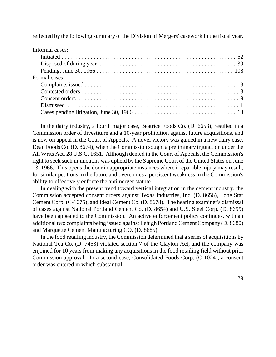reflected by the following summary of the Division of Mergers' casework in the fiscal year.

| Informal cases: |
|-----------------|
|                 |
|                 |
|                 |
| Formal cases:   |
|                 |
|                 |
|                 |
|                 |
|                 |

In the dairy industry, a fourth major case, Beatrice Foods Co. (D. 6653), resulted in a Commission order of divestiture and a 10-year prohibition against future acquisitions, and is now on appeal in the Court of Appeals. A novel victory was gained in a new dairy case, Dean Foods Co. (D. 8674), when the Commission sought a preliminary injunction under the All Writs Act, 28 U.S.C. 1651. Although denied in the Court of Appeals, the Commission's right to seek such injunctions was upheld by the Supreme Court of the United States on June 13, 1966. This opens the door in appropriate instances where irreparable injury may result, for similar petitions in the future and overcomes a persistent weakness in the Commission's ability to effectively enforce the antimerger statute.

In dealing with the present trend toward vertical integration in the cement industry, the Commission accepted consent orders against Texas Industries, Inc. (D. 8656), Lone Star Cement Corp. (C-1075), and Ideal Cement Co. (D. 8678). The hearing examiner's dismissal of cases against National Portland Cement Co. (D. 8654) and U.S. Steel Corp. (D. 8655) have been appealed to the Commission. An active enforcement policy continues, with an additional two complaints being issued against Lehigh Portland Cement Company (D. 8680) and Marquette Cement Manufacturing CO. (D. 8685).

In the food retailing industry, the Commission determined that a series of acquisitions by National Tea Co. (D. 7453) violated section 7 of the Clayton Act, and the company was enjoined for 10 years from making any acquisitions in the food retailing field without prior Commission approval. In a second case, Consolidated Foods Corp. (C-1024), a consent order was entered in which substantial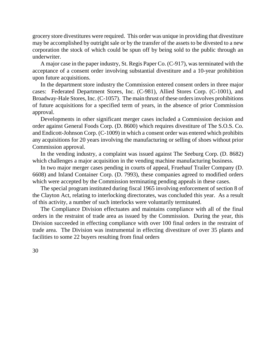grocery store divestitures were required. This order was unique in providing that divestiture may be accomplished by outright sale or by the transfer of the assets to be divested to a new corporation the stock of which could be spun off by being sold to the public through an underwriter.

A major case in the paper industry, St. Regis Paper Co. (C-917), was terminated with the acceptance of a consent order involving substantial divestiture and a 10-year prohibition upon future acquisitions.

In the department store industry the Commission entered consent orders in three major cases: Federated Department Stores, Inc. (C-981), Allied Stores Corp. (C-1001), and Broadway-Hale Stores, Inc. (C-1057). The main thrust of these orders involves prohibitions of future acquisitions for a specified term of years, in the absence of prior Commission approval.

Developments in other significant merger cases included a Commission decision and order against General Foods Corp. (D. 8600) which requires divestiture of The S.O.S. Co. and Endicott-Johnson Corp. (C-1009) in which a consent order was entered which prohibits any acquisitions for 20 years involving the manufacturing or selling of shoes without prior Commission approval.

In the vending industry, a complaint was issued against The Seeburg Corp. (D. 8682) which challenges a major acquisition in the vending machine manufacturing business.

In two major merger cases pending in courts of appeal, Fruehauf Trailer Company (D. 6608) and Inland Container Corp. (D. 7993), these companies agreed to modified orders which were accepted by the Commission terminating pending appeals in these cases.

The special program instituted during fiscal 1965 involving enforcement of section 8 of the Clayton Act, relating to interlocking directorates, was concluded this year. As a result of this activity, a number of such interlocks were voluntarily terminated.

The Compliance Division effectuates and maintains compliance with all of the final orders in the restraint of trade area as issued by the Commission. During the year, this Division succeeded in effecting compliance with over 100 final orders in the restraint of trade area. The Division was instrumental in effecting divestiture of over 35 plants and facilities to some 22 buyers resulting from final orders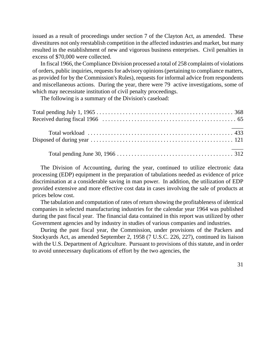issued as a result of proceedings under section 7 of the Clayton Act, as amended. These divestitures not only reestablish competition in the affected industries and market, but many resulted in the establishment of new and vigorous business enterprises. Civil penalties in excess of \$70,000 were collected.

In fiscal 1966, the Compliance Division processed a total of 258 complaints of violations of orders, public inquiries, requests for advisory opinions (pertaining to compliance matters, as provided for by the Commission's Rules), requests for informal advice from respondents and miscellaneous actions. During the year, there were 79 active investigations, some of which may necessitate institution of civil penalty proceedings.

The following is a summary of the Division's caseload:

The Division of Accounting, during the year, continued to utilize electronic data processing (EDP) equipment in the preparation of tabulations needed as evidence of price discrimination at a considerable saving in man power. In addition, the utilization of EDP provided extensive and more effective cost data in cases involving the sale of products at prices below cost.

The tabulation and computation of rates of return showing the profitableness of identical companies in selected manufacturing industries for the calendar year 1964 was published during the past fiscal year. The financial data contained in this report was utilized by other Government agencies and by industry in studies of various companies and industries.

During the past fiscal year, the Commission, under provisions of the Packers and Stockyards Act, as amended September 2, 1958 (7 U.S.C. 226, 227), continued its liaison with the U.S. Department of Agriculture. Pursuant to provisions of this statute, and in order to avoid unnecessary duplications of effort by the two agencies, the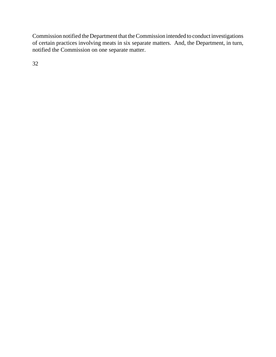Commission notified the Department that theCommission intended to conduct investigations of certain practices involving meats in six separate matters. And, the Department, in turn, notified the Commission on one separate matter.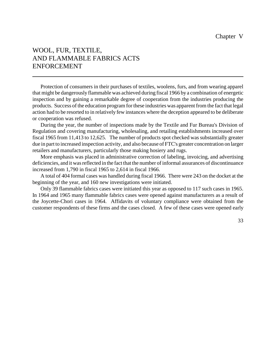# WOOL, FUR, TEXTILE, AND FLAMMABLE FABRICS ACTS ENFORCEMENT

Protection of consumers in their purchases of textiles, woolens, furs, and from wearing apparel that might be dangerously flammable was achieved during fiscal 1966 by a combination of energetic inspection and by gaining a remarkable degree of cooperation from the industries producing the products. Success of the education program for these industries was apparent from the fact that legal action had to be resorted to in relatively few instances where the deception appeared to be deliberate or cooperation was refused.

During the year, the number of inspections made by the Textile and Fur Bureau's Division of Regulation and covering manufacturing, wholesaling, and retailing establishments increased over fiscal 1965 from 11,413 to 12,625. The number of products spot checked was substantially greater due in part to increased inspection activity, and also because of FTC's greater concentration on larger retailers and manufacturers, particularly those making hosiery and rugs.

More emphasis was placed in administrative correction of labeling, invoicing, and advertising deficiencies, and it was reflected in the fact that the number of informal assurances of discontinuance increased from 1,790 in fiscal 1965 to 2,614 in fiscal 1966.

A total of 404 formal cases was handled during fiscal 1966. There were 243 on the docket at the beginning of the year, and 160 new investigations were initiated.

Only 39 flammable fabrics cases were initiated this year as opposed to 117 such cases in 1965. In 1964 and 1965 many flammable fabrics cases were opened against manufacturers as a result of the Joycette-Chori cases in 1964. Affidavits of voluntary compliance were obtained from the customer respondents of these firms and the cases closed. A few of these cases were opened early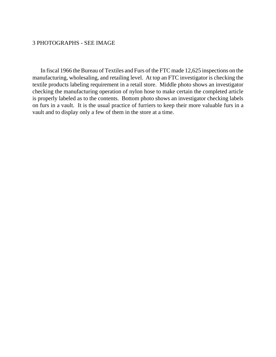## 3 PHOTOGRAPHS - SEE IMAGE

In fiscal 1966 the Bureau of Textiles and Furs of the FTC made 12,625 inspections on the manufacturing, wholesaling, and retailing level. At top an FTC investigator is checking the textile products labeling requirement in a retail store. Middle photo shows an investigator checking the manufacturing operation of nylon hose to make certain the completed article is properly labeled as to the contents. Bottom photo shows an investigator checking labels on furs in a vault. It is the usual practice of furriers to keep their more valuable furs in a vault and to display only a few of them in the store at a time.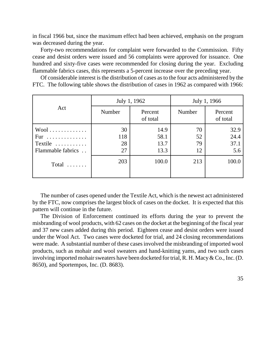in fiscal 1966 but, since the maximum effect had been achieved, emphasis on the program was decreased during the year.

Forty-two recommendations for complaint were forwarded to the Commission. Fifty cease and desist orders were issued and 56 complaints were approved for issuance. One hundred and sixty-five cases were recommended for closing during the year. Excluding flammable fabrics cases, this represents a 5-percent increase over the preceding year.

Of considerable interest is the distribution of cases as to the four acts administered by the FTC. The following table shows the distribution of cases in 1962 as compared with 1966:

| Act               | July 1, 1962 |                     | July 1, 1966 |                     |
|-------------------|--------------|---------------------|--------------|---------------------|
|                   | Number       | Percent<br>of total | Number       | Percent<br>of total |
| $Wool$            | 30           | 14.9                | 70           | 32.9                |
| Fur               | 118          | 58.1                | 52           | 24.4                |
| Textile           | 28           | 13.7                | 79           | 37.1                |
| Flammable fabrics | 27           | 13.3                | 12           | 5.6                 |
| Total $\ldots$    | 203          | 100.0               | 213          | 100.0               |
|                   |              |                     |              |                     |

The number of cases opened under the Textile Act, which is the newest act administered by the FTC, now comprises the largest block of cases on the docket. It is expected that this pattern will continue in the future.

The Division of Enforcement continued its efforts during the year to prevent the misbranding of wool products, with 62 cases on the docket at the beginning of the fiscal year and 37 new cases added during this period. Eighteen cease and desist orders were issued under the Wool Act. Two cases were docketed for trial, and 24 closing recommendations were made. A substantial number of these cases involved the misbranding of imported wool products, such as mohair and wool sweaters and hand-knitting yams, and two such cases involving imported mohair sweaters have been docketed for trial, R. H. Macy  $& Co., Inc. (D.$ 8650), and Sportempos, Inc. (D. 8683).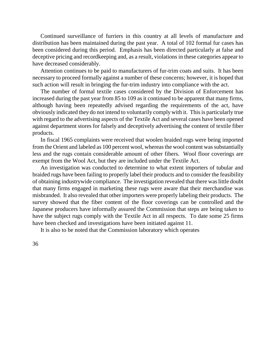Continued surveillance of furriers in this country at all levels of manufacture and distribution has been maintained during the past year. A total of 102 formal fur cases has been considered during this period. Emphasis has been directed particularly at false and deceptive pricing and recordkeeping and, as a result, violations in these categories appear to have decreased considerably.

Attention continues to be paid to manufacturers of fur-trim coats and suits. It has been necessary to proceed formally against a number of these concerns; however, it is hoped that such action will result in bringing the fur-trim industry into compliance with the act.

The number of formal textile cases considered by the Division of Enforcement has increased during the past year from 85 to 109 as it continued to be apparent that many firms, although having been repeatedly advised regarding the requirements of the act, have obviously indicated they do not intend to voluntarily comply with it. This is particularly true with regard to the advertising aspects of the Textile Act and several cases have been opened against department stores for falsely and deceptively advertising the content of textile fiber products.

In fiscal 1965 complaints were received that woolen braided rugs were being imported from the Orient and labeled as 100 percent wool, whereas the wool content was substantially less and the rugs contain considerable amount of other fibers. Wool floor coverings are exempt from the Wool Act, but they are included under the Textile Act.

An investigation was conducted to determine to what extent importers of tubular and braided rugs have been failing to properly label their products and to consider the feasibility of obtaining industrywide compliance. The investigation revealed that there was little doubt that many firms engaged in marketing these rugs were aware that their merchandise was misbranded. It also revealed that other importers were properly labeling their products. The survey showed that the fiber content of the floor coverings can be controlled and the Japanese producers have informally assured the Commission that steps are being taken to have the subject rugs comply with the Textile Act in all respects. To date some 25 firms have been checked and investigations have been initiated against 11.

It is also to be noted that the Commission laboratory which operates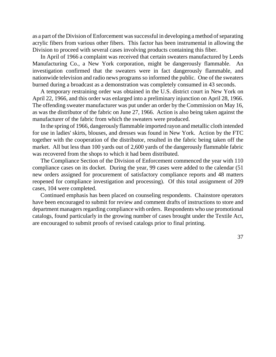as a part of the Division of Enforcement was successful in developing a method of separating acrylic fibers from various other fibers. This factor has been instrumental in allowing the Division to proceed with several cases involving products containing this fiber.

In April of 1966 a complaint was received that certain sweaters manufactured by Leeds Manufacturing Co., a New York corporation, might be dangerously flammable. An investigation confirmed that the sweaters were in fact dangerously flammable, and nationwide television and radio news programs so informed the public. One of the sweaters burned during a broadcast as a demonstration was completely consumed in 43 seconds.

A temporary restraining order was obtained in the U.S. district court in New York on April 22, 1966, and this order was enlarged into a preliminary injunction on April 28, 1966. The offending sweater manufacturer was put under an order by the Commission on May 16, as was the distributor of the fabric on June 27, 1966. Action is also being taken against the manufacturer of the fabric from which the sweaters were produced.

In the spring of 1966, dangerously flammable imported rayon and metallic cloth intended for use in ladies' skirts, blouses, and dresses was found in New York. Action by the FTC together with the cooperation of the distributor, resulted in the fabric being taken off the market. All but less than 100 yards out of 2,600 yards of the dangerously flammable fabric was recovered from the shops to which it had been distributed.

The Compliance Section of the Division of Enforcement commenced the year with 110 compliance cases on its docket. During the year, 99 cases were added to the calendar (51 new orders assigned for procurement of satisfactory compliance reports and 48 matters reopened for compliance investigation and processing). Of this total assignment of 209 cases, 104 were completed.

Continued emphasis has been placed on counseling respondents. Chainstore operators have been encouraged to submit for review and comment drafts of instructions to store and department managers regarding compliance with orders. Respondents who use promotional catalogs, found particularly in the growing number of cases brought under the Textile Act, are encouraged to submit proofs of revised catalogs prior to final printing.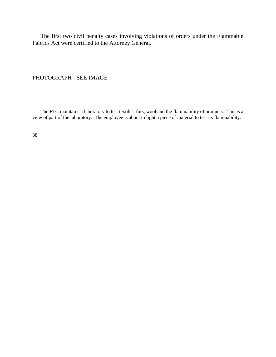The first two civil penalty cases involving violations of orders under the Flammable Fabrics Act were certified to the Attorney General.

PHOTOGRAPH - SEE IMAGE

The FTC maintains a laboratory to test textiles, furs, wool and the flammability of products. This is a view of part of the laboratory. The employee is about to light a piece of material to test its flammability.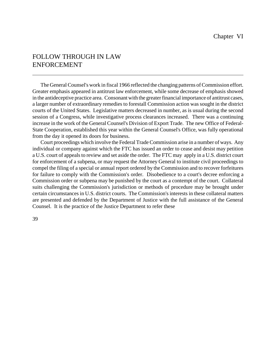# FOLLOW THROUGH IN LAW ENFORCEMENT

The General Counsel's work in fiscal 1966 reflected the changing patterns of Commission effort. Greater emphasis appeared in antitrust law enforcement, while some decrease of emphasis showed in the antideceptive practice area. Consonant with the greater financial importance of antitrust cases, a larger number of extraordinary remedies to forestall Commission action was sought in the district courts of the United States. Legislative matters decreased in number, as is usual during the second session of a Congress, while investigative process clearances increased. There was a continuing increase in the work of the General Counsel's Division of Export Trade. The new Office of Federal-State Cooperation, established this year within the General Counsel's Office, was fully operational from the day it opened its doors for business.

Court proceedings which involve the Federal TradeCommission arise in a number of ways. Any individual or company against which the FTC has issued an order to cease and desist may petition a U.S. court of appeals to review and set aside the order. The FTC may apply in a U.S. district court for enforcement of a subpena, or may request the Attorney General to institute civil proceedings to compel the filing of a special or annual report ordered by the Commission and to recover forfeitures for failure to comply with the Commission's order. Disobedience to a court's decree enforcing a Commission order or subpena may be punished by the court as a contempt of the court. Collateral suits challenging the Commission's jurisdiction or methods of procedure may be brought under certain circumstances in U.S. district courts. The Commission's interests in these collateral matters are presented and defended by the Department of Justice with the full assistance of the General Counsel. It is the practice of the Justice Department to refer these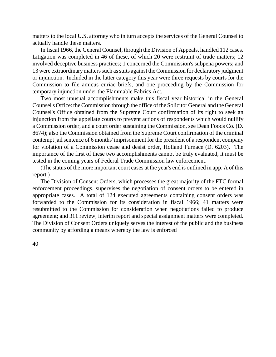matters to the local U.S. attorney who in turn accepts the services of the General Counsel to actually handle these matters.

In fiscal 1966, the General Counsel, through the Division of Appeals, handled 112 cases. Litigation was completed in 46 of these, of which 20 were restraint of trade matters; 12 involved deceptive business practices; 1 concerned the Commission's subpena powers; and 13 were extraordinary matters such as suits against the Commission for declaratory judgment or injunction. Included in the latter category this year were three requests by courts for the Commission to file amicus curiae briefs, and one proceeding by the Commission for temporary injunction under the Flammable Fabrics Act.

Two most unusual accomplishments make this fiscal year historical in the General Counsel's Office: theCommission through the office of the Solicitor General and the General Counsel's Office obtained from the Supreme Court confirmation of its right to seek an injunction from the appellate courts to prevent actions of respondents which would nullify a Commission order, and a court order sustaining the Commission, see Dean Foods Co. (D. 8674); also the Commission obtained from the Supreme Court confirmation of the criminal contempt jail sentence of 6 months' imprisonment for the president of a respondent company for violation of a Commission cease and desist order, Holland Furnace (D. 6203). The importance of the first of these two accomplishments cannot be truly evaluated, it must be tested in the coming years of Federal Trade Commission law enforcement.

(The status of the more important court cases at the year's end is outlined in app. A of this report.)

The Division of Consent Orders, which processes the great majority of the FTC formal enforcement proceedings, supervises the negotiation of consent orders to be entered in appropriate cases. A total of 124 executed agreements containing consent orders was forwarded to the Commission for its consideration in fiscal 1966; 41 matters were resubmitted to the Commission for consideration when negotiations failed to produce agreement; and 311 review, interim report and special assignment matters were completed. The Division of Consent Orders uniquely serves the interest of the public and the business community by affording a means whereby the law is enforced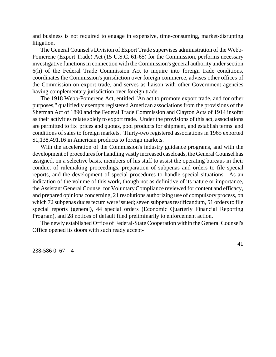and business is not required to engage in expensive, time-consuming, market-disrupting litigation.

The General Counsel's Division of Export Trade supervises administration of the Webb-Pomerene (Export Trade) Act (15 U.S.C. 61-65) for the Commission, performs necessary investigative functions in connection with the Commission's general authority under section 6(h) of the Federal Trade Commission Act to inquire into foreign trade conditions, coordinates the Commission's jurisdiction over foreign commerce, advises other offices of the Commission on export trade, and serves as liaison with other Government agencies having complementary jurisdiction over foreign trade.

The 1918 Webb-Pomerene Act, entitled "An act to promote export trade, and for other purposes," qualifiedly exempts registered American associations from the provisions of the Sherman Act of 1890 and the Federal Trade Commission and Clayton Acts of 1914 insofar as their activities relate solely to export trade. Under the provisions of this act, associations are permitted to fix prices and quotas, pool products for shipment, and establish terms and conditions of sales to foreign markets. Thirty-two registered associations in 1965 exported \$1,138,491.16 in American products to foreign markets.

With the acceleration of the Commission's industry guidance programs, and with the development of procedures for handling vastly increased caseloads, the General Counsel has assigned, on a selective basis, members of his staff to assist the operating bureaus in their conduct of rulemaking proceedings, preparation of subpenas and orders to file special reports, and the development of special procedures to handle special situations. As an indication of the volume of this work, though not as definitive of its nature or importance, the Assistant General Counsel for VoluntaryCompliance reviewed for content and efficacy, and prepared opinions concerning, 21 resolutions authorizing use of compulsory process, on which 72 subpenas duces tecum were issued; seven subpenas testificandum, 51 orders to file special reports (general), 44 special orders (Economic Quarterly Financial Reporting Program), and 28 notices of default filed preliminarily to enforcement action.

The newly established Office of Federal-State Cooperation within the General Counsel's Office opened its doors with such ready accept-

238-586 0–67—4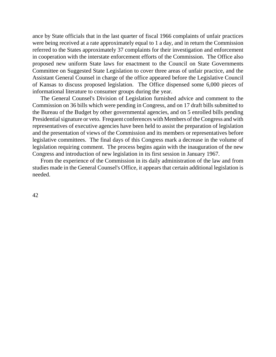ance by State officials that in the last quarter of fiscal 1966 complaints of unfair practices were being received at a rate approximately equal to 1 a day, and in return the Commission referred to the States approximately 37 complaints for their investigation and enforcement in cooperation with the interstate enforcement efforts of the Commission. The Office also proposed new uniform State laws for enactment to the Council on State Governments Committee on Suggested State Legislation to cover three areas of unfair practice, and the Assistant General Counsel in charge of the office appeared before the Legislative Council of Kansas to discuss proposed legislation. The Office dispensed some 6,000 pieces of informational literature to consumer groups during the year.

The General Counsel's Division of Legislation furnished advice and comment to the Commission on 36 bills which were pending in Congress, and on 17 draft bills submitted to the Bureau of the Budget by other governmental agencies, and on 5 enrolled bills pending Presidential signature or veto. Frequent conferences with Members of the Congress and with representatives of executive agencies have been held to assist the preparation of legislation and the presentation of views of the Commission and its members or representatives before legislative committees. The final days of this Congress mark a decrease in the volume of legislation requiring comment. The process begins again with the inauguration of the new Congress and introduction of new legislation in its first session in January 1967.

From the experience of the Commission in its daily administration of the law and from studies made in the General Counsel's Office, it appears that certain additional legislation is needed.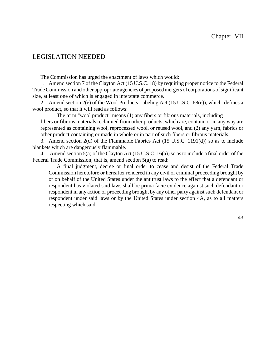## LEGISLATION NEEDED

The Commission has urged the enactment of laws which would:

1. Amend section 7 of the Clayton Act (15 U.S.C. 18) by requiring proper notice to the Federal TradeCommission and other appropriate agencies of proposed mergers of corporations of significant size, at least one of which is engaged in interstate commerce.

2. Amend section 2(e) of the Wool Products Labeling Act (15 U.S.C. 68(e)), which defines a wool product, so that it will read as follows:

The term "wool product" means (1) any fibers or fibrous materials, including fibers or fibrous materials reclaimed from other products, which are, contain, or in any way are represented as containing wool, reprocessed wool, or reused wool, and (2) any yarn, fabrics or other product containing or made in whole or in part of such fibers or fibrous materials.

3. Amend section 2(d) of the Flammable Fabrics Act (15 U.S.C. 1191(d)) so as to include blankets which are dangerously flammable.

4. Amend section 5(a) of the Clayton Act (15 U.S.C. 16(a)) so as to include a final order of the Federal Trade Commission; that is, amend section 5(a) to read:

A final judgment, decree or final order to cease and desist of the Federal Trade Commission heretofore or hereafter rendered in any civil or criminal proceeding brought by or on behalf of the United States under the antitrust laws to the effect that a defendant or respondent has violated said laws shall be prima facie evidence against such defendant or respondent in any action or proceeding brought by any other party against such defendant or respondent under said laws or by the United States under section 4A, as to all matters respecting which said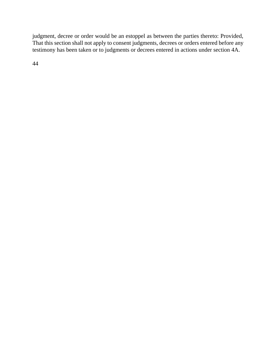judgment, decree or order would be an estoppel as between the parties thereto: Provided, That this section shall not apply to consent judgments, decrees or orders entered before any testimony has been taken or to judgments or decrees entered in actions under section 4A.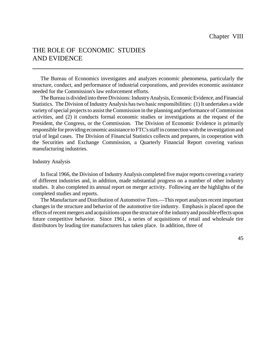# THE ROLE OF ECONOMIC STUDIES AND EVIDENCE

The Bureau of Economics investigates and analyzes economic phenomena, particularly the structure, conduct, and performance of industrial corporations, and provides economic assistance needed for the Commission's law enforcement efforts.

The Bureau is divided into three Divisions: Industry Analysis, Economic Evidence, and Financial Statistics. The Division of Industry Analysis has two basic responsibilities: (1) It undertakes a wide variety of special projects to assist the Commission in the planning and performance of Commission activities, and (2) it conducts formal economic studies or investigations at the request of the President, the Congress, or the Commission. The Division of Economic Evidence is primarily responsible for providing economic assistance to FTC's staff in connection with the investigation and trial of legal cases. The Division of Financial Statistics collects and prepares, in cooperation with the Securities and Exchange Commission, a Quarterly Financial Report covering various manufacturing industries.

#### Industry Analysis

In fiscal 1966, the Division of Industry Analysis completed five major reports covering a variety of different industries and, in addition, made substantial progress on a number of other industry studies. It also completed its annual report on merger activity. Following are the highlights of the completed studies and reports.

The Manufacture and Distribution of Automotive Tires.—This report analyzes recent important changes in the structure and behavior of the automotive tire industry. Emphasis is placed upon the effects of recent mergers and acquisitions upon the structure of the industry and possible effects upon future competitive behavior. Since 1961, a series of acquisitions of retail and wholesale tire distributors by leading tire manufacturers has taken place. In addition, three of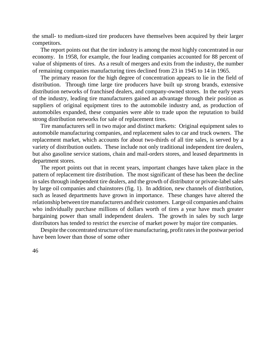the small- to medium-sized tire producers have themselves been acquired by their larger competitors.

The report points out that the tire industry is among the most highly concentrated in our economy. In 1958, for example, the four leading companies accounted for 88 percent of value of shipments of tires. As a result of mergers and exits from the industry, the number of remaining companies manufacturing tires declined from 23 in 1945 to 14 in 1965.

The primary reason for the high degree of concentration appears to lie in the field of distribution. Through time large tire producers have built up strong brands, extensive distribution networks of franchised dealers, and company-owned stores. In the early years of the industry, leading tire manufacturers gained an advantage through their position as suppliers of original equipment tires to the automobile industry and, as production of automobiles expanded, these companies were able to trade upon the reputation to build strong distribution networks for sale of replacement tires.

Tire manufacturers sell in two major and distinct markets: Original equipment sales to automobile manufacturing companies, and replacement sales to car and truck owners. The replacement market, which accounts for about two-thirds of all tire sales, is served by a variety of distribution outlets. These include not only traditional independent tire dealers, but also gasoline service stations, chain and mail-orders stores, and leased departments in department stores.

The report points out that in recent years, important changes have taken place in the pattern of replacement tire distribution. The most significant of these has been the decline in sales through independent tire dealers, and the growth of distributor or private-label sales by large oil companies and chainstores (fig. 1). In addition, new channels of distribution, such as leased departments have grown in importance. These changes have altered the relationship between tire manufacturers and their customers. Large oil companies and chains who individually purchase millions of dollars worth of tires a year have much greater bargaining power than small independent dealers. The growth in sales by such large distributors has tended to restrict the exercise of market power by major tire companies.

Despite the concentrated structure of tire manufacturing, profit rates in the postwar period have been lower than those of some other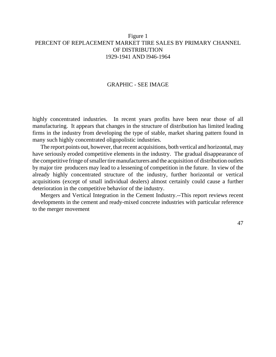## Figure 1 PERCENT OF REPLACEMENT MARKET TIRE SALES BY PRIMARY CHANNEL OF DISTRIBUTION 1929-1941 AND l946-1964

### GRAPHIC - SEE IMAGE

highly concentrated industries. In recent years profits have been near those of all manufacturing. It appears that changes in the structure of distribution has limited leading firms in the industry from developing the type of stable, market sharing pattern found in many such highly concentrated oligopolistic industries.

The report points out, however, that recent acquisitions, both vertical and horizontal, may have seriously eroded competitive elements in the industry. The gradual disappearance of the competitive fringe of smaller tire manufacturers and the acquisition of distribution outlets by major tire producers may lead to a lessening of competition in the future. In view of the already highly concentrated structure of the industry, further horizontal or vertical acquisitions (except of small individual dealers) almost certainly could cause a further deterioration in the competitive behavior of the industry.

Mergers and Vertical Integration in the Cement Industry.--This report reviews recent developments in the cement and ready-mixed concrete industries with particular reference to the merger movement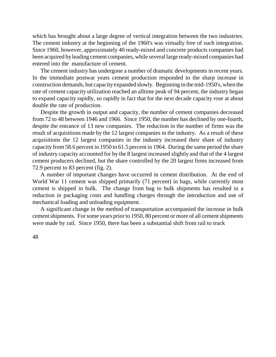which has brought about a large degree of vertical integration between the two industries. The cement industry at the beginning of the 1960's was virtually free of such integration. Since 1960, however, approximately 40 ready-mixed and concrete products companies had been acquired by leading cement companies, while several large ready-mixed companies had entered into the manufacture of cement.

The cement industry has undergone a number of dramatic developments in recent years. In the immediate postwar years cement production responded to the sharp increase in construction demands, but capacityexpanded slowly. Beginning in the mid-1950's, when the rate of cement capacity utilization reached an alltime peak of 94 percent, the industry began to expand capacity rapidly, so rapidly in fact that for the next decade capacity rose at about double the rate of production.

Despite the growth in output and capacity, the number of cement companies decreased from 72 to 48 between 1946 and 1966. Since 1950, the number has declined by one-fourth, despite the entrance of 13 new companies. The reduction in the number of firms was the result of acquisitions made by the 12 largest companies in the industry. As a result of these acquisitions the 12 largest companies in the industry increased their share of industry capacity from 58.6 percent in 1950 to 61.5 percent in 1964. During the same period the share of industry capacity accounted for by the 8 largest increased slightly and that of the 4 largest cement producers declined, but the share controlled by the 20 largest firms increased from 72.9 percent to 83 percent (fig. 2).

A number of important changes have occurred in cement distribution. At the end of World War 11 cement was shipped primarily (71 percent) in bags, while currently most cement is shipped in bulk. The change from bag to bulk shipments has resulted in a reduction in packaging costs and handling charges through the introduction and use of mechanical loading and unloading equipment.

A significant change in the method of transportation accompanied the increase in bulk cement shipments. For some years prior to 1950, 80 percent or more of all cement shipments were made by rail. Since 1950, there has been a substantial shift from rail to truck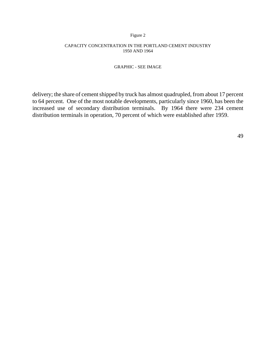#### Figure 2

#### CAPACITY CONCENTRATION IN THE PORTLAND CEMENT INDUSTRY 1950 AND 1964

#### GRAPHIC - SEE IMAGE

delivery; the share of cement shipped by truck has almost quadrupled, from about 17 percent to 64 percent. One of the most notable developments, particularly since 1960, has been the increased use of secondary distribution terminals. By 1964 there were 234 cement distribution terminals in operation, 70 percent of which were established after 1959.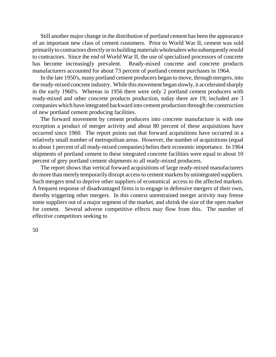Still another major change in the distribution of portland cement has been the appearance of an important new class of cement customers. Prior to World War II, cement was sold primarilyto contractors directlyorto buildingmaterials wholesalers who subsequently resold to contractors. Since the end of World War II, the use of specialized processors of concrete has become increasingly prevalent. Ready-mixed concrete and concrete products manufacturers accounted for about 73 percent of portland cement purchases in 1964.

In the late 1950's, many portland cement producers began to move, through mergers, into the ready-mixed concrete industry. While this movement began slowly, it accelerated sharply in the early 1960's. Whereas in 1956 there were only 2 portland cement producers with ready-mixed and other concrete products production, today there are 19; included are 3 companies which have integrated backward into cement production through the construction of new portland cement producing facilities.

The forward movement by cement producers into concrete manufacture is with one exception a product of merger activity and about 80 percent of these acquisitions have occurred since 1960. The report points out that forward acquisitions have occurred in a relatively small number of metropolitan areas. However, the number of acquisitions (equal to about 1 percent of all ready-mixed companies) belies their economic importance. In 1964 shipments of portland cement to these integrated concrete facilities were equal to about 10 percent of grey portland cement shipments to all ready-mixed producers.

The report shows that vertical forward acquisitions of large ready-mixed manufacturers do more than merely temporarily disrupt accessto cement markets by unintegrated suppliers. Such mergers tend to deprive other suppliers of economical access to the affected markets. A frequent response of disadvantaged firms is to engage in defensive mergers of their own, thereby triggering other mergers. In this context unrestrained merger activity may freeze some suppliers out of a major segment of the market, and shrink the size of the open market for cement. Several adverse competitive effects may flow from this. The number of effective competitors seeking to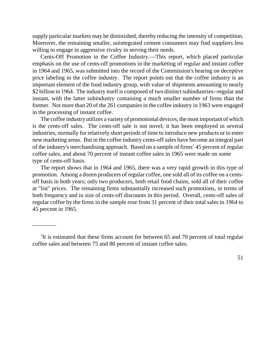supply particular markets may be diminished, thereby reducing the intensity of competition. Moreover, the remaining smaller, unintegrated cement consumers may find suppliers less willing to engage in aggressive rivalry in serving their needs.

Cents-Off Promotion in the Coffee Industry.—This report, which placed particular emphasis on the use of cents-off promotions in the marketing of regular and instant coffee in 1964 and 1965, was submitted into the record of the Commission's hearing on deceptive price labeling in the coffee industry. The report points out that the coffee industry is an important element of the food industry group, with value of shipments amounting to nearly \$2 billion in 1964. The industry itself is composed of two distinct subindustries--regular and instant, with the latter subindustry containing a much smaller number of firms than the former. Not more than 20 of the 261 companies in the coffee industry in 1963 were engaged in the processing of instant coffee.

The coffee industry utilizes a varietyof promotional devices, the most important of which is the cents-off sales. The cents-off sale is not novel; it has been employed in several industries, normally for relatively short periods of time to introduce new products or to enter new marketing areas. But in the coffee industry cents-off sales have become an integral part of the industry's merchandising approach. Based on a sample of firms<sup>1</sup> 45 percent of regular coffee sales, and about 70 percent of instant coffee sales in 1965 were made on some type of cents-off basis.

The report shows that in 1964 and 1965, there was a very rapid growth in this type of promotion. Among a dozen producers of regular coffee, one sold all of its coffee on a centsoff basis in both years; only two producers, both retail food chains, sold all of their coffee at "list" prices. The remaining firms substantially increased such promotions, in terms of both frequency and in size of cents-off discounts in this period. Overall, cents-off sales of regular coffee by the firms in the sample rose from 31 percent of their total sales in 1964 to 45 percent in 1965.

\_\_\_\_\_\_\_\_

<sup>&</sup>lt;sup>1</sup>It is estimated that these firms account for between 65 and 70 percent of total regular coffee sales and between 75 and 80 percent of instant coffee sales.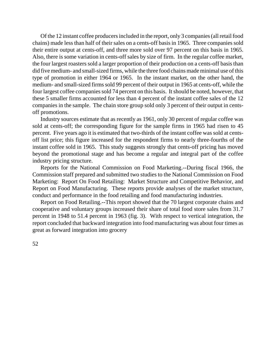Of the 12 instant coffee producers included in the report, only 3 companies (all retail food chains) made less than half of their sales on a cents-off basis in 1965. Three companies sold their entire output at cents-off, and three more sold over 97 percent on this basis in 1965. Also, there is some variation in cents-off sales by size of firm. In the regular coffee market, the four largest roasters sold a larger proportion of their production on a cents-off basisthan did five medium- and small-sized firms, while the three food chains mademinimal use of this type of promotion in either 1964 or 1965. In the instant market, on the other hand, the medium- and small-sized firms sold 99 percent of their output in 1965 at cents-off, while the four largest coffee companies sold 74 percent on this basis. It should be noted, however, that these 5 smaller firms accounted for less than 4 percent of the instant coffee sales of the 12 companies in the sample. The chain store group sold only 3 percent of their output in centsoff promotions.

Industry sources estimate that as recently as 1961, only 30 percent of regular coffee was sold at cents-off; the corresponding figure for the sample firms in 1965 had risen to 45 percent. Five years ago it is estimated that two-thirds of the instant coffee was sold at centsoff list price; this figure increased for the respondent firms to nearly three-fourths of the instant coffee sold in 1965. This study suggests strongly that cents-off pricing has moved beyond the promotional stage and has become a regular and integral part of the coffee industry pricing structure.

Reports for the National Commission on Food Marketing.--During fiscal 1966, the Commission staff prepared and submitted two studies to the National Commission on Food Marketing: Report On Food Retailing: Market Structure and Competitive Behavior, and Report on Food Manufacturing. These reports provide analyses of the market structure, conduct and performance in the food retailing and food manufacturing industries.

Report on Food Retailing.--This report showed that the 70 largest corporate chains and cooperative and voluntary groups increased their share of total food store sales from 31.7 percent in 1948 to 51.4 percent in 1963 (fig. 3). With respect to vertical integration, the report concluded that backward integration into food manufacturing was about four times as great as forward integration into grocery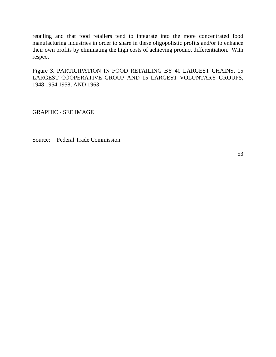retailing and that food retailers tend to integrate into the more concentrated food manufacturing industries in order to share in these oligopolistic profits and/or to enhance their own profits by eliminating the high costs of achieving product differentiation. With respect

Figure 3. PARTICIPATION IN FOOD RETAILING BY 40 LARGEST CHAINS, 15 LARGEST COOPERATIVE GROUP AND 15 LARGEST VOLUNTARY GROUPS, 1948,1954,1958, AND 1963

GRAPHIC - SEE IMAGE

Source: Federal Trade Commission.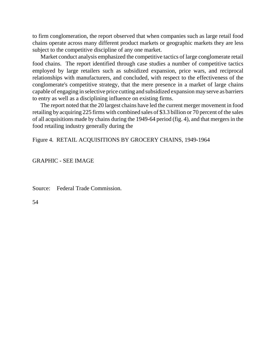to firm conglomeration, the report observed that when companies such as large retail food chains operate across many different product markets or geographic markets they are less subject to the competitive discipline of any one market.

Market conduct analysis emphasized the competitive tactics of large conglomerate retail food chains. The report identified through case studies a number of competitive tactics employed by large retailers such as subsidized expansion, price wars, and reciprocal relationships with manufacturers, and concluded, with respect to the effectiveness of the conglomerate's competitive strategy, that the mere presence in a market of large chains capable of engaging in selective price cutting and subsidized expansion may serve as barriers to entry as well as a disciplining influence on existing firms.

The report noted that the 20 largest chains have led the current merger movement in food retailing by acquiring 225 firms with combined sales of \$3.3 billion or 70 percent of the sales of all acquisitions made by chains during the 1949-64 period (fig. 4), and that mergersin the food retailing industry generally during the

Figure 4. RETAIL ACQUISITIONS BY GROCERY CHAINS, 1949-1964

GRAPHIC - SEE IMAGE

Source: Federal Trade Commission.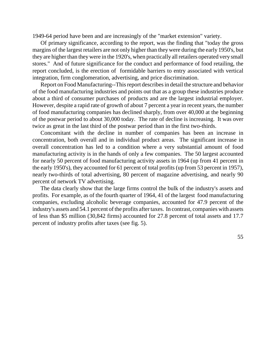1949-64 period have been and are increasingly of the "market extension" variety.

Of primary significance, according to the report, was the finding that "today the gross margins of the largest retailers are not only higher than they were during the early 1950's, but they are higher than they were in the 1920's, when practically all retailers operated very small stores." And of future significance for the conduct and performance of food retailing, the report concluded, is the erection of formidable barriers to entry associated with vertical integration, firm conglomeration, advertising, and price discrimination.

Report on Food Manufacturing--This report describes in detail the structure and behavior of the food manufacturing industries and points out that as a group these industries produce about a third of consumer purchases of products and are the largest industrial employer. However, despite a rapid rate of growth of about 7 percent a year in recent years, the number of food manufacturing companies has declined sharply, from over 40,000 at the beginning of the postwar period to about 30,000 today. The rate of decline is increasing. It was over twice as great in the last third of the postwar period than in the first two-thirds.

Concomitant with the decline in number of companies has been an increase in concentration, both overall and in individual product areas. The significant increase in overall concentration has led to a condition where a very substantial amount of food manufacturing activity is in the hands of only a few companies. The 50 largest accounted for nearly 50 percent of food manufacturing activity assets in 1964 (up from 41 percent in the early 1950's), they accounted for 61 percent of total profits (up from 53 percent in 1957), nearly two-thirds of total advertising, 80 percent of magazine advertising, and nearly 90 percent of network TV advertising.

The data clearly show that the large firms control the bulk of the industry's assets and profits. For example, as of the fourth quarter of 1964, 41 of the largest food manufacturing companies, excluding alcoholic beverage companies, accounted for 47.9 percent of the industry's assets and 54.1 percent of the profits after taxes. In contrast, companies with assets of less than \$5 million (30,842 firms) accounted for 27.8 percent of total assets and 17.7 percent of industry profits after taxes (see fig. 5).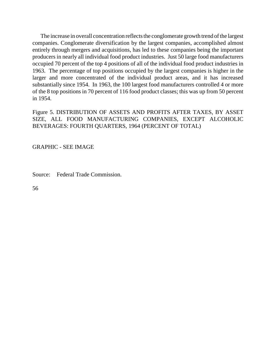The increase in overall concentration reflects the conglomerate growth trend of the largest companies. Conglomerate diversification by the largest companies, accomplished almost entirely through mergers and acquisitions, has led to these companies being the important producers in nearly all individual food product industries. Just 50 large food manufacturers occupied 70 percent of the top 4 positions of all of the individual food product industries in 1963. The percentage of top positions occupied by the largest companies is higher in the larger and more concentrated of the individual product areas, and it has increased substantially since 1954. In 1963, the 100 largest food manufacturers controlled 4 or more of the 8 top positions in 70 percent of 116 food product classes; this was up from 50 percent in 1954.

Figure 5. DISTRIBUTION OF ASSETS AND PROFITS AFTER TAXES, BY ASSET SIZE, ALL FOOD MANUFACTURING COMPANIES, EXCEPT ALCOHOLIC BEVERAGES: FOURTH QUARTERS, 1964 (PERCENT OF TOTAL)

GRAPHIC - SEE IMAGE

Source: Federal Trade Commission.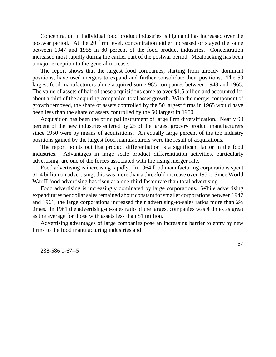Concentration in individual food product industries is high and has increased over the postwar period. At the 20 firm level, concentration either increased or stayed the same between 1947 and 1958 in 80 percent of the food product industries. Concentration increased most rapidly during the earlier part of the postwar period. Meatpacking has been a major exception to the general increase.

The report shows that the largest food companies, starting from already dominant positions, have used mergers to expand and further consolidate their positions. The 50 largest food manufacturers alone acquired some 985 companies between 1948 and 1965. The value of assets of half of these acquisitions came to over \$1.5 billion and accounted for about a third of the acquiring companies' total asset growth. With the merger component of growth removed, the share of assets controlled by the 50 largest firms in 1965 would have been less than the share of assets controlled by the 50 largest in 1950.

Acquisition has been the principal instrument of large firm diversification. Nearly 90 percent of the new industries entered by 25 of the largest grocery product manufacturers since 1950 were by means of acquisitions. An equally large percent of the top industry positions gained by the largest food manufacturers were the result of acquisitions.

The report points out that product differentiation is a significant factor in the food industries. Advantages in large scale product differentiation activities, particularly advertising, are one of the forces associated with the rising merger rate.

Food advertising is increasing rapidly. In 1964 food manufacturing corporations spent \$1.4 billion on advertising; this was more than a threefold increase over 1950. Since World War II food advertising has risen at a one-third faster rate than total advertising.

Food advertising is increasingly dominated by large corporations. While advertising expenditures per dollar sales remained about constant for smaller corporations between 1947 and 1961, the large corporations increased their advertising-to-sales ratios more than 2½ times. In 1961 the advertising-to-sales ratio of the largest companies was 4 times as great as the average for those with assets less than \$1 million.

Advertising advantages of large companies pose an increasing barrier to entry by new firms to the food manufacturing industries and

238-586 0-67--5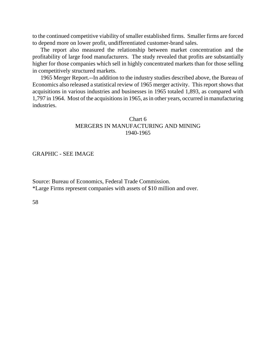to the continued competitive viability of smaller established firms. Smaller firms are forced to depend more on lower profit, undifferentiated customer-brand sales.

The report also measured the relationship between market concentration and the profitability of large food manufacturers. The study revealed that profits are substantially higher for those companies which sell in highly concentrated markets than for those selling in competitively structured markets.

1965 Merger Report.--In addition to the industry studies described above, the Bureau of Economics also released a statistical review of 1965 merger activity. This report shows that acquisitions in various industries and businesses in 1965 totaled 1,893, as compared with 1,797 in 1964. Most of the acquisitions in 1965, as in other years, occurred in manufacturing industries.

## Chart 6 MERGERS IN MANUFACTURING AND MINING 1940-1965

### GRAPHIC - SEE IMAGE

Source: Bureau of Economics, Federal Trade Commission. \*Large Firms represent companies with assets of \$10 million and over.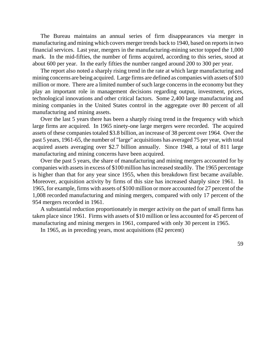The Bureau maintains an annual series of firm disappearances via merger in manufacturing and mining which covers merger trends back to 1940, based on reportsin two financial services. Last year, mergers in the manufacturing-mining sector topped the 1,000 mark. In the mid-fifties, the number of firms acquired, according to this series, stood at about 600 per year. In the early fifties the number ranged around 200 to 300 per year.

The report also noted a sharply rising trend in the rate at which large manufacturing and mining concerns are being acquired. Large firms are defined as companies with assets of \$10 million or more. There are a limited number of such large concerns in the economy but they play an important role in management decisions regarding output, investment, prices, technological innovations and other critical factors. Some 2,400 large manufacturing and mining companies in the United States control in the aggregate over 80 percent of all manufacturing and mining assets.

Over the last 5 years there has been a sharply rising trend in the frequency with which large firms are acquired. In 1965 ninety-one large mergers were recorded. The acquired assets of these companies totaled \$3.8 billion, an increase of 38 percent over 1964. Over the past 5 years, 1961-65, the number of "large" acquisitions has averaged 75 per year, with total acquired assets averaging over \$2.7 billion annually. Since 1948, a total of 811 large manufacturing and mining concerns have been acquired.

Over the past 5 years, the share of manufacturing and mining mergers accounted for by companies with assets in excess of \$100 million has increased steadily. The 1965 percentage is higher than that for any year since 1955, when this breakdown first became available. Moreover, acquisition activity by firms of this size has increased sharply since 1961. In 1965, for example, firms with assets of \$100 million or more accounted for 27 percent of the 1,008 recorded manufacturing and mining mergers, compared with only 17 percent of the 954 mergers recorded in 1961.

A substantial reduction proportionately in merger activity on the part of small firms has taken place since 1961. Firms with assets of \$10 million or less accounted for 45 percent of manufacturing and mining mergers in 1961, compared with only 30 percent in 1965.

In 1965, as in preceding years, most acquisitions (82 percent)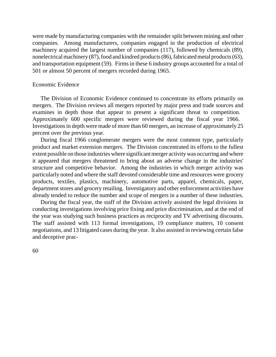were made by manufacturing companies with the remainder split between mining and other companies. Among manufacturers, companies engaged in the production of electrical machinery acquired the largest number of companies (117), followed by chemicals (89), nonelectrical machinery (87), food and kindred products (86), fabricated metal products (63), and transportation equipment (59). Firms in these 6 industry groups accounted for a total of 501 or almost 50 percent of mergers recorded during 1965.

### Economic Evidence

The Division of Economic Evidence continued to concentrate its efforts primarily on mergers. The Division reviews all mergers reported by major press and trade sources and examines in depth those that appear to present a significant threat to competition. Approximately 600 specific mergers were reviewed during the fiscal year 1966. Investigations in depth were made of more than 60 mergers, an increase of approximately 25 percent over the previous year.

During fiscal 1966 conglomerate mergers were the most common type, particularly product and market extension mergers. The Division concentrated its efforts to the fullest extent possible on those industries where significant merger activity was occurring and where it appeared that mergers threatened to bring about an adverse change in the industries' structure and competitive behavior. Among the industries in which merger activity was particularly noted and where the staff devoted considerable time and resources were grocery products, textiles, plastics, machinery, automotive parts, apparel, chemicals, paper, department stores and grocery retailing. Investigatory and other enforcement activities have already tended to reduce the number and scope of mergers in a number of these industries.

During the fiscal year, the staff of the Division actively assisted the legal divisions in conducting investigations involving price fixing and price discrimination, and at the end of the year was studying such business practices as reciprocity and TV advertising discounts. The staff assisted with 113 formal investigations, 19 compliance matters, 10 consent negotiations, and 13 litigated cases during the year. It also assisted in reviewing certain false and deceptive prac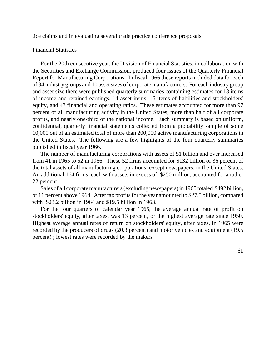tice claims and in evaluating several trade practice conference proposals.

### Financial Statistics

For the 20th consecutive year, the Division of Financial Statistics, in collaboration with the Securities and Exchange Commission, produced four issues of the Quarterly Financial Report for Manufacturing Corporations. In fiscal 1966 these reports included data for each of 34 industry groups and 10 asset sizes of corporate manufacturers. For each industry group and asset size there were published quarterly summaries containing estimates for 13 items of income and retained earnings, 14 asset items, 16 items of liabilities and stockholders' equity, and 43 financial and operating ratios. These estimates accounted for more than 97 percent of all manufacturing activity in the United States, more than half of all corporate profits, and nearly one-third of the national income. Each summary is based on uniform, confidential, quarterly financial statements collected from a probability sample of some 10,000 out of an estimated total of more than 200,000 active manufacturing corporations in the United States. The following are a few highlights of the four quarterly summaries published in fiscal year 1966.

The number of manufacturing corporations with assets of \$1 billion and over increased from 41 in 1965 to 52 in 1966. These 52 firms accounted for \$132 billion or 36 percent of the total assets of all manufacturing corporations, except newspapers, in the United States. An additional 164 firms, each with assets in excess of \$250 million, accounted for another 22 percent.

Sales of all corporate manufacturers (excluding newspapers) in 1965 totaled \$492 billion, or 11 percent above 1964. After tax profits for the year amounted to \$27.5 billion, compared with \$23.2 billion in 1964 and \$19.5 billion in 1963.

For the four quarters of calendar year 1965, the average annual rate of profit on stockholders' equity, after taxes, was 13 percent, or the highest average rate since 1950. Highest average annual rates of return on stockholders' equity, after taxes, in 1965 were recorded by the producers of drugs (20.3 percent) and motor vehicles and equipment (19.5 percent) ; lowest rates were recorded by the makers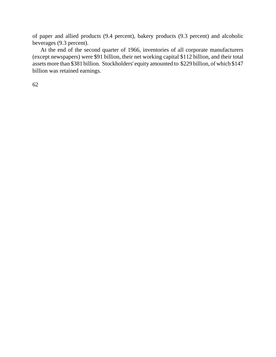of paper and allied products (9.4 percent), bakery products (9.3 percent) and alcoholic beverages (9.3 percent).

At the end of the second quarter of 1966, inventories of all corporate manufacturers (except newspapers) were \$91 billion, their net working capital \$112 billion, and their total assets more than \$381 billion. Stockholders' equity amounted to \$229 billion, of which \$147 billion was retained earnings.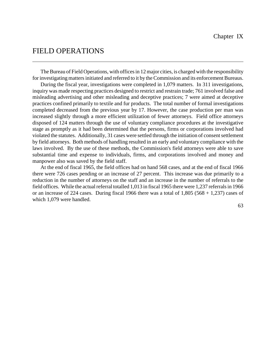# FIELD OPERATIONS

The Bureau of Field Operations, with offices in 12 major cities, is charged with the responsibility for investigating mattersinitiated and referred to it by the Commission and its enforcement Bureaus.

During the fiscal year, investigations were completed in 1,079 matters. In 311 investigations, inquiry was made respecting practices designed to restrict and restrain trade; 761 involved false and misleading advertising and other misleading and deceptive practices; 7 were aimed at deceptive practices confined primarily to textile and fur products. The total number of formal investigations completed decreased from the previous year by 17. However, the case production per man was increased slightly through a more efficient utilization of fewer attorneys. Field office attorneys disposed of 124 matters through the use of voluntary compliance procedures at the investigative stage as promptly as it had been determined that the persons, firms or corporations involved had violated the statutes. Additionally, 31 cases were settled through the initiation of consent settlement by field attorneys. Both methods of handling resulted in an early and voluntary compliance with the laws involved. By the use of these methods, the Commission's field attorneys were able to save substantial time and expense to individuals, firms, and corporations involved and money and manpower also was saved by the field staff.

At the end of fiscal 1965, the field offices had on hand 568 cases, and at the end of fiscal 1966 there were 726 cases pending or an increase of 27 percent. This increase was due primarily to a reduction in the number of attorneys on the staff and an increase in the number of referrals to the field offices. While the actual referral totalled 1,013 in fiscal 1965 there were 1,237 referrals in 1966 or an increase of 224 cases. During fiscal 1966 there was a total of  $1,805$  (568 + 1,237) cases of which 1,079 were handled.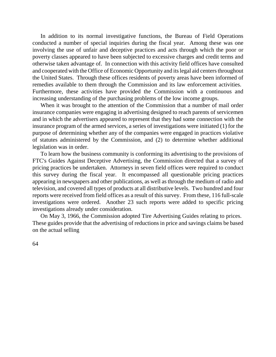In addition to its normal investigative functions, the Bureau of Field Operations conducted a number of special inquiries during the fiscal year. Among these was one involving the use of unfair and deceptive practices and acts through which the poor or poverty classes appeared to have been subjected to excessive charges and credit terms and otherwise taken advantage of. In connection with this activity field offices have consulted and cooperated with the Office of Economic Opportunity and its legal aid centers throughout the United States. Through these offices residents of poverty areas have been informed of remedies available to them through the Commission and its law enforcement activities. Furthermore, these activities have provided the Commission with a continuous and increasing understanding of the purchasing problems of the low income groups.

When it was brought to the attention of the Commission that a number of mail order insurance companies were engaging in advertising designed to reach parents of servicemen and in which the advertisers appeared to represent that they had some connection with the insurance program of the armed services, a series of investigations were initiated (1) for the purpose of determining whether any of the companies were engaged in practices violative of statutes administered by the Commission, and (2) to determine whether additional legislation was in order.

To learn how the business community is conforming its advertising to the provisions of FTC's Guides Against Deceptive Advertising, the Commission directed that a survey of pricing practices be undertaken. Attorneys in seven field offices were required to conduct this survey during the fiscal year. It encompassed all questionable pricing practices appearing in newspapers and other publications, as well as through the medium of radio and television, and covered all types of products at all distributive levels. Two hundred and four reports were received from field offices as a result of this survey. From these, 116 full-scale investigations were ordered. Another 23 such reports were added to specific pricing investigations already under consideration.

On May 3, 1966, the Commission adopted Tire Advertising Guides relating to prices. These guides provide that the advertising of reductions in price and savings claims be based on the actual selling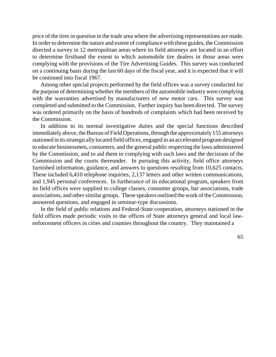price of the tires in question in the trade area where the advertising representations are made. In order to determine the nature and extent of compliance with these guides, the Commission directed a survey in 12 metropolitan areas where its field attorneys are located in an effort to determine firsthand the extent to which automobile tire dealers in those areas were complying with the provisions of the Tire Advertising Guides. This survey was conducted on a continuing basis during the last 60 days of the fiscal year, and it is expected that it will be continued into fiscal 1967.

Among other special projects performed by the field offices was a survey conducted for the purpose of determining whether the members of the automobile industrywere complying with the warranties advertised by manufacturers of new motor cars. This survey was completed and submitted to the Commission. Further inquiry has been directed. The survey was ordered primarily on the basis of hundreds of complaints which had been received by the Commission.

In addition to its normal investigative duties and the special functions described immediately above, the Bureau of Field Operations, through the approximately 155 attorneys stationed in its strategically located field offices, engaged in an accelerated program designed to educate businessmen, consumers, and the general public respecting the laws administered by the Commission, and to aid them in complying with such laws and the decisions of the Commission and the courts thereunder. In pursuing this activity, field office attorneys furnished information, guidance, and answers to questions resulting from 10,625 contacts. These included 6,410 telephone inquiries, 2,137 letters and other written communications, and 1,945 personal conferences. In furtherance of its educational program, speakers from its field offices were supplied to college classes, consumer groups, bar associations, trade associations, and other similar groups. These speakers outlined the work of the Commission, answered questions, and engaged in seminar-type discussions.

In the field of public relations and Federal-State cooperation, attorneys stationed in the field offices made periodic visits to the offices of State attorneys general and local lawenforcement officers in cities and counties throughout the country. They maintained a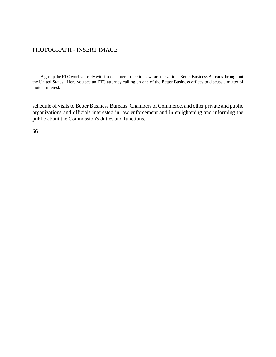### PHOTOGRAPH - INSERT IMAGE

A group the FTC works closely with in consumer protection laws are the various Better Business Bureaus throughout the United States. Here you see an FTC attorney calling on one of the Better Business offices to discuss a matter of mutual interest.

schedule of visits to Better Business Bureaus, Chambers of Commerce, and other private and public organizations and officials interested in law enforcement and in enlightening and informing the public about the Commission's duties and functions.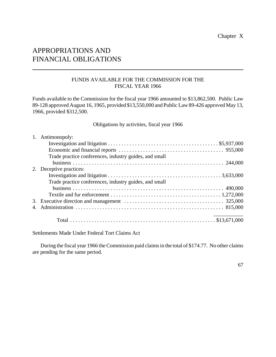## APPROPRIATIONS AND FINANCIAL OBLIGATIONS

## FUNDS AVAILABLE FOR THE COMMISSION FOR THE FISCAL YEAR 1966

Funds available to the Commission for the fiscal year 1966 amounted to \$13,862,500. Public Law 89-128 approved August 16, 1965, provided \$13,550,000 and Public Law 89-426 approved May 13, 1966, provided \$312,500.

Obligations by activities, fiscal year 1966

|    | 1. Antimonopoly:                                       |
|----|--------------------------------------------------------|
|    |                                                        |
|    |                                                        |
|    | Trade practice conferences, industry guides, and small |
|    |                                                        |
| 2. | Deceptive practices:                                   |
|    |                                                        |
|    | Trade practice conferences, industry guides, and small |
|    |                                                        |
|    |                                                        |
|    |                                                        |
|    |                                                        |
|    |                                                        |

Settlements Made Under Federal Tort Claims Act

During the fiscal year 1966 the Commission paid claimsin the total of \$174.77. No other claims are pending for the same period.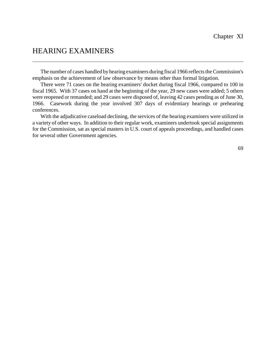# HEARING EXAMINERS

The number of cases handled by hearing examiners during fiscal 1966 reflects the Commission's emphasis on the achievement of law observance by means other than formal litigation.

There were 71 cases on the hearing examiners' docket during fiscal 1966, compared to 100 in fiscal 1965. With 37 cases on hand at the beginning of the year, 29 new cases were added; 5 others were reopened or remanded; and 29 cases were disposed of, leaving 42 cases pending as of June 30, 1966. Casework during the year involved 307 days of evidentiary hearings or prehearing conferences.

With the adjudicative caseload declining, the services of the hearing examiners were utilized in a variety of other ways. In addition to their regular work, examiners undertook special assignments for the Commission, sat as special masters in U.S. court of appeals proceedings, and handled cases for several other Government agencies.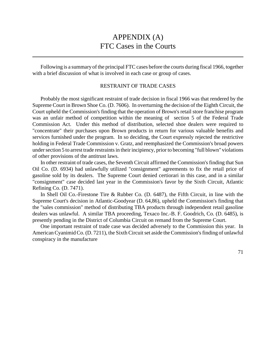## APPENDIX (A) FTC Cases in the Courts

Following is a summary of the principal FTC cases before the courts during fiscal 1966, together with a brief discussion of what is involved in each case or group of cases.

### RESTRAINT OF TRADE CASES

Probably the most significant restraint of trade decision in fiscal 1966 was that rendered by the Supreme Court in Brown Shoe Co. (D. 7606). In overturning the decision of the Eighth Circuit, the Court upheld the Commission's finding that the operation of Brown's retail store franchise program was an unfair method of competition within the meaning of section 5 of the Federal Trade Commission Act. Under this method of distribution, selected shoe dealers were required to "concentrate" their purchases upon Brown products in return for various valuable benefits and services furnished under the program. In so deciding, the Court expressly rejected the restrictive holding in Federal Trade Commission v. Gratz, and reemphasized the Commission's broad powers under section 5 to arrest trade restraints in their incipiency, prior to becoming "full blown" violations of other provisions of the antitrust laws.

In other restraint of trade cases, the Seventh Circuit affirmed the Commission's finding that Sun Oil Co. (D. 6934) had unlawfully utilized "consignment" agreements to fix the retail price of gasoline sold by its dealers. The Supreme Court denied certiorari in this case, and in a similar "consignment" case decided last year in the Commission's favor by the Sixth Circuit, Atlantic Refining Co. (D. 7471).

In Shell Oil Co.-Firestone Tire & Rubber Co. (D. 6487), the Fifth Circuit, in line with the Supreme Court's decision in Atlantic-Goodyear (D. 64,86), upheld the Commission's finding that the "sales commission" method of distributing TBA products through independent retail gasoline dealers was unlawful. A similar TBA proceeding, Texaco Inc.-B. F. Goodrich, Co. (D. 6485), is presently pending in the District of Columbia Circuit on remand from the Supreme Court.

One important restraint of trade case was decided adversely to the Commission this year. In American Cyanimid Co. (D. 7211), the Sixth Circuit set aside the Commission's finding of unlawful conspiracy in the manufacture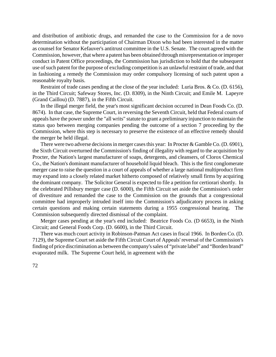and distribution of antibiotic drugs, and remanded the case to the Commission for a de novo determination without the participation of Chairman Dixon who had been interested in the matter as counsel for Senator Kefauver's antitrust committee in the U.S. Senate. The court agreed with the Commission, however, that where a patent has been obtained through misrepresentation orimproper conduct in Patent Office proceedings, the Commission has jurisdiction to hold that the subsequent use of such patent for the purpose of excluding competition is an unlawful restraint of trade, and that in fashioning a remedy the Commission may order compulsory licensing of such patent upon a reasonable royalty basis.

Restraint of trade cases pending at the close of the year included: Luria Bros. & Co. (D. 6156), in the Third Circuit; Safeway Stores, Inc. (D. 8309), in the Ninth Circuit; and Emile M. Lapeyre (Grand Caillou) (D. 7887), in the Fifth Circuit.

In the illegal merger field, the year's most significant decision occurred in Dean Foods Co. (D. 8674). In that case, the Supreme Court, in reversing the Seventh Circuit, held that Federal courts of appeals have the power under the "all writs" statute to grant a preliminary injunction to maintain the status quo between merging companies pending the outcome of a section 7 proceeding by the Commission, where this step is necessary to preserve the existence of an effective remedy should the merger be held illegal.

There were two adverse decisions in merger cases this year: In Procter & Gamble Co. (D. 6901), the Sixth Circuit overturned the Commission's finding of illegality with regard to the acquisition by Procter, the Nation's largest manufacturer of soaps, detergents, and cleansers, of Clorox Chemical Co., the Nation's dominant manufacturer of household liquid bleach. This is the first conglomerate merger case to raise the question in a court of appeals of whether a large national multiproduct firm may expand into a closely related market hitherto composed of relatively small firms by acquiring the dominant company. The Solicitor General is expected to file a petition for certiorari shortly. In the celebrated Pillsbury merger case (D. 6000), the Fifth Circuit set aside the Commission's order of divestiture and remanded the case to the Commission on the grounds that a congressional committee had improperly intruded itself into the Commission's adjudicatory process in asking certain questions and making certain statements during a 1955 congressional hearing. The Commission subsequently directed dismissal of the complaint.

Merger cases pending at the year's end included: Beatrice Foods Co. (D 6653), in the Ninth Circuit; and General Foods Corp. (D. 6600), in the Third Circuit.

There was much court activity in Robinson-Patman Act cases in fiscal 1966. In Borden Co. (D. 7129), the Supreme Court set aside the Fifth Circuit Court of Appeals' reversal of the Commission's finding of price discrimination as between the company's sales of "private label" and "Borden brand" evaporated milk. The Supreme Court held, in agreement with the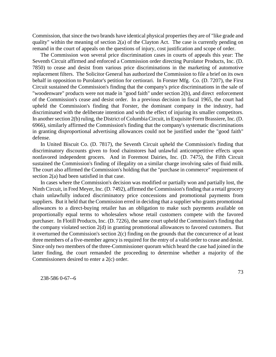Commission, that since the two brands have identical physical properties they are of "like grade and quality" within the meaning of section 2(a) of the Clayton Act. The case is currently pending on remand in the court of appeals on the questions of injury, cost justification and scope of order.

The Commission won several price discrimination cases in courts of appeals this year: The Seventh Circuit affirmed and enforced a Commission order directing Purolator Products, Inc. (D. 7850) to cease and desist from various price discriminations in the marketing of automotive replacement filters. The Solicitor General has authorized the Commission to file a brief on its own behalf in opposition to Purolator's petition for certiorari. In Forster Mfg. Co. (D. 7207), the First Circuit sustained the Commission's finding that the company's price discriminations in the sale of "woodenware" products were not made in "good faith" under section 2(b), and direct enforcement of the Commission's cease and desist order. In a previous decision in fiscal 1965, the court had upheld the Commission's finding that Forster, the dominant company in the industry, had discriminated with the deliberate intention and with the effect of injuring its smaller competitors. In another section 2(b) ruling, the District of Columbia Circuit, in Exquisite Form Brassiere, Inc. (D. 6966), similarly affirmed the Commission's finding that the company's systematic discriminations in granting disproportional advertising allowances could not be justified under the "good faith" defense.

In United Biscuit Co. (D. 7817), the Seventh Circuit upheld the Commission's finding that discriminatory discounts given to food chainstores had unlawful anticompetitive effects upon nonfavored independent grocers. And in Foremost Dairies, Inc. (D. 7475), the Fifth Circuit sustained the Commission's finding of illegality on a similar charge involving sales of fluid milk. The court also affirmed the Commission's holding that the "purchase in commerce" requirement of section 2(a) had been satisfied in that case.

In cases where the Commission's decision was modified or partially won and partially lost, the Ninth Circuit, in Fred Meyer, Inc. (D. 7492), affirmed the Commission's finding that a retail grocery chain unlawfully induced discriminatory price concessions and promotional payments from suppliers. But it held that the Commission erred in deciding that a supplier who grants promotional allowances to a direct-buying retailer has an obligation to make such payments available on proportionally equal terms to wholesalers whose retail customers compete with the favored purchaser. In Flotill Products, Inc. (D. 7226), the same court upheld the Commission's finding that the company violated section 2(d) in granting promotional allowances to favored customers. But it overturned the Commission's section 2(c) finding on the grounds that the concurrence of at least three members of a five-member agency is required for the entry of a valid order to cease and desist. Since only two members of the three-Commissioner quorum which heard the case had joined in the latter finding, the court remanded the proceeding to determine whether a majority of the Commissioners desired to enter a 2(c) order.

238-586 0-67--6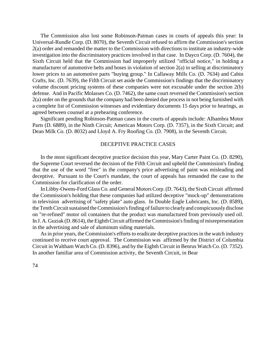The Commission also lost some Robinson-Patman cases in courts of appeals this year: In Universal-Rundle Corp. (D. 8070), the Seventh Circuit refused to affirm the Commission's section 2(a) order and remanded the matter to the Commission with directions to institute an industry-wide investigation into the discriminatory practices involved in that case. In Dayco Corp. (D. 7604), the Sixth Circuit held that the Commission had improperly utilized "official notice," in holding a manufacturer of automotive belts and hoses in violation of section 2(a) in selling at discriminatory lower prices to an automotive parts "buying group." In Callaway Mills Co. (D. 7634) and Cabin Crafts, Inc. (D. 7639), the Fifth Circuit set aside the Commission's findings that the discriminatory volume discount pricing systems of these companies were not excusable under the section 2(b) defense. And in Pacific Molasses Co. (D. 7462), the same court reversed the Commission's section 2(a) order on the grounds that the company had been denied due processin not being furnished with a complete list of Commission witnesses and evidentiary documents 15 days prior to hearings, as agreed between counsel at a prehearing conference.

Significant pending Robinson-Patman cases in the courts of appeals include: Alhambra Motor Parts (D. 6889), in the Ninth Circuit; American Motors Corp. (D. 7357), in the Sixth Circuit; and Dean Milk Co. (D. 8032) and Lloyd A. Fry Roofing Co. (D. 7908), in the Seventh Circuit.

#### DECEPTIVE PRACTICE CASES

In the most significant deceptive practice decision this year, Mary Carter Paint Co. (D. 8290), the Supreme Court reversed the decision of the Fifth Circuit and upheld the Commission's finding that the use of the word "free" in the company's price advertising of paint was misleading and deceptive. Pursuant to the Court's mandate, the court of appeals has remanded the case to the Commission for clarification of the order.

In Libby-Owens-Ford Glass Co. and General Motors Corp. (D. 7643), the Sixth Circuit affirmed the Commission's holding that these companies had utilized deceptive "mock-up" demonstrations in television advertising of "safety plate" auto glass. In Double Eagle Lubricants, Inc. (D. 8589), the Tenth Circuit sustained the Commission's finding of failure to clearly and conspicuously disclose on "re-refined" motor oil containers that the product was manufactured from previously used oil. In J. A. Guziak (D. 8614), the Eighth Circuit affirmed the Commission's finding of misrepresentation in the advertising and sale of aluminum siding materials.

As in prior years, the Commission's efforts to eradicate deceptive practices in the watch industry continued to receive court approval. The Commission was affirmed by the District of Columbia Circuit in Waltham Watch Co. (D. 8396), and by the Eighth Circuit in Benrus Watch Co. (D. 7352). In another familiar area of Commission activity, the Seventh Circuit, in Bear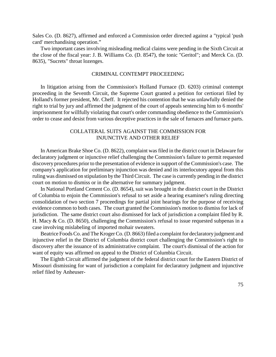Sales Co. (D. 8627), affirmed and enforced a Commission order directed against a "typical 'push card' merchandising operation."

Two important cases involving misleading medical claims were pending in the Sixth Circuit at the close of the fiscal year: J. B. Williams Co. (D. 8547), the tonic "Geritol"; and Merck Co. (D. 8635), "Sucrets" throat lozenges.

### CRIMINAL CONTEMPT PROCEEDING

In litigation arising from the Commission's Holland Furnace (D. 6203) criminal contempt proceeding in the Seventh Circuit, the Supreme Court granted a petition for certiorari filed by Holland's former president, Mr. Cheff. It rejected his contention that he was unlawfully denied the right to trial by jury and affirmed the judgment of the court of appeals sentencing him to 6 months' imprisonment for willfully violating that court's order commanding obedience to the Commission's order to cease and desist from various deceptive practices in the sale of furnaces and furnace parts.

## COLLATERAL SUITS AGAINST THE COMMISSION FOR INJUNCTIVE AND OTHER RELIEF

In American Brake Shoe Co. (D. 8622), complaint was filed in the district court in Delaware for declaratory judgment or injunctive relief challenging the Commission's failure to permit requested discovery procedures prior to the presentation of evidence in support of the Commission's case. The company's application for preliminary injunction was denied and its interlocutory appeal from this ruling was dismissed on stipulation by the Third Circuit. The case is currently pending in the district court on motion to dismiss or in the alternative for summary judgment.

In National Portland Cement Co. (D. 8654), suit was brought in the district court in the District of Columbia to enjoin the Commission's refusal to set aside a hearing examiner's ruling directing consolidation of two section 7 proceedings for partial joint hearings for the purpose of receiving evidence common to both cases. The court granted the Commission's motion to dismiss for lack of jurisdiction. The same district court also dismissed for lack of jurisdiction a complaint filed by R. H. Macy & Co. (D. 8650), challenging the Commission's refusal to issue requested subpenas in a case involving mislabeling of imported mohair sweaters.

Beatrice Foods Co. and The Kroger Co. (D. 8663) filed a complaint for declaratory judgment and injunctive relief in the District of Columbia district court challenging the Commission's right to discovery after the issuance of its administrative complaint. The court's dismissal of the action for want of equity was affirmed on appeal to the District of Columbia Circuit.

The Eighth Circuit affirmed the judgment of the federal district court for the Eastern District of Missouri dismissing for want of jurisdiction a complaint for declaratory judgment and injunctive relief filed by Anheuser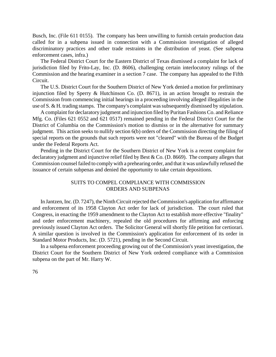Busch, Inc. (File 611 0155). The company has been unwilling to furnish certain production data called for in a subpena issued in connection with a Commission investigation of alleged discriminatory practices and other trade restraints in the distribution of yeast. (See subpena enforcement cases, infra.)

The Federal District Court for the Eastern District of Texas dismissed a complaint for lack of jurisdiction filed by Frito-Lay, Inc. (D. 8606), challenging certain interlocutory rulings of the Commission and the hearing examiner in a section 7 case. The company has appealed to the Fifth Circuit.

The U.S. District Court for the Southern District of New York denied a motion for preliminary injunction filed by Sperry & Hutchinson Co. (D. 8671), in an action brought to restrain the Commission from commencing initial hearings in a proceeding involving alleged illegalities in the use of S. & H. trading stamps. The company's complaint was subsequently dismissed by stipulation.

A complaint for declaratory judgment and injunction filed by Puritan Fashions Co. and Reliance Mfg. Co. (Files 621 0552 and 621 0517) remained pending in the Federal District Court for the District of Columbia on the Commission's motion to dismiss or in the alternative for summary judgment. This action seeks to nullify section 6(b) orders of the Commission directing the filing of special reports on the grounds that such reports were not "cleared" with the Bureau of the Budget under the Federal Reports Act.

Pending in the District Court for the Southern District of New York is a recent complaint for declaratory judgment and injunctive relief filed by Best & Co. (D. 8669). The company alleges that Commission counsel failed to complywith a prehearing order, and that it was unlawfully refused the issuance of certain subpenas and denied the opportunity to take certain depositions.

## SUITS TO COMPEL COMPLIANCE WITH COMMISSION ORDERS AND SUBPENAS

In Jantzen, Inc. (D. 7247), the Ninth Circuit rejected the Commission's application for affirmance and enforcement of its 1958 Clayton Act order for lack of jurisdiction. The court ruled that Congress, in enacting the 1959 amendment to the Clayton Act to establish more effective "finality" and order enforcement machinery, repealed the old procedures for affirming and enforcing previously issued Clayton Act orders. The Solicitor General will shortly file petition for certiorari. A similar question is involved in the Commission's application for enforcement of its order in Standard Motor Products, Inc. (D. 5721), pending in the Second Circuit.

In a subpena enforcement proceeding growing out of the Commission's yeast investigation, the District Court for the Southern District of New York ordered compliance with a Commission subpena on the part of Mr. Harry W.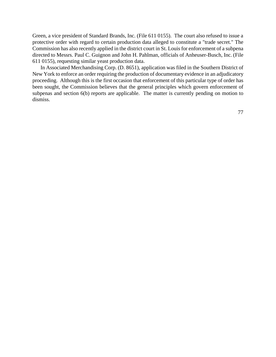Green, a vice president of Standard Brands, Inc. (File 611 0155). The court also refused to issue a protective order with regard to certain production data alleged to constitute a "trade secret." The Commission has also recently applied in the district court in St. Louis for enforcement of a subpena directed to Messrs. Paul C. Guignon and John H. Pahlman, officials of Anheuser-Busch, Inc. (File 611 0155), requesting similar yeast production data.

In Associated Merchandising Corp. (D. 8651), application was filed in the Southern District of New York to enforce an order requiring the production of documentary evidence in an adjudicatory proceeding. Although this is the first occasion that enforcement of this particular type of order has been sought, the Commission believes that the general principles which govern enforcement of subpenas and section 6(b) reports are applicable. The matter is currently pending on motion to dismiss.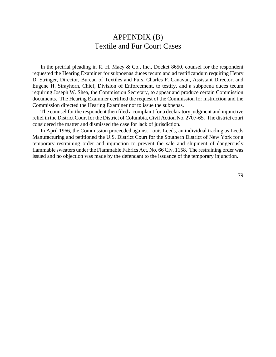## APPENDIX (B) Textile and Fur Court Cases

In the pretrial pleading in R. H. Macy  $& Co.,$  Inc., Docket 8650, counsel for the respondent requested the Hearing Examiner for subpoenas duces tecum and ad testificandum requiring Henry D. Stringer, Director, Bureau of Textiles and Furs, Charles F. Canavan, Assistant Director, and Eugene H. Strayhorn, Chief, Division of Enforcement, to testify, and a subpoena duces tecum requiring Joseph W. Shea, the Commission Secretary, to appear and produce certain Commission documents. The Hearing Examiner certified the request of the Commission for instruction and the Commission directed the Hearing Examiner not to issue the subpenas.

The counsel for the respondent then filed a complaint for a declaratory judgment and injunctive relief in the District Court for the District of Columbia, Civil Action No. 2707-65. The district court considered the matter and dismissed the case for lack of jurisdiction.

In April 1966, the Commission proceeded against Louis Leeds, an individual trading as Leeds Manufacturing and petitioned the U.S. District Court for the Southern District of New York for a temporary restraining order and injunction to prevent the sale and shipment of dangerously flammable sweaters under the Flammable Fabrics Act, No. 66 Civ. 1158. The restraining order was issued and no objection was made by the defendant to the issuance of the temporary injunction.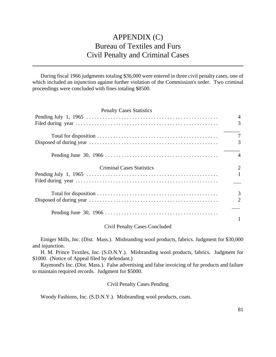# APPENDIX (C) Bureau of Textiles and Furs Civil Penalty and Criminal Cases

During fiscal 1966 judgments totaling \$36,000 were entered in three civil penalty cases, one of which included an injunction against further violation of the Commission's order. Two criminal proceedings were concluded with fines totaling \$8500.

| <b>Penalty Cases Statistics</b>  |                     |
|----------------------------------|---------------------|
|                                  | 4<br>3              |
|                                  | $\overline{7}$<br>3 |
|                                  | $\overline{4}$      |
| <b>Criminal Cases Statistics</b> | 2                   |
|                                  | $\mathbf{1}$        |
|                                  | 3<br>$\overline{2}$ |
|                                  |                     |

### Civil Penalty Cases Concluded

Einiger Mills, Inc. (Dist. Mass.). Misbranding wool products, fabrics. Judgment for \$30,000 and injunction.

H. M. Prince Textiles, Inc. (S.D.N.Y.). Misbranding wool products, fabrics. Judgment for \$1000. (Notice of Appeal filed by defendant.)

Raymond's Inc. (Dist. Mass.). False advertising and false invoicing of fur products and failure to maintain required records. Judgment for \$5000.

Civil Penalty Cases Pending

Woody Fashions, Inc. (S.D.N.Y.). Misbranding wool products, coats.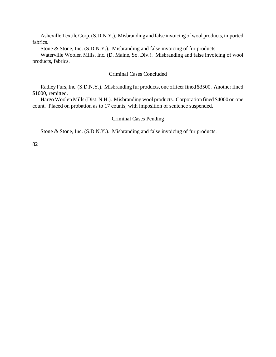AshevilleTextileCorp.(S.D.N.Y.). Misbranding and false invoicing of wool products, imported fabrics.

Stone & Stone, Inc. (S.D.N.Y.). Misbranding and false invoicing of fur products.

Waterville Woolen Mills, Inc. (D. Maine, So. Div.). Misbranding and false invoicing of wool products, fabrics.

### Criminal Cases Concluded

Radley Furs, Inc.(S.D.N.Y.). Misbranding fur products, one officer fined \$3500. Another fined \$1000, remitted.

Hargo Woolen Mills(Dist. N.H.). Misbranding wool products. Corporation fined \$4000 on one count. Placed on probation as to 17 counts, with imposition of sentence suspended.

#### Criminal Cases Pending

Stone & Stone, Inc. (S.D.N.Y.). Misbranding and false invoicing of fur products.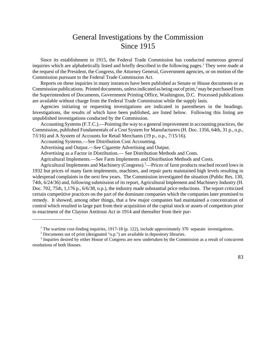## General Investigations by the Commission Since 1915

Since its establishment in 1915, the Federal Trade Commission has conducted numerous general inquiries which are alphabetically listed and briefly described in the following pages.<sup>1</sup> They were made at the request of the President, the Congress, the Attorney General, Government agencies, or on motion of the Commission pursuant to the Federal Trade Commission Act.

Reports on these inquiries in many instances have been published as Senate or House documents or as Commission publications. Printed documents, unless indicated as being out of print, $\frac{2}{3}$  may be purchased from the Superintendent of Documents, Government Printing Office, Washington, D.C. Processed publications are available without charge from the Federal Trade Commission while the supply lasts.

Agencies initiating or requesting investigations are indicated in parentheses in the headings. Investigations, the results of which have been published, are listed below. Following this listing are unpublished investigations conducted by the Commission.

Accounting Systems (F.T.C.).—Pointing the way to a general improvement in accounting practices, the Commission, published Fundamentals of a Cost System for Manufacturers (H. Doc. 1356, 64th, 31 p., o.p., 7/l/16) and A System of Accounts for Retail Merchants (19 p., o.p., 7/15/16).

Accounting Systems.—See Distribution Cost Accounting.

\_\_\_\_\_\_\_\_\_\_\_\_\_\_\_\_

Advertising and Output.—See Cigarette Advertising and Output.

Advertising as a Factor in Distribution.— See Distribution Methods and Costs.

Agricultural Implements.—See Farm Implements and Distribution Methods and Costs.

Agricultural Implements and Machinery (Congress).<sup>3</sup>—Prices of farm products reached record lows in 1932 but prices of many farm implements, machines, and repair parts maintained high levels resulting in widespread complaints in the next few years. The Commission investigated the situation (Public Res. 130, 74th, 6/24/36) and, following submission of its report, Agricultural Implement and Machinery Industry (H. Doc. 702, 75th, 1,176 p., 6/6/38, o.p.), the industry made substantial price reductions. The report criticized certain competitive practices on the part of the dominant companies which the companies later promised to remedy. It showed, among other things, that a few major companies had maintained a concentration of control which resulted in large part from their acquisition of the capital stock or assets of competitors prior to enactment of the Clayton Antitrust Act in 1914 and thereafter from their pur-

<sup>&</sup>lt;sup>1</sup> The wartime cost-finding inquiries, 1917-18 (p. 122), include approximately 370 separate investigations.

 $2$  Documents out of print (designated "o.p.") are available in depository libraries.

<sup>&</sup>lt;sup>3</sup> Inquiries desired by either House of Congress are now undertaken by the Commission as a result of concurrent resolutions of both Houses.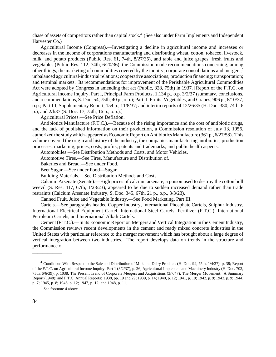chase of assets of competitors rather than capital stock.<sup>4</sup> (See also under Farm Implements and Independent Harvester Co.)

Agricultural Income (Congress).—Investigating a decline in agricultural income and increases or decreases in the income of corporations manufacturing and distributing wheat, cotton, tobacco, livestock, milk, and potato products (Public Res. 61, 74th, 8/27/35), and table and juice grapes, fresh fruits and vegetables (Public Res. 112, 74th, 6/20/36), the Commission made recommendations concerning, among other things, the marketing of commodities covered by the inquiry; corporate consolidations and mergers;<sup>5</sup> unbalanced agricultural-industrial relations; cooperative associations; production financing; transportation; and terminal markets. Its recommendations for improvement of the Perishable Agricultural Commodities Act were adopted by Congress in amending that act (Public, 328, 75th) in 1937. [Report of the F.T.C. on Agricultural Income Inquiry, Part I, Principal Farm Products, 1,134 p., o.p. 3/2/37 (summary, conclusions, and recommendations, S. Doc. 54, 75th, 40 p., o.p.); Part II, Fruits, Vegetables, and Grapes, 906 p., 6/10/37, o.p.; Part III, Supplementary Report, 154 p., 11/8/37; and interim reports of 12/26/35 (H. Doc. 380, 74th, 6 p.), and 2/l/37 (S. Doc. 17, 75th, 16 p., o.p.).]

#### Agricultural Prices.—See Price Deflation.

Antibiotics Manufacture (F.T.C.).—Because of the rising importance and the cost of antibiotic drugs, and the lack of published information on their production, a Commission resolution of July 13, 1956, authorized the study which appeared as Economic Report on Antibiotics Manufacture (361 p., 6/27/58). This volume covered the origin and history of the industry, the companies manufacturing antibiotics, production processes, marketing, prices, costs, profits, patents and trademarks, and public health aspects.

Automobiles.—See Distribution Methods and Costs, and Motor Vehicles.

Automotive Tires.—See Tires, Manufacture and Distribution of.

Bakeries and Bread.—See under Food.

Beet Sugar.—See under Food—Sugar.

Building Materials.—See Distribution Methods and Costs.

Calcium Arsenate (Senate).—High prices of calcium arsenate, a poison used to destroy the cotton boll weevil (S. Res. 417, 67th, 1/23/23), appeared to be due to sudden increased demand rather than trade restraints (Calcium Arsenate Industry, S. Doc. 345, 67th, 21 p., o.p., 3/3/23).

Canned Fruit, Juice and Vegetable Industry.—See Food Marketing, Part III.

Cartels.—See paragraphs headed Copper Industry, International Phosphate Cartels, Sulphur Industry, International Electrical Equipment Cartel, International Steel Cartels, Fertilizer (F.T.C.), International Petroleum Cartels, and International Alkali Cartels.

Cement (F.T.C.).—In its Economic Report on Mergers and Vertical Integration in the Cement Industry, the Commission reviews recent developments in the cement and ready mixed concrete industries in the United States with particular reference to the merger movement which has brought about a large degree of vertical integration between two industries. The report develops data on trends in the structure and performance of

\_\_\_\_\_\_\_\_\_\_\_\_

<sup>4</sup> Conditions With Respect to the Sale and Distribution of Milk and Dairy Products (H. Doc. 94, 75th, 1/4/37), p. 38; Report of the F.T.C. on Agricultural Income Inquiry, Part 1 (3/2/37), p. 26; Agricultural Implement and Machinery Industry (H. Doc. 702, 75th, 6/6/39), p. 1038; The Present Trend of Corporate Mergers and Acquisitions (3/7/47); The Merger Movement: A Summary Report (1948); and F.T.C. Annual Reports: 1938, pp. 19 and 29; 1939, p. 14; 1940, p. 12; 1941, p. 19; 1942, p. 9; 1943, p. 9; 1944, p. 7; 1945, p. 8; 1946, p. 12; 1947, p. 12; and 1948, p. 11.

<sup>5</sup> See footnote 4 above.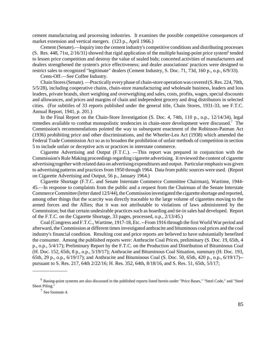cement manufacturing and processing industries. It examines the possible competitive consequences of market extension and vertical mergers. (123 p., April 1966.)

Cement (Senate).—Inquiry into the cement industry's competitive conditions and distributing processes (S. Res. 448, 71st,  $2/16/31$ ) showed that rigid application of the multiple basing-point price system $6$  tended to lessen price competition and destroy the value of sealed bids; concerted activities of manufacturers and dealers strengthened the system's price effectiveness; and dealer associations' practices were designed to restrict sales to recognized "legitimate" dealers (Cement Industry, S. Doc. 71, 73d, 160 p., o.p., 6/9/33).

Cents-Off.—See Coffee Industry.

Chain Stores(Senate).—Practically every phase of chain-store operationwas covered (S.Res. 224, 70th, 5/5/28), including cooperative chains, chain-store manufacturing and wholesale business, leaders and loss leaders, private brands, short weighing and overweighing and sales, costs, profits, wages, special discounts and allowances, and prices and margins of chain and independent grocery and drug distributors in selected cities. (For subtitles of 33 reports published under the general title, Chain Stores, 1931-33, see F.T.C. Annual Report, 1941, p. 201.)

In the Final Report on the Chain-Store Investigation (S. Doc. 4, 74th, 110 p., o.p., 12/14/34), legal remedies available to combat monopolistic tendencies in chain-store development were discussed.<sup>7</sup> The Commission's recommendations pointed the way to subsequent enactment of the Robinson-Patman Act (1936) prohibiting price and other discriminations, and the Wheeler-Lea Act (1938) which amended the Federal Trade Commission Act so as to broaden the prohibition of unfair methods of competition in section 5 to include unfair or deceptive acts or practices in interstate commerce.

Cigarette Advertising and Output (F.T.C.). —This report was prepared in conjunction with the Commission's Rule Making proceedings regarding cigarette advertising. It reviewed the content of cigarette advertising together with related data on advertising expenditures and output. Particular emphasis was given to advertising patterns and practices from 1950 through 1964. Data from public sources were used. (Report on Cigarette Advertising and Output, 56 p., January 1964.)

Cigarette Shortage (F.T.C. and Senate Interstate Commerce Committee Chairman), Wartime, 1944- 45.—In response to complaints from the public and a request from the Chairman of the Senate Interstate Commerce Committee (letter dated 12/l/44), the Commission investigated the cigarette shortage and reported, among other things that the scarcity was directly traceable to the large volume of cigarettes moving to the armed forces and the Allies; that it was not attributable to violations of laws administered by the Commission; but that certain undesirable practices such as hoarding and tie-in sales had developed. Report of the F.T.C. on the Cigarette Shortage, 33 pages, processed, o.p., 2/13/45.)

Coal (Congress and F.T.C., Wartime, 1917-18, Etc. --From1916 through the first World War period and afterward, the Commission at different times investigated anthracite and bituminous coal prices and the coal industry's financial condition. Resulting cost and price reports are believed to have substantially benefited the consumer. Among the published reports were: Anthracite Coal Prices, preliminary (S. Doc. 19, 65th, 4 p., o.p., 5/4/17); Preliminary Report by the F.T.C. on the Production and Distribution of Bituminous Coal (H. Doc. 152, 65th, 8 p., o.p., 5/19/17); Anthracite and Bituminous Coal Situation, summary (H. Doc. 193, 65th, 29 p., o.p., 6/19/17); and Anthracite and Bituminous Coal (S. Doc. 50, 65th, 420 p., o.p., 6/19/17)- pursuant to S. Res. 217, 64th 2/22/16; H. Res. 352, 64th, 8/18/16, and S. Res. 51, 65th, 5/l/17;

\_\_\_\_\_\_\_\_\_\_\_\_\_\_

<sup>6</sup> Basing-point systems are also discussed in the published reports listed herein under "Price Bases," "Steel Code," and "Steel Sheet Piling."

<sup>7</sup> See footnote 4.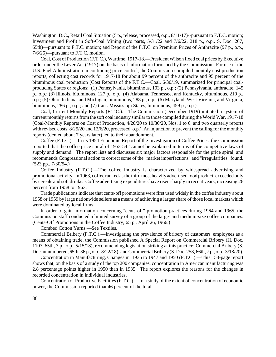Washington, D.C., Retail Coal Situation (5 p., release, processed, o.p., 8/11/17)--pursuant to F.T.C. motion; Investment and Profit in Soft-Coal Mining (two parts, 5/31/22 and 7/6/22, 218 p., o.p., S. Doc. 207, 65th)—pursuant to F.T.C. motion; and Report of the F.T.C. on Premium Prices of Anthracite (97 p., o.p., 7/6/25)—pursuant to F.T.C. motion.

Coal,Cost of Production (F.T.C.), Wartime, 1917-18.—President Wilson fixed coal prices byExecutive order under the Lever Act (1917) on the basis of information furnished by the Commission. For use of the U.S. Fuel Administration in continuing price control, the Commission compiled monthly cost production reports, collecting cost records for 1917-18 for about 99 percent of the anthracite and 95 percent of the bituminous coal production (Cost Reports of the F.T.C.—Coal, 6/30/19, summarized for principal coalproducing States or regions: (1) Pennsylvania, bituminous, 103 p., o.p.; (2) Pennsylvania, anthracite, 145 p., o.p.; (3) Illinois, bituminous, 127 p., o.p.; (4) Alabama, Tennessee, and Kentucky, bituminous, 210 p., o.p.; (5) Ohio, Indiana, and Michigan, bituminous, 288 p., o.p.; (6) Maryland, West Virginia, and Virginia, bituminous, 286 p., o.p.; and (7) trans-Mississippi States, bituminous, 459 p., o.p.).

Coal, Current Monthly Reports (F.T.C.).—The Commission (December 1919) initiated a system of current monthly returns from the soft coal industry similar to those compiled during the World War, 1917-18 (Coal-Monthly Reports on Cost of Production, 4/20/20 to 10/30/20, Nos. 1 to 6, and two quarterly reports with revised costs,  $8/25/20$  and  $12/6/20$ , processed, o.p.). An injunction to prevent the calling for the monthly reports (denied about 7 years later) led to their abandonment.

Coffee (F.T.C.).—In its 1954 Economic Report of the Investigation of Coffee Prices, the Commission reported that the coffee price spiral of 1953-54 "cannot be explained in terms of the competitive laws of supply and demand." The report lists and discusses six major factors responsible for the price spiral, and recommends Congressional action to correct some of the "market imperfections" and "irregularities" found. (523 pp., 7/30/54.)

Coffee Industry (F.T.C.).—The coffee industry is characterized by widespread advertising and promotional activity. In 1963, coffee ranked as the third most heavily advertised food product, exceeded only by cereals and soft drinks. Coffee advertising expenditures have risen sharply in recent years, increasing 26 percent from 1958 to 1963.

Trade publications indicate that cents-off promotions were first used widely in the coffee industry about 1958 or 1959 by large nationwide sellers as a means of achieving a larger share of those local markets which were dominated by local firms.

In order to gain information concerning "cents-off" promotion practices during 1964 and 1965, the Commission staff conducted a limited survey of a group of the large- and medium-size coffee companies. (Cents-Off Promotions in the Coffee Industry, 65 p., April 26, 1966.)

Combed Cotton Yarns.—See Textiles.

Commercial Bribery (F.T.C.).—Investigating the prevalence of bribery of customers' employees as a means of obtaining trade, the Commission published A Special Report on Commercial Bribery (H. Doc. 1107, 65th, 3 p., o.p., 5/15/18), recommending legislation striking at this practice; Commercial Bribery (S. Doc. unnumbered, 65th, 36 p., o.p., 8/22/18); and Commercial Bribery (S. Doc. 258, 66th, 7 p., o.p., 3/18/20).

Concentration in Manufacturing, Changes in, 1935 to 1947 and 1950 (F.T.C.).—This 153-page report shows that, on the basis of a study of the top 200 companies, concentration in American manufacturing was 2.8 percentage points higher in 1950 than in 1935. The report explores the reasons for the changes in recorded concentration in individual industries.

Concentration of Productive Facilities (F.T.C.).—In a study of the extent of concentration of economic power, the Commission reported that 46 percent of the total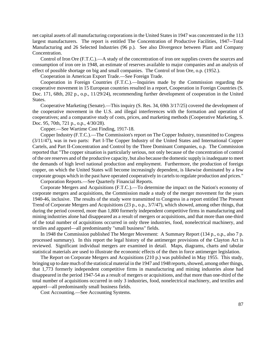net capital assets of all manufacturing corporations in the United States in 1947 was concentrated in the 113 largest manufacturers. The report is entitled The Concentration of Productive Facilities, 1947--Total Manufacturing and 26 Selected Industries (96 p.). See also Divergence between Plant and Company Concentration.

Control of Iron Ore (F.T.C.).—A study of the concentration of iron ore supplies covers the sources and consumption of iron ore in 1948, an estimate of reserves available to major companies and an analysis of effect of possible shortage on big and small companies. The Control of Iron Ore, o.p. (1952.).

Cooperation in American Export Trade.—See Foreign Trade.

Cooperation in Foreign Countries (F.T.C.).—Inquiries made by the Commission regarding the cooperative movement in 15 European countries resulted in a report, Cooperation in Foreign Countries (S. Doc. 171, 68th, 202 p., o.p., 11/29/24), recommending further development of cooperation in the United States.

Cooperative Marketing (Senate).—This inquiry (S. Res. 34, 69th 3/17/25) covered the development of the cooperative movement in the U.S. and illegal interferences with the formation and operation of cooperatives; and a comparative study of costs, prices, and marketing methods (Cooperative Marketing, S. Doc. 95, 70th, 721 p., o.p., 4/30/28).

Copper.—See Wartime Cost Finding, 1917-18.

Copper Industry (F.T.C.).—The Commission's report on The Copper Industry, transmitted to Congress (3/11/47), was in two parts: Part I-The Copper Industry of the United States and International Copper Cartels, and Part II-Concentration and Control by the Three Dominant Companies, o.p. The Commission reported that "The copper situation is particularly serious, not only because of the concentration of control of the ore reserves and of the productive capacity, but also because the domestic supply isinadequate to meet the demands of high level national production and employment. Furthermore, the production of foreign copper, on which the United States will become increasingly dependent, is likewise dominated by a few corporate groups which in the past have operated cooperatively in cartels to regulate production and prices."

Corporation Reports.—See Quarterly Financial Reports.

Corporate Mergers and Acquisitions (F.T.C.).—To determine the impact on the Nation's economy of corporate mergers and acquisitions, the Commission made a study of the merger movement for the years 1940-46, inclusive. The results of the study were transmitted to Congress in a report entitled The Present Trend of Corporate Mergers and Acquisitions (23 p., o.p., 3/7/47), which showed, among other things, that during the period covered, more than 1,800 formerly independent competitive firms in manufacturing and mining industries alone had disappeared as a result of mergers or acquisitions, and that more than one-third of the total number of acquisitions occurred in only three industries, food, nonelectrical machinery, and textiles and apparel—all predominantly "small business" fields.

In 1948 the Commission published The Merger Movement: A Summary Report (134 p., o.p., also 7 p. processed summary). In this report the legal history of the antimerger provisions of the Clayton Act is reviewed. Significant individual mergers are examined in detail. Maps, diagrams, charts and tabular statistical materials are used to illustrate the economic effects of the then in force antimerger legislation.

The Report on Corporate Mergers and Acquisitions (210 p.) was published in May 1955. This study, bringing up to date much of the statistical material in the 1947 and 1948 reports, showed, among other things, that 1,773 formerly independent competitive firms in manufacturing and mining industries alone had disappeared in the period 1947-54 as a result of mergers or acquisitions, and that more than one-third of the total number of acquisitions occurred in only 3 industries, food, nonelectrical machinery, and textiles and apparel—all predominantly small business fields.

Cost Accounting.—See Accounting Systems.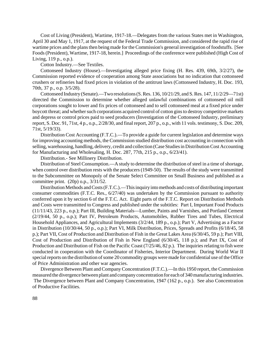Cost of Living (President), Wartime, 1917-18.—Delegates from the various States met in Washington, April 30 and May 1, 1917, at the request of the Federal Trade Commission, and considered the rapid rise of wartime prices and the plans then being made for the Commission's general investigation of foodstuffs. [See Foods(President), Wartime, 1917-18, herein.] Proceedings of the conference were published (High Cost of Living, 119 p., o.p.).

Cotton Industry.—See Textiles.

Cottonseed Industry (House).—Investigating alleged price fixing (H. Res. 439, 69th, 3/2/27), the Commission reported evidence of cooperation among State associations but no indication that cottonseed crushers or refineries had fixed prices in violation of the antitrust laws (Cottonseed Industry, H. Doc. 193, 70th, 37 p., o.p. 3/5/28).

Cottonseed Industry (Senate).—Two resolutions(S.Res. 136, 10/21/29, and S.Res. 147, 11/2/29—71st) directed the Commission to determine whether alleged unlawful combinations of cottonseed oil mill corporations sought to lower and fix prices of cottonseed and to sell cottonseed meal at a fixed price under boycott threat; and whether such corporations acquired control of cotton gins to destroy competitive markets and depress or control prices paid to seed producers (Investigation of the Cottonseed Industry, preliminary report, S. Doc. 91, 71st, 4 p., o.p., 2/28/30, and final report, 207 p., o.p., with 11 vols. testimony, S. Doc. 209, 71st, 5/19/33).

Distribution Cost Accounting (F.T.C.).—To provide a guide for current legislation and determine ways for improving accounting methods, the Commission studied distribution cost accounting in connection with selling, warehousing, handling, delivery, credit and collection (Case Studies in Distribution Cost Accounting for Manufacturing and Wholesaling, H. Doc. 287, 77th, 215 p., o.p., 6/23/41).

Distribution.- See Millinery Distribution.

Distribution of Steel Consumption.—A study to determine the distribution of steel in a time of shortage, when control over distribution rests with the producers (1949-50). The results of the study were transmitted to the Subcommittee on Monopoly of the Senate Select Committee on Small Business and published as a committee print. (20p) o.p., 3/31/52.

Distribution Methods and Costs (F.T.C.).—This inquiry into methods and costs of distributing important consumer commodities (F.T.C. Res., 6/27/40) was undertaken by the Commission pursuant to authority conferred upon it by section 6 of the F.T.C. Act. Eight parts of the F.T.C. Report on Distribution Methods and Costs were transmitted to Congress and published under the subtitles: Part I, Important Food Products (11/11/43, 223 p., o.p.); Part III, Building Materials—Lumber, Paints and Varnishes, and Portland Cement (2/19/44, 50 p., o.p.); Part IV, Petroleum Products, Automobiles, Rubber Tires and Tubes, Electrical Household Appliances, and Agricultural Implements (3/2/44, 189 p., o.p.); Part V, Advertising as a Factor in Distribution (10/30/44, 50 p., o.p.); Part VI, Milk Distribution, Prices, Spreads and Profits (6/18/45, 58 p.); Part VII, Cost of Production and Distribution of Fish in the Great Lakes Area (6/30/45, 59 p.); Part VIII, Cost of Production and Distribution of Fish in New England (6/30/45, 118 p.); and Part IX, Cost of Production and Distribution of Fish on the Pacific Coast (7/25/46, 82 p.). The inquiries relating to fish were conducted in cooperation with the Coordinator of Fisheries, Interior Department. During World War II special reports on the distribution of some 20 commodity groups were made for confidential use of the Office of Price Administration and other war agencies.

Divergence Between Plant and CompanyConcentration (F.T.C.).—In this 1950 report, the Commission measured the divergence between plant and company concentration for each of 340 manufacturing industries. The Divergence between Plant and Company Concentration, 1947 (162 p., o.p.). See also Concentration of Productive Facilities.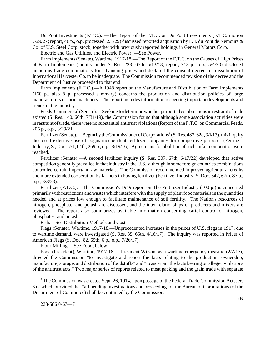Du Pont Investments (F.T.C.). —The Report of the F.T.C. on Du Pont Investments (F.T.C. motion 7/29/27; report, 46 p., o.p. processed, 2/1/29) discussed reported acquisition by E. I. du Pont de Nemours & Co. of U.S. Steel Corp. stock, together with previously reported holdings in General Motors Corp.

Electric and Gas Utilities, and Electric Power. —See Power.

Farm Implements(Senate), Wartime, 1917-18.—The Report of the F.T.C. on the Causes of High Prices of Farm Implements (inquiry under S. Res. 223; 65th, 5/13/18; report, 713 p., o.p., 5/4/20) disclosed numerous trade combinations for advancing prices and declared the consent decree for dissolution of International Harvester Co. to be inadequate. The Commission recommended revision of the decree and the Department of Justice proceeded to that end.

Farm Implements (F.T.C.).—A 1948 report on the Manufacture and Distribution of Farm Implements (160 p., also 8 p. processed summary) concerns the production and distribution policies of large manufacturers of farm machinery. The report includes information respecting important developments and trends in the industry.

Feeds, Commercial (Senate).—Seeking to determine whether purported combinations in restraint of trade existed (S. Res. 140, 66th, 7/31/19), the Commission found that although some association activities were in restraint of trade, there were no substantial antitrust violations (Report of the F.T.C. on Commercial Feeds, 206 p., o.p., 3/29/21.

Fertilizer (Senate).—Begun by the Commissioner of Corporations<sup>8</sup> (S. Res. 487, 62d, 3/l/13), this inquiry disclosed extensive use of bogus independent fertilizer companies for competitive purposes (Fertilizer Industry, S., Doc. 551, 64th, 269 p., o.p., 8/19/16). Agreements for abolition of such unfair competition were reached.

Fertilizer (Senate).—A second fertilizer inquiry (S. Res. 307, 67th, 6/17/22) developed that active competition generally prevailed in that industry in the U.S., although in some foreign countries combinations controlled certain important raw materials. The Commission recommended improved agricultural credits and more extended cooperation by farmers in buying fertilizer (Fertilizer Industry, S. Doc. 347, 67th, 87 p., o.p., 3/3/23).

Fertilizer (F.T.C.).—The Commission's 1949 report on The Fertilizer Industry (100 p.) is concerned primarily with restrictions and wastes which interfere with the supply of plant food materials in the quantities needed and at prices low enough to facilitate maintenance of soil fertility. The Nation's resources of nitrogen, phosphate, and potash are discussed, and the inter-relationships of producers and mixers are reviewed. The report also summarizes available information concerning cartel control of nitrogen, phosphates, and potash.

Fish.—See Distribution Methods and Costs.

Flags (Senate), Wartime, 1917-18.—Unprecedented increases in the prices of U.S. flags in 1917, due to wartime demand, were investigated (S. Res. 35, 65th, 4/16/17). The inquiry was reported in Prices of American Flags (S. Doc. 82, 65th, 6 p., o.p., 7/26/17).

Flour Milling.—See Food, below.

Food (President), Wartime, 1917-18. —President Wilson, as a wartime emergency measure (2/7/17), directed the Commission "to investigate and report the facts relating to the production, ownership, manufacture, storage, and distribution of foodstuffs" and "to ascertain the facts bearing on alleged violations of the antitrust acts." Two major series of reports related to meat packing and the grain trade with separate

 $8$  The Commission was created Sept. 26, 1914, upon passage of the Federal Trade Commission Act, sec. 3 of which provided that "all pending investigations and proceedings of the Bureau of Corporations (of the Department of Commerce) shall be continued by the Commission."

\_\_\_\_\_\_\_\_\_\_\_\_\_\_\_\_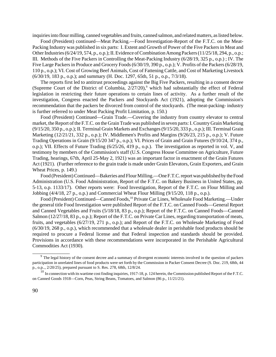inquiries into flour milling, canned vegetables and fruits, canned salmon, and related matters, as listed below.

Food (President) continued—Meat Packing.—Food Investigation-Report of the F.T.C. on the Meat-Packing Industry was published in six parts: I. Extent and Growth of Power of the Five Packers in Meat and Other Industries (6/24/19, 574, p., o.p.); II. Evidence of Combination Among Packers (11/25/18, 294, p., o.p.; III. Methods of the Five Packers in Controlling the Meat-Packing Industry (6/28/19, 325 p., o.p.) ; IV. The Five Large Packers in Produce and Grocery Foods (6/30/19, 390 p., o.p.); V. Profits of the Packers (6/28/19, 110 p., o.p.); VI. Cost of Growing Beef Animals, Cost of Fattening Cattle, and Cost of Marketing Livestock (6/30/19, 183 p., o.p.); and summary (H. Doc. 1297, 65th, 51 p., o.p., 7/3/18).

The reports first led to antitrust proceedings against the Big Five Packers, resulting in a consent decree (Supreme Court of the District of Columbia,  $2/27/20$ ),<sup>9</sup> which had substantially the effect of Federal legislation in restricting their future operations to certain lines of activity. As a further result of the investigation, Congress enacted the Packers and Stockyards Act (1921), adopting the Commission's recommendation that the packers be divorced from control of the stockyards. (The meat-packing- industry is further referred to under Meat Packing Profit Limitation, p. 150.)

Food (President) Continued—Grain Trade.—Covering the industry from country elevator to central market, the Report of the F.T.C. on the Grain Trade was published in seven parts: I. Country Grain Marketing (9/15/20, 350 p., o.p.); II. Terminal Grain Markets and Exchanges(9/15/20, 333 p., o.p.); III. Terminal Grain Marketing (12/21/21, 332 p., o.p.); IV. Middlemen's Profits and Margins (9/26/23, 215 p., o.p.); V. Future Trading Operations in Grain (9/15/20 347 p., o.p.); VI. Prices of Grain and Grain Futures (9/10/24, 374 p., o.p.); VII. Effects of Future Trading (6/25/26, 419 p., o.p.). The investigation as reported in vol. V, and testimony by members of the Commission's staff (U.S. Congress House Committee on Agriculture, Future Trading, hearings, 67th, April 25-May 2, 1921) was an important factor in enactment of the Grain Futures Act (1921). (Further reference to the grain trade is made under Grain Elevators, Grain Exporters, and Grain Wheat Prices, p. 149.)

Food (President) Continued—Bakeries and Flour Milling.—One F.T.C. report was published by the Food Administration (U.S. Food Administration, Report of the F.T.C. on Bakery Business in United States, pp. 5-13, o.p. 1133/17). Other reports were: Food Investigation, Report of the F.T.C. on Flour Milling and Jobbing (4/4/18, 27 p., o.p.) and Commercial Wheat Flour Milling (9/15/20, 118 p., o.p.).

Food (President) Continued—Canned Foods,<sup>10</sup> Private Car Lines, Wholesale Food Marketing.—Under the general title Food Investigation were published Report of the F.T.C. on Canned Foods—General Report and Canned Vegetables and Fruits (5/18/18, 83 p., o.p.); Report of the F.T.C. on Canned Foods—Canned Salmon (12/27/18, 83 p., o.p.); Report of the F.T.C. on Private Car Lines, regarding transportation of meats, fruits, and vegetables (6/27/19, 271 p., o.p.); and Report of the F.T.C. on Wholesale Marketing of Food (6/30/19, 268 p., o.p.), which recommended that a wholesale dealer in perishable food products should be required to procure a Federal license and that Federal inspection and standards should be provided. Provisions in accordance with these recommendations were incorporated in the Perishable Agricultural Commodities Act (1930).

\_\_\_\_\_\_\_\_\_\_\_\_\_\_\_

 $9$  The legal history of the consent decree and a summary of divergent economic interests involved in the question of packers participation in unrelated lines of food products were set forth by the Commission in Packer Consent Decree (S. Doc. 219, 68th, 44 p., o.p.., 2/20/25), prepared pursuant to S. Res. 278, 68th, 12/8/24.

 $10$  In connection with its wartime cost finding inquiries, 1917-18, p. 124 herein, the Commission published Report of the F.T.C. on Canned Goods 1918—Corn, Peas, String Beans, Tomatoes, and Salmon (86 p., 11/21/21).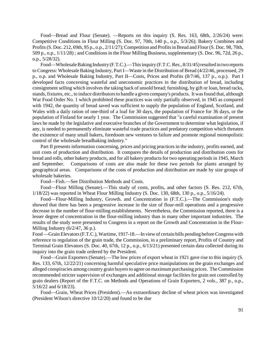Food—Bread and Flour (Senate). —Reports on this inquiry (S. Res. 163, 68th, 2/26/24) were: Competitive Conditions in Flour Milling (S. Doc. 97, 70th, 140 p., o.p., 5/3/26); Bakery Combines and Profits (S. Doc. 212, 69th, 95 p., o.p., 2/11/27); Competition and Profits in Bread and Flour (S. Doc. 98, 70th, 509 p., o.p., 1/11/28) ; and Conditions in the Flour Milling Business, supplementary (S. Doc. 96, 72d, 26 p., o.p., 5/28/32).

Food—Wholesale Baking Industry (F.T.C.).—This inquiry (F.T.C. Res., 8/31/45) resulted in two reports to Congress: Wholesale Baking Industry, Part I—Waste in the Distribution of Bread (4/22/46, processed, 29 p., o.p. and Wholesale Baking Industry, Part II—Costs, Prices and Profits (8/7/46, 137 p., o.p.). Part I developed facts concerning wasteful and uneconomic practices in the distribution of bread, including consignment selling which involves the taking back of unsold bread; furnishing, by gift or loan, bread racks, stands, fixtures, etc., to induce distributors to handle a given company's products. It was found that, although War Food Order No. 1 which prohibited these practices was only partially observed, in 1945 as compared with 1942, the quantity of bread saved was sufficient to supply the population of England, Scotland, and Wales with a daily ration of one-third of a loaf for 30 days, the population of France for 36 days, or the population of Finland for nearly 1 year. The Commission suggested that "a careful examination of present laws be made by the legislative and executive branches of the Government to determine what legislation, if any, is needed to permanently eliminate wasteful trade practices and predatory competition which threaten the existence of many small bakers, foredoom new ventures to failure and promote regional monopolistic control of the wholesale breadbaking industry."

Part II presents information concerning, prices and pricing practices in the industry, profits earned, and unit costs of production and distribution. It compares the details of production and distribution costs for bread and rolls, other bakery products, and for all bakery products for two operating periods in 1945, March and September. Comparisons of costs are also made for these two periods for plants arranged by geographical areas. Comparisons of the costs of production and distribution are made by size groups of wholesale bakeries.

Food—Fish.—See Distribution Methods and Costs.

Food—Flour Milling (Senate).—This study of costs, profits, and other factors (S. Res. 212, 67th, 1/18/22) was reported in Wheat Flour Milling Industry (S. Doc. 130, 68th, 130 p., o.p., 5/16/24).

Food—Flour-Milling Industry, Growth. and Concentration in (F.T.C.).—The Commission's study showed that there has been a progressive increase in the size of flour-mill operations and a progressive decrease in the number of flour-milling establishments. Nevertheless, the Commission reported, there is a lesser degree of concentration in the flour-milling industry than in many other important industries. The results of the study were presented to Congress in a report on the Growth and Concentration in the Flour-Milling Industry (6/2/47, 36 p.).

Food—Grain Elevators (F.T.C.), Wartime, 1917-18.—In view of certain bills pending before Congress with reference to regulation of the grain trade, the Commission, in a preliminary report, Profits of Country and Terminal Grain Elevators (S. Doc. 40, 67th, 12 p., o.p., 6/13/21) presented certain data collected during its inquiry into the grain trade ordered by the President.

Food—Grain Exporters (Senate).—The low prices of export wheat in 1921 gave rise to this inquiry (S. Res. 133, 67th, 12/22/21) concerning harmful speculative price manipulations on the grain exchanges and alleged conspiracies among country grain buyers to agree on maximum purchasing prices. The Commission recommended stricter supervision of exchanges and additional storage facilities for grain not controlled by grain dealers (Report of the F.T.C. on Methods and Operations of Grain Exporters, 2 vols., 387 p., o.p., 5/16/22 and 6/18/23).

Food—Grain, Wheat Prices (President).—An extraordinary decline of wheat prices was investigated (President Wilson's directive 10/12/20) and found to be due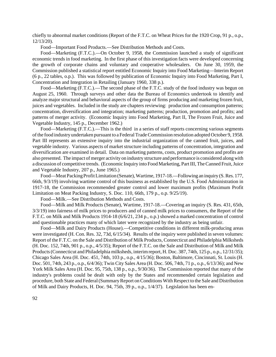chiefly to abnormal market conditions (Report of the F.T.C. on Wheat Prices for the 1920 Crop, 91 p., o.p., 12/13/20).

Food—Important Food Products.—See Distribution Methods and Costs.

Food—Marketing (F.T.C.).—On October 9, 1958, the Commission launched a study of significant economic trends in food marketing. In the first phase of this investigation facts were developed concerning the growth of corporate chains and voluntary and cooperative wholesalers. On June 30, 1959, the Commission published a statistical report entitled Economic Inquiry into Food Marketing—Interim Report (6 p., 22 tables, o.p.). This was followed by publication of Economic Inquiry into Food Marketing, Part I, Concentration and Integration in Retailing (January 1960, 338 p.).

Food—Marketing (F.T.C.).—The second phase of the F.T.C. study of the food industry was begun on August 25, 1960. Through surveys and other data the Bureau of Economics undertook to identify and analyze major structural and behavioral aspects of the group of firms producing and marketing frozen fruit, juices and vegetables. Included in the study are chapters reviewing: production and consumption patterns; concentration, diversification and integration; marketing patterns; production, promotion and profits; and patterns of merger activity. (Economic Inquiry into Food Marketing, Part II, The Frozen Fruit, Juice and Vegetable Industry, 145 p., December 1962.)

Food—Marketing (F.T.C.).—This is the third in a series of staff reports concerning various segments of the food industry undertaken pursuant to a Federal Trade Commission resolution adopted October 9, 1958. Part III represents an extensive inquiry into the industrial organization of the canned fruit, juices, and vegetable industry. Various aspects of market structure including patterns of concentration, integration and diversification are examined in detail. Data on marketing patterns, costs, product promotion and profits are also presented. The impact of merger activity on industry structure and performance is considered along with a discussion of competitive trends. (Economic Inquiry into Food Marketing, Part III, The Canned Fruit, Juice and Vegetable Industry, 207 p., June 1965.)

Food—Meat Packing Profit Limitation (Senate), Wartime, 1917-18.—Following an inquiry (S. Res. 177, 66th, 9/3/19) involving wartime control of this business as established by the U.S. Food Administration in 1917-18, the Commission recommended greater control and lower maximum profits (Maximum Profit Limitation on Meat Packing Industry, S. Doc. 110, 66th, 179 p., o.p. 9/25/19).

Food—Milk.—See Distribution Methods and Costs.

Food—Milk and Milk Products (Senate), Wartime, 1917-18.—Covering an inquiry (S. Res. 431, 65th, 3/3/19) into fairness of milk prices to producers and of canned milk prices to consumers, the Report of the F.T.C. on Milk and Milk Products 1914-18 (6/6/21, 234 p., o.p.) showed a marked concentration of control and questionable practices many of which later were recognized by the industry as being unfair.

Food—Milk and Dairy Products (House).—Competitive conditions in different milk-producing areas were investigated (H. Con. Res. 32, 73d, 6/15/34). Results of the inquiry were published in seven volumes: Report of the F.T.C. on the Sale and Distribution of Milk Products, Connecticut and Philadelphia Milksheds (H. Doc. 152, 74th, 901 p., o.p., 4/5/35); Report of the F.T.C. on the Sale and Distribution of Milk and Milk Products(Connecticut and Philadelphia milksheds, interimreport, H. Doc. 387, 74th, 125 p., o.p., 12/31/35); Chicago Sales Area (H. Doc. 451, 74th, 103 p., o.p., 4/15/36); Boston, Baltimore, Cincinnati, St. Louis (H. Doc. 501, 74th, 243 p., o.p., 6/4/36); Twin City Sales Area (H. Doc. 506, 74th, 71 p., o.p., 6/13/36); and New York Milk Sales Area (H. Doc. 95, 75th, 138 p., o.p., 9/30/36). The Commission reported that many of the industry's problems could be dealt with only by the States and recommended certain legislation and procedure, both State and Federal (Summary Report on Conditions With Respect to the Sale and Distribution of Milk and Dairy Products, H. Doc. 94, 75th, 39 p., o.p., 1/4/37). Legislation has been en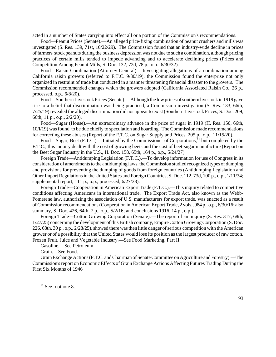acted in a number of States carrying into effect all or a portion of the Commission's recommendations.

Food—Peanut Prices (Senate).—An alleged price-fixing combination of peanut crushers and mills was investigated (S. Res. 139, 71st, 10/22/29). The Commission found that an industry-wide decline in prices offarmers'stock peanuts during the business depression was not due to such a combination, although pricing practices of certain mills tended to impede advancing and to accelerate declining prices (Prices and Competition Among Peanut Mills, S. Doc. 132, 72d, 78 p., o.p., 6/30/32).

Food—Raisin Combination (Attorney General).—Investigating allegations of a combination among California raisin growers (referred to F.T.C. 9/30/19), the Commission found the enterprise not only organized in restraint of trade but conducted in a manner threatening financial disaster to the growers. The Commission recommended changes which the growers adopted (California Associated Raisin Co., 26 p., processed, o.p., 6/8/20).

Food—Southern Livestock Prices (Senate).—Although the low prices of southern livestock in 1919 gave rise to a belief that discrimination was being practiced, a Commission investigation (S. Res. 133, 66th, 7/25/19) revealed the alleged discrimination did not appear to exist (Southern Livestock Prices, S. Doc. 209, 66th, 11 p., o.p., 2/2/20).

Food—Sugar (House).—An extraordinary advance in the price of sugar in 1919 (H. Res. 150, 66th, 10/l/19) wasfound to be due chiefly to speculation and hoarding. The Commission made recommendations for correcting these abuses (Report of the F.T.C. on Sugar Supply and Prices, 205 p., o.p., 11/15/20).

Food—Sugar, Beet (F.T.C.).—Initiated by the Commissioner of Corporations,<sup>11</sup> but completed by the F.T.C., this inquiry dealt with the cost of growing beets and the cost of beet-sugar manufacture (Report on the Beet Sugar Industry in the U.S., H. Doc. 158, 65th, 164 p., o.p., 5/24/27).

Foreign Trade—Antidumping Legislation (F.T.C.).—To develop information for use of Congress in its consideration of amendments to the antidumping laws, the Commission studied recognized types of dumping and provisions for preventing the dumping of goods from foreign countries (Antidumping Legislation and Other Import Regulationsin the United States and Foreign Countries, S. Doc. 112, 73d, 100 p., o.p., 1/11/34; supplemental report, 111 p., o.p., processed,  $6/27/38$ ).

Foreign Trade—Cooperation in American Export Trade (F.T.C.).—This inquiry related to competitive conditions affecting Americans in international trade. The Export Trade Act, also known as the Webb-Pomerene law, authorizing the association of U.S. manufacturers for export trade, was enacted as a result ofCommission recommendations(Cooperation in American Export Trade, 2 vols., 984 p., o.p., 6/30/16; also summary, S. Doc. 426, 64th, 7 p., o.p., 5/2/16; and conclusions 1916. 14 p., o.p.).

Foreign Trade—Cotton Growing Corporation (Senate).—The report of an inquiry (S. Res. 317, 68th, 1/27/25) concerning the development of this British company, Empire Cotton Growing Corporation (S. Doc. 226, 68th, 30 p., o.p., 2/28/25), showed there was then little danger of serious competition with the American grower or of a possibility that the United States would lose its position as the largest producer of raw cotton. Frozen Fruit, Juice and Vegetable Industry.—See Food Marketing, Part II.

Gasoline.—See Petroleum.

Grain.—See Food.

GrainExchange Actions(F.T.C. andChairman of SenateCommittee on Agriculture and Forestry).—The Commission's report on Economic Effects of Grain Exchange Actions Affecting Futures Trading During the First Six Months of 1946

 $11$  See footnote 8.

\_\_\_\_\_\_\_\_\_\_\_\_\_\_\_\_\_\_\_\_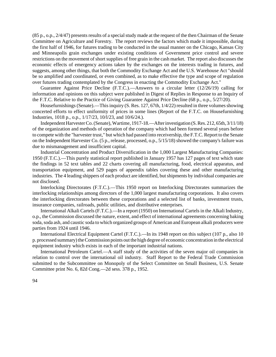(85 p., o.p., 2/4/47) presents results of a special study made at the request of the then Chairman of the Senate Committee on Agriculture and Forestry. The report reviews the factors which made it impossible, during the first half of 1946, for futures trading to be conducted in the usual manner on the Chicago, Kansas City and Minneapolis grain exchanges under existing conditions of Government price control and severe restrictions on the movement of short supplies of free grain in the cash market. The report also discusses the economic effects of emergency actions taken by the exchanges on the interests trading in futures, and suggests, among other things, that both the Commodity Exchange Act and the U.S. Warehouse Act "should be so amplified and coordinated, or even combined, as to make effective the type and scope of regulation over futures trading contemplated by the Congress in enacting the Commodity Exchange Act."

Guarantee Against Price Decline (F.T.C.).—Answers to a circular letter (12/26/19) calling for information and opinions on this subject were published in Digest of Replies in Response to an Inquiry of the F.T.C. Relative to the Practice of Giving Guarantee Against Price Decline (68 p., o.p., 5/27/20).

Housefurnishings (Senate).—This inquiry (S. Res. 127, 67th, 1/4/22) resulted in three volumes showing concerted efforts to effect uniformity of prices in some lines (Report of the F.T.C. on Housefurnishing Industries, 1018 p., o.p., 1/17/23, 10/l/23, and 10/6/24.).

IndependentHarvesterCo.(Senate),Wartime, 1917-18.—After investigation (S. Res. 212, 65th, 3/11/18) of the organization and methods of operation of the company which had been formed several years before to compete with the "harvester trust," but which had passed into receivership, the F.T.C. Report to the Senate on the Independent Harvester Co. (5 p., release, processed, o.p., 5/15/18) showed the company's failure was due to mismanagement and insufficient capital.

Industrial Concentration and Product Diversification in the 1,000 Largest Manufacturing Companies: 1950 (F.T.C.).—This purely statistical report published in January 1957 has 127 pages of text which state the findings in 52 text tables and 22 charts covering all manufacturing, food, electrical apparatus, and transportation equipment, and 529 pages of appendix tables covering these and other manufacturing industries. The 4 leading shippers of each product are identified, but shipments by individual companies are not disclosed.

Interlocking Directorates (F.T.C.).—This 1950 report on Interlocking Directorates summarizes the interlocking relationships among directors of the 1,000 largest manufacturing corporations. It also covers the interlocking directorates between these corporations and a selected list of banks, investment trusts, insurance companies, railroads, public utilities, and distributive enterprises.

International Alkali Cartels (F.T.C.).—In a report (1950) on International Cartels in the Alkali Industry, o.p., the Commission discussed the nature, extent, and effect of international agreements concerning baking soda, soda ash, and caustic soda to which organized groups of American and European alkali producers were parties from 1924 until 1946.

International Electrical Equipment Cartel (F.T.C.).—In its 1948 report on this subject (107 p., also 10 p. processed summary) the Commission points out the high degree of economic concentration in the electrical equipment industry which exists in each of the important industrial nations.

International Petroleum Cartel.—A staff study of the activities of the seven major oil companies in relation to control over the international oil industry. Staff Report to the Federal Trade Commission submitted to the Subcommittee on Monopoly of the Select Committee on Small Business, U.S. Senate Committee print No. 6, 82d Cong.—2d sess. 378 p., 1952.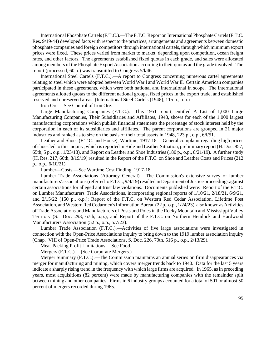International Phosphate Cartels (F.T.C.).—The F.T.C. Report on International Phosphate Cartels (F.T.C. Res. 9/19/44) developed facts with respect to the practices, arrangements and agreements between domestic phosphate companies and foreign competitors through international cartels, through which minimum export prices were fixed. These prices varied from market to market, depending upon competition, ocean freight rates, and other factors. The agreements established fixed quotas in each grade, and sales were allocated among members of the Phosphate Export Association according to their quotas and the grade involved. The report (processed, 60 p.) was transmitted to Congress 5/l/46.

International Steel Cartels (F.T.C.).—A report to Congress concerning numerous cartel agreements relating to steel which were adopted between World War I and World War II. Certain American companies participated in these agreements, which were both national and international in scope. The international agreements allotted quotas to the different national groups, fixed prices in the export trade, and established reserved and unreserved areas. (International Steel Cartels (1948), 115 p., o.p.)

Iron Ore.—See Control of Iron Ore.

Large Manufacturing Companies (F.T.C.).—This 1951 report, entitled A List of 1,000 Large Manufacturing Companies, Their Subsidiaries and Affiliates, 1948, shows for each of the 1,000 largest manufacturing corporations which publish financial statements the percentage of stock interest held by the corporation in each of its subsidiaries and affiliates. The parent corporations are grouped in 21 major industries and ranked as to size on the basis of their total assets in 1948, 223 p., o.p., 6/l/51.

Leather and Shoes (F.T.C. and House), Wartime, 1917-18.—General complaint regarding high prices of shoes led to this inquiry, which is reported in Hide and Leather Situation, preliminary report (H. Doc. 857, 65th, 5 p., o.p., 1/23/18), and Report on Leather and Shoe Industries (180 p., o.p., 8/21/19). A further study (H. Res. 217, 66th, 8/19/19) resulted in the Report of the F.T.C. on Shoe and Leather Costs and Prices (212 p., o.p., 6/10/21).

Lumber—Costs.—See Wartime Cost Finding, 1917-18.

Lumber Trade Associations (Attorney General).—The Commission's extensive survey of lumber manufacturers' associations (referred to F.T.C., 9/4/19) resulted in Department of Justice proceedings against certain associations for alleged antitrust law violations. Documents published were: Report of the F.T.C. on Lumber Manufacturers' Trade Associations, incorporating regional reports of 1/10/21, 2/18/21, 6/9/21, and 2/15/22 (150 p., o.p.); Report of the F.T.C. on Western Red Cedar Association, Lifetime Post Association, and Western Red Cedarmen's Information Bureau (22 p., o.p., 1/24/23), also known as Activities of Trade Associations and Manufacturers of Posts and Poles in the Rocky Mountain and Mississippi Valley Territory (S. Doc. 293, 67th, o.p.); and Report of the F.T.C. on Northern Hemlock and Hardwood Manufacturers Association (52 p., o.p., 5/7/23).

Lumber Trade Association (F.T.C.).—Activities of five large associations were investigated in connection with the Open-Price Associations inquiry to bring down to the 1919 lumber association inquiry (Chap. VIII of Open-Price Trade Associations, S. Doc. 226, 70th, 516 p., o.p., 2/13/29).

Meat-Packing Profit Limitations.—See Food.

Mergers (F.T.C.).—(See Corporate Mergers.)

Merger Summary (F.T.C.).—The Commission maintains an annual series on firm disappearances via merger for manufacturing and mining, which covers merger trends back to 1940. Data for the last 5 years indicate a sharply rising trend in the frequency with which large firms are acquired. In 1965, as in preceding years, most acquisitions (82 percent) were made by manufacturing companies with the remainder split bctween mining and other companies. Firms in 6 industry groups accounted for a total of 501 or almost 50 percent of mergers recorded during 1965.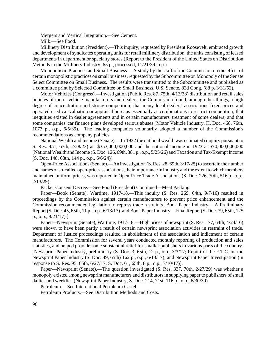Mergers and Vertical Integration.—See Cement. Milk.—See Food.

Millinery Distribution (President).—This inquiry, requested by President Roosevelt, embraced growth and development of syndicates operating units for retail millinery distribution, the units consisting of leased departments in department or specialty stores (Report to the President of the United States on Distribution Methods in the Millinery Industry, 65 p., processed, 11/21/39, o.p.).

Monopolistic Practices and Small Business.—A study by the staff of the Commission on the effect of certain monopolistic practices on small business, requested by the Subcommittee on Monopoly of the Senate Select Committee on Small Business. The results were transmitted to the Subcommittee and published as a committee print by Selected Committee on Small Business, U.S. Senate, 82d Cong. (88 p. 3/31/52).

Motor Vehicles (Congress).—Investigation (Public Res. 87, 75th, 4/13/38) distribution and retail sales policies of motor vehicle manufacturers and dealers, the Commission found, among other things, a high degree of concentration and strong competition; that many local dealers' associations fixed prices and operated used-car valuation or appraisal bureaus essentially as combinations to restrict competition; that inequities existed in dealer agreements and in certain manufacturers' treatment of some dealers; and that some companies' car finance plans developed serious abuses (Motor Vehicle Industry, H. Doc. 468, 76th, 1077 p., o.p., 6/5/39). The leading companies voluntarily adopted a number of the Commission's recommendations as company policies.

National Wealth and Income (Senate).—In 1922 the national wealth was estimated (inquiry pursuant to S. Res. 451, 67th, 2/28/23) at \$353,000,000,000 and the national income in 1923 at \$70,000,000,000 [NationalWealth and Income (S. Doc. 126, 69th, 381 p., o.p., 5/25/26) andTaxation andTax-ExemptIncome (S. Doc. 148, 68th, 144 p., o.p., 6/6/24)].

Open-Price Associations (Senate).—An investigation  $(S. Res. 28, 69th, 3/17/25)$  to ascertain the number and names of so-called open-price associations, their importance in industry and the extent to which members maintained uniform prices, was reported in Open-Price Trade Associations (S. Doc. 226, 70th, 516 p., o.p., 2/13/29).

Packer Consent Decree.—See Food (President) Continued—Meat Packing.

Paper—Book (Senate), Wartime, 1917-18.—This inquiry (S. Res. 269, 64th, 9/7/16) resulted in proceedings by the Commission against certain manufacturers to prevent price enhancement and the Commission recommended legislation to repress trade restraints [Book Paper Industry—,A Preliminary Report (S. Doc. 45, 65th, 11 p., o.p., 6/13/17), and Book Paper Industry—Final Report (S. Doc. 79, 65th, 125 p., o.p., 8/21/17) ].

Paper—Newsprint (Senate), Wartime, 1917-18.—High prices of newsprint (S. Res. 177, 64th, 4/24/16) were shown to have been partly a result of certain newsprint association activities in restraint of trade. Department of Justice proceedings resulted in abolishment of the association and indictment of certain manufacturers. The Commission for several years conducted monthly reporting of production and sales statistics, and helped provide some substantial relief for smaller publishers in various parts of the country. [Newsprint Paper Industry, preliminary (S. Doc. 3, 65th, 12 p., o.p., 3/3/17; Report of the F.T.C. on the Newsprint Paper Industry (S. Doc. 49, 65th) 162 p., o.p., 6/13/17); and Newsprint Paper Investigation (in response to S. Res. 95, 65th, 6/27/17; S. Doc. 61, 65th, 8 p., o.p., 7/10/17)].

Paper—Newsprint (Senate).—The question investigated (S. Res. 337, 70th, 2/27/29) was whether a monopoly existed among newsprint manufacturers and distributors in supplying paper to publishers of small dailies and weeklies (Newsprint Paper Industry, S. Doc. 214, 71st, 116 p., o.p., 6/30/30).

Petroleum.—See International Petroleum Cartel.

Petroleum Products.—See Distribution Methods and Costs.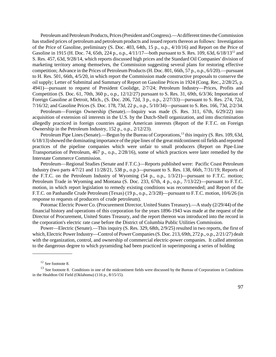Petroleum and Petroleum Products, Prices (President and Congress).—At different times the Commission has studied prices of petroleum and petroleum products and issued reports thereon as follows: Investigation of the Price of Gasoline, preliminary (S. Doc. 403, 64th, 15 p., o.p., 4/10/16) and Report on the Price of Gasoline in 1915 (H. Doc. 74, 65th, 224 p., o.p., 4/11/17—both pursuant to S. Res. 109, 63d, 6/18/13<sup>12</sup> and S. Res. 457, 63d, 9/28/14, which reports discussed high prices and the Standard Oil Companies' division of marketing territory among themselves, the Commission suggesting several plans for restoring effective competition; Advance in the Prices of Petroleum Products(H. Doc. 801, 66th, 57 p., o.p., 6/l/20).—pursuant to H. Res. 501, 66th, 4/5/20, in which report the Commission made constructive proposals to conserve the oil supply; Letter of Submittal and Summary of Report on Gasoline Prices in 1924 (Cong. Rec., 2/28/25, p. 4941)—pursuant to request of President Coolidge, 2/7/24; Petroleum Industry—Prices, Profits and Competition (S. Doc. 61, 70th, 360 p., o.p., 12/12/27) pursuant to S. Res. 31, 69th, 6/3/36; Importation of Foreign Gasoline at Detroit, Mich., (S. Doc. 206, 72d, 3 p., o.p., 2/27/33)—pursuant to S. Res. 274, 72d, 7/16/32; and Gasoline Prices (S. Doc. 178, 73d, 22 p., o.p., 5/10/34)—pursuant to S. Res. 166, 73d, 2/2/34.

Petroleum—Foreign Ownership (Senate).—Inquiry was made (S. Res. 311, 67th, 6/29/22) into acquisition of extension oil interests in the U.S. by the Dutch-Shell organization, and into discrimination allegedly practiced in foreign countries against American interests (Report of the F.T.C. on Foreign Ownership in the Petroleum Industry, 152 p., o.p., 2/12/23).

Petroleum Pipe Lines (Senate).—Begun by the Bureau of Corporations,<sup>13</sup> this inquiry (S. Res. 109, 63d, 6/18/13) showed the dominating importance of the pipe lines of the great midcontinent oil fields and reported practices of the pipeline companies which were unfair to small producers (Report on Pipe-Line Transportation of Petroleum, 467 p., o.p., 2/28/16), some of which practices were later remedied by the Interstate Commerce Commission.

Petroleum—Regional Studies (Senate and F.T.C.)—Reports published were: Pacific Coast Petroleum Industry (two parts 4/7/21 and 11/28/21, 538 p., o.p.)—pursuant to S. Res. 138, 66th, 7/31/19; Reports of the F.T.C. on the Petroleum Industry of Wyoming (54 p., o.p., 1/3/21)—pursuant to F.T.C. motion; Petroleum Trade in Wyoming and Montana (S. Doc. 233, 67th, 4 p., o.p., 7/13/22)—pursuant to F.T.C. motion, in which report legislation to remedy existing conditions was recommended; and Report of the F.T.C. on Panhandle Crude Petroleum (Texas) (19 p., o.p., 2/3/28)—pursuant to F.T.C. motion, 10/6/26 (in response to requests of producers of crude petroleum).

Potomac Electric Power Co. (Procurement Director, United States Treasury).—A study (2/29/44) of the financial history and operations of this corporation for the years 1896-1943 was made at the request of the Director of Procurement, United States Treasury, and the report thereon was introduced into the record in the corporation's electric rate case before the District of Columbia Public Utilities Commission.

Power—Electric (Senate).—This inquiry (S. Res. 329, 68th, 2/9/25) resulted in two reports, the first of which, Electric Power Industry—Control of Power Companies (S. Doc. 213, 69th, 272 p., o.p., 2/21/27) dealt with the organization, control, and ownership of commercial electric-power companies. It called attention to the dangerous degree to which pyramiding had been practiced in superimposing a series of holding

\_\_\_\_\_\_\_\_\_\_\_\_\_\_\_\_

<sup>&</sup>lt;sup>12</sup> See footnote 8.

<sup>&</sup>lt;sup>13</sup> See footnote 8. Conditions in one of the midcontinent fields were discussed by the Bureau of Corporations in Conditions in the Healdton Oil Field (OkIahoma) (116 p., 8/15/15).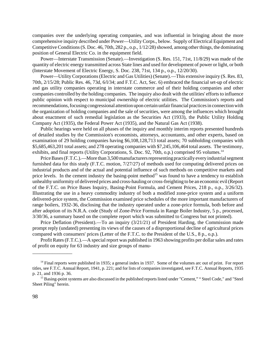companies over the underlying operating companies, and was influential in bringing about the more comprehensive inquiry described under Power—Utility Corps., below. Supply of Electrical Equipment and Competitive Conditions (S. Doc. 46, 70th, 282 p., o.p., 1/12/28) showed, among other things, the dominating position of General Electric Co. in the equipment field.

Power—Interstate Transmission (Senate).—Investigation (S. Res. 151, 71st, 11/8/29) was made of the quantity of electric energy transmitted across State lines and used for development of power or light, or both (Interstate Movement of Electric Energy, S. Doc. 238, 71st, 134 p., o.p., 12/20/30).

Power—Utility Corporations(Electric and Gas Utilities) (Senate).—This extensive inquiry (S. Res. 83, 70th, 2/15/28; Public Res. 46, 73d, 6/l/34; and F.T.C. Act, Sec. 6) embraced the financial set-up of electric and gas utility companies operating in interstate commerce and of their holding companies and other companies controlled by the holding companies. The inquiry also dealt with the utilities' efforts to influence public opinion with respect to municipal ownership of electric utilities. The Commission's reports and recommendations, focusing congressional attention upon certain unfair financial practices in connection with the organization of holding companies and the sale of securities, were among the influences which brought about enactment of such remedial legislation as the Securities Act (1933), the Public Utility Holding Company Act (1935), the Federal Power Act (1935), and the Natural Gas Act (1938).

Public hearings were held on all phases of the inquiry and monthly interim reports presented hundreds of detailed studies by the Commission's economists, attorneys, accountants, and other experts, based on examination of 29 holding companies having \$6,108,128,713 total assets; 70 subholding companies with \$5,685,463,201 total assets; and 278 operating companies with \$7,245,106,464 total assets. The testimony, exhibits, and final reports (Utility Corporations, S. Doc. 92, 70th, o.p.) comprised 95 volumes.<sup>14</sup>

Price Bases (F.T.C.).—More than 3,500 manufacturers representing practically every industrial segment furnished data for this study (F.T.C. motion, 7/27/27) of methods used for computing delivered prices on industrial products and of the actual and potential influence of such methods on competitive markets and price levels. In the cement industry the basing-point method<sup>15</sup> was found to have a tendency to establish unhealthy uniformity of delivered prices and cross-hauling or cross-freighting to be an economic evil(Report of the F.T.C. on Price Bases Inquiry, Basing-Point Formula, and Cement Prices, 218 p., o.p., 3/26/32). Illustrating the use in a heavy commodity industry of both a modified zone-price system and a uniform delivered-price system, the Commission examined price schedules of the more important manufacturers of range boilers, 1932-36, disclosing that the industry operated under a zone-price formula, both before and after adoption of its N.R.A. code (Study of Zone-Price Formula in Range Boiler Industry, 5 p., processed, 3/30/36, a summary based on the complete report which was submitted to Congress but not printed).

Price Deflation (President).—To an inquiry (3/21/21) of President Harding, the Commission made prompt reply (undated) presenting its views of the causes of a disproportional decline of agricultural prices compared with consumers' prices (Letter of the F.T.C. to the President of the U.S., 8 p., o.p.).

Profit Rates (F.T.C.).—A special report was published in 1963 showing profits per dollar sales and rates of profit on equity for 63 industry and size groups of manu-

\_\_\_\_\_\_\_\_\_\_\_\_\_\_\_\_

 $14$  Final reports were published in 1935; a general index in 1937. Some of the volumes arc out of print. For report titles, see F.T.C. Annual Report, 1941, p. 221; and for lists of companies investigated, see F.T.C. Annual Reports, 1935 p. 21, and 1936 p. 36.

<sup>&</sup>lt;sup>15</sup> Basing-point systems are also discussed in the published reports listed under "Cement," " Steel Code," and "Steel Sheet Piling" herein.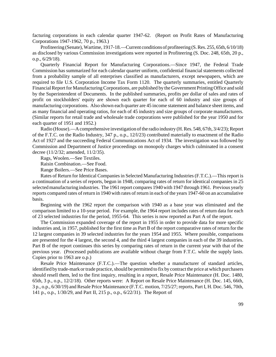facturing corporations in each calendar quarter 1947-62. (Report on Profit Rates of Manufacturing Corporations 1947-1962, 70 p., 1963.)

Profiteering (Senate), Wartime, 1917-18.—Current conditions of profiteering (S. Res. 255, 65th, 6/10/18) as disclosed by various Commission investigations were reported in Profiteering (S. Doc. 248, 65th, 20 p., o.p., 6/29/18).

Quarterly Financial Report for Manufacturing Corporations.—Since 1947, the Federal Trade Commission has summarized for each calendar quarter uniform, confidential financial statements collected from a probability sample of all enterprises classified as manufacturers, except newspapers, which are required to file U.S. Corporation Income Tax Form 1120. The quarterly summaries, entitled Quarterly Financial Report for Manufacturing Corporations, are published by the Government Printing Office and sold by the Superintendent of Documents. In the published summaries, profits per dollar of sales and rates of profit on stockholders' equity are shown each quarter for each of 60 industry and size groups of manufacturing corporations. Also shown each quarter are 45 income statement and balance sheet items, and as many financial and operating ratios, for each of 45 industry and size groups of corporate manufacturers. (Similar reports for retail trade and wholesale trade corporations were published for the year 1950 and for each quarter of 1951 and 1952.)

Radio (House).—A comprehensive investigation of the radio industry (H. Res. 548, 67th, 3/4/23); Report of the F.T.C. on the Radio Industry, 347 p., o.p., 12/l/23) contributed materially to enactment of the Radio Act of 1927 and the succeeding Federal Communications Act of 1934. The investigation was followed by Commission and Department of Justice proceedings on monopoly charges which culminated in a consent decree (11/2/32; amended, 11/2/35).

Rags, Woolen.—See Textiles.

Raisin Combination.—See Food.

Range Boilers.—See Price Bases.

Rates of Return for Identical Companies in Selected Manufacturing Industries (F.T.C.).—This report is a continuation of a series of reports, begun in 1948, comparing rates of return for identical companies in 25 selectedmanufacturing industries. The 1961 report compares 1940 with 1947 through 1961. Previous yearly reports compared rates of return in 1940 with rates of return in each of the years 1947-60 on an accumulative basis.

Beginning with the 1962 report the comparison with 1940 as a base year was eliminated and the comparison limited to a 10-year period. For example, the 1964 report includes rates of return data for each of 23 selected industries for the period, 1955-64. This series is now reported as Part A of the report.

The Commission expanded coverage of the report in 1955 in order to provide data for more specific industries and, in 1957, published for the first time as Part B of the report comparative rates of return for the 12 largest companies in 39 selected industries for the years 1954 and 1955. Where possible, comparisons are presented for the 4 largest, the second 4, and the third 4 largest companies in each of the 39 industries. Part B of the report continues this series by comparing rates of return in the current year with that of the previous year. (Processed publications are available without charge from F.T.C. while the supply lasts. Copies prior to 1963 are o.p.)

Resale Price Maintenance (F.T.C.).—The question whether a manufacturer of standard articles, identified by trade-mark or trade practice, should be permitted to fix by contract the price at which purchasers should resell them, led to the first inquiry, resulting in a report, Resale Price Maintenance (H. Doc. 1480, 65th, 3 p., o.p., 12/2/18). Other reports were: A Report on Resale Price Maintenance (H. Doc. 145, 66th, 3 p., o.p., 6/30/19) and Resale Price Maintenance (F.T.C. motion, 7/25/27; reports, Part I, H. Doc. 546, 70th, 141 p., o.p., 1/30/29, and Part II, 215 p., o.p., 6/22/31). The Report of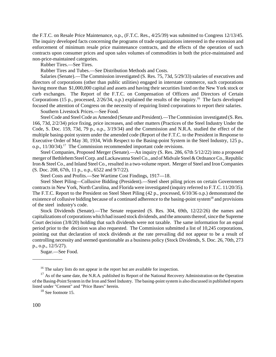the F.T.C. on Resale Price Maintenance, o.p., (F.T.C. Res., 4/25/39) was submitted to Congress 12/13/45. The inquiry developed facts concerning the programs of trade organizations interested in the extension and enforcement of minimum resale price maintenance contracts, and the effects of the operation of such contracts upon consumer prices and upon sales volumes of commodities in both the price-maintained and non-price-maintained categories.

Rubber Tires.—See Tires.

Rubber Tires and Tubes.—See Distribution Methods and Costs.

Salaries (Senate).—The Commission investigated (S. Res. 75, 73d, 5/29/33) salaries of executives and directors of corporations (other than public utilities) engaged in interstate commerce, such corporations having more than \$1,000,000 capital and assets and having their securities listed on the New York stock or curb exchanges. The Report of the F.T.C. on Compensation of Officers and Directors of Certain Corporations (15 p., processed,  $2/26/34$ , o.p.) explained the results of the inquiry.<sup>16</sup> The facts developed focused the attention of Congress on the necessity of requiring listed corporations to report their salaries.

Southern Livestock Prices.—See Food.

SteelCode and SteelCode as Amended (Senate and President).—TheCommission investigated (S. Res. 166, 73d, 2/2/34) price fixing, price increases, and other matters (Practices of the Steel Industry Under the Code, S. Doc. 159, 73d, 79 p., o.p., 3/19/34) and the Commission and N.R.A. studied the effect of the multiple basing-point system under the amended code (Report of the F.T.C. to the President in Response to Executive Order of May 30, 1934, With Respect to the Basing-point System in the Steel Industry, 125 p., o.p., 11/30/34).<sup>17</sup> The Commission recommended important code revisions.

Steel Companies, Proposed Merger (Senate).—An inquiry (S. Res. 286, 67th 5/12/22) into a proposed merger of Bethlehem Steel Corp. and Lackawanna Steel Co., and of Midvale Steel & Ordnance Co., Republic Iron & Steel Co., and Inland Steel Co., resulted in a two-volume report. Merger of Steel and Iron Companies (S. Doc. 208, 67th, 11 p., o.p., 6522 and 9/7/22).

Steel Costs and Profits.—See Wartime Cost Findings, 1917—18.

Steel Sheet Piling—Collusive Bidding (President).—Steel sheet piling prices on certain Government contracts in New York, North Carolina, and Florida were investigated (inquiry referred to F.T.C. 11/20/35). The F.T.C. Report to the President on Steel Sheet Piling (42 p., processed, 6/10/36 o.p.) demonstrated the existence of collusive bidding because of a continued adherence to the basing-point system<sup>18</sup> and provisions of the steel industry's code.

Stock Dividends (Senate).—The Senate requested (S. Res. 304, 69th, 12/22/26) the names and capitalizations of corporations which had issued stock dividends, and the amounts thereof, since the Supreme Court decision (3/8/20) holding that such dividends were not taxable. The same information for an equal period prior to the decision was also requested. The Commission submitted a list of 10,245 corporations, pointing out that declaration of stock dividends at the rate prevailing did not appear to be a result of controlling necessity and seemed questionable as a business policy (Stock Dividends, S. Doc. 26, 70th, 273 p., o.p., 12/5/27).

Sugar.—See Food.

\_\_\_\_\_\_\_\_\_\_\_\_

<sup>&</sup>lt;sup>16</sup> The salary lists do not appear in the report but are available for inspection.

<sup>&</sup>lt;sup>17</sup> As of the same date, the N.R.A. published its Report of the National Recovery Administration on the Operation ofthe Basing-Point Systemin the Iron and Steel Industry. The basing-point system is also discussed in published reports listed under "Cement" and "Price Bases" herein.

<sup>&</sup>lt;sup>18</sup> See footnote 15.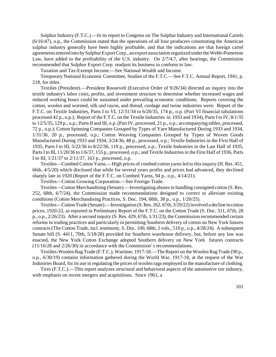Sulphur Industry (F.T.C.).—In its report to Congress on The Sulphur Industry and International Cartels (6/16/47), o.p., the Commission stated that the operations of all four producers constituting the American sulphur industry generally have been highly profitable, and that the indications are that foreign cartel agreements entered into by Sulphur Export Corp., an export association organized under the Webb-Pomerene Law, have added to the profitability of the U.S. industry. On 2/7/4,7, after hearings, the Commission recommended that Sulphur Export Corp. readjust its business to conform to law.

Taxation and Tax-Exempt Income.—See National Wealth and Income.

Temporary National Economic Committee, Studies of the F.T.C.—See F.T.C. Annual Report, 1941, p. 218, for titles.

Textiles (President).—President Roosevelt (Executive Order of 9/26/34) directed an inquiry into the textile industry's labor costs, profits, and investment structure to determine whether increased wages and reduced working hours could be sustained under prevailing economic conditions. Reports covering the cotton, woolen and worsted, silk and rayon, and thread, cordage and twine industries were: Report of the F.T.C. on Textile Industries, Parts I to VI, 12/31/34 to 6/20/35, 174 p., o.p. (Part VI financial tabulations processed 42 p., o.p.); Report of the F.T.C. on the Textile Industries in 1933 and 1934), Parts I to IV, 8/1/35 to 12/5/35, 129 p., o.p.; Parts II and III, o.p. (Part IV, processed, 21 p., o.p.; accompanying tables, processed, 72 p., o.p.); Cotton Spinning Companies Grouped by Types of Yarn Manufactured During 1933 and 1934, 1/31/36, 20 p., processed, o.p.; Cotton Weaving Companies Grouped by Types of Woven Goods Manufactured During 1933 and 1934, 3/24/36, 48 p., processed, o.p.; Textile Industries in the First Half of 1935, Parts I to III, 5/22/36 to 8/22/36, 119 p., processed, o.p.; Textile Industries in the Last Half of 1935, Parts I to III, 11/20/36 to 1/6/37, 155 p., processed, o.p.; and Textile Industries in the First Half of 1936, Parts I to III, 1/21/37 to 2/11/37, 163 p., processed, o.p.

Textiles—Combed Cotton Yarns.—High prices of combed cotton yarnsled to thisinquiry (H. Res. 451, 66th, 4/5/20) which disclosed that while for several years profits and prices had advanced, they declined sharply late in 1920 (Report of the F.T.C. on Combed Yarns, 94 p., o.p., 4/14/21).

Textiles—Cotton Growing Corporation.—See Foreign Trade.

Textiles—Cotton Merchandising (Senate).—Investigating abusesin handling consigned cotton (S. Res. 252, 68th, 6/7/24), the Commission made recommendations designed to correct or alleviate existing conditions (Cotton Merchandising Practices, S. Doc. 194, 68th, 38 p., o.p., 1/20/25).

Textiles—Cotton Trade (Senate).—Investigation (S. Res. 262, 67th, 3/29/22) involved a decline in cotton prices, 1920-22, as reported in Preliminary Report of the F.T.C. on the Cotton Trade (S. Doc. 311, 67th, 28 p., o.p., 2/26/23). After a second inquiry (S. Res. 429, 67th, 1/31/23), the Commission recommended certain reforms in trading practices and particularly in permitting Southern delivery of cotton on New York futures contracts(The Cotton Trade, incl. testimony, S. Doc. 100, 68th, 2 vols., 510 p., o.p., 4/28/24). A subsequent Senate bill (S. 4411, 70th, 5/18/28) provided for Southern warehouse delivery, but, before any law was enacted, the New York Cotton Exchange adopted Southern delivery on New York futures contracts (11/16/28 and 2/26/30) in accordance with the Commission' s recommendations.

Textiles-Woolen Rag Trade (F.T.C.), Wartime, 1917-18.—The Report on the Woolen Rag Trade (90 p., o.p., 6/30/19) contains information gathered during the World War, 1917-18, at the request of the War Industries Board, for its use in regulating the prices of woolen rags employed in the manufacture of clothing.

Tires (F.T.C.).—This report analyzes structural and behavioral aspects of the automotive tire industry, with emphasis on recent mergers and acquisitions. Since 1961, a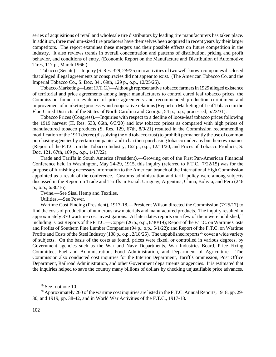series of acquisitions of retail and wholesale tire distributors by leading tire manufacturers has taken place. In addition, three medium-sized tire producers have themselves been acquired in recent years by their larger competitors. The report examines these mergers and their possible effects on future competition in the industry. It also reviews trends in overall concentration and patterns of distribution, pricing and profit behavior, and conditions of entry. (Economic Report on the Manufacture and Distribution of Automotive Tires, 117 p., March 1966.)

Tobacco (Senate).—Inquiry (S. Res. 329, 2/9/25) into activities of two well-known companies disclosed that alleged illegal agreements or conspiracies did not appear to exist. (The American Tobacco Co. and the Imperial Tobacco Co., S. Doc. 34., 69th, 129 p., o.p., 12/25/25).

Tobacco Marketing—Leaf (F.T.C.)—Although representative tobacco farmers in 1929 alleged existence of territorial and price agreements among larger manufacturers to control cured leaf tobacco prices, the Commission found no evidence of price agreements and recommended production curtailment and improvement of marketing processes and cooperative relations(Report on Marketing of Leaf Tobacco in the Flue-Cured Districts of the States of North Carolina and Georgia, 54 p., o.p., processed, 5/23/31).

Tobacco Prices (Congress).—Inquiries with respect to a decline of loose-leaf tobacco prices following the 1919 harvest (H. Res. 533, 66th, 6/3/20) and low tobacco prices as compared with high prices of manufactured tobacco products (S. Res. 129, 67th, 8/9/21) resulted in the Commission recommending modification of the 1911 decree (dissolving the old tobacco trust) to prohibit permanently the use of common purchasing agencies by certain companies and to bartheir purchasing tobacco under any but their own names (Report of the F.T.C. on the Tobacco Industry, 162 p., o.p., 12/11/20, and Prices of Tobacco Products, S. Doc. 121, 67th, 109 p., o.p., 1/17/22).

Trade and Tariffs in South America (President).—Growing out of the First Pan-American Financial Conference held in Washington, May 24-29, 1915, this inquiry (referred to F.T.C., 7/22/15) was for the purpose of furnishing necessary information to the American branch of the International High Commission appointed as a result of the conference. Customs administration and tariff policy were among subjects discussed in the Report on Trade and Tariffs in Brazil, Uruguay, Argentina, China, Bolivia, and Peru (246 p., o.p., 6/30/16).

Twine.—See Sisal Hemp and Textiles.

Utilities.—See Power.

Wartime Cost Finding (President), 1917-18.—President Wilson directed the Commission (7/25/17) to find the costs of production of numerous raw materials and manufactured products. The inquiry resulted in approximately 370 wartime cost investigations. At later dates reports on a few of them were published,<sup>19</sup> including: Cost Reports of the F.T.C.—Copper (26 p., o.p., 6/30/19); Report of the F.T.C. on Wartime Costs and Profits of Southern Pine Lumber Companies (94 p., o.p., 5/1/22); and Report of the F.T.C. on Wartime Profits and Costs of the Steel Industry (138 p., o.p., 2/18/25). The unpublished reports  $^{20}$  cover a wide variety of subjects. On the basis of the costs as found, prices were fixed, or controlled in various degrees, by Government agencies such as the War and Navy Departments, War Industries Board, Price Fixing Committee, Fuel and Administration, Food Administration, and Department of Agriculture. The Commission also conducted cost inquiries for the Interior Department, Tariff Commission, Post Office Department, Railroad Administration, and other Government departments or agencies. It is estimated that the inquiries helped to save the country many billions of dollars by checking unjustifiable price advances.

\_\_\_\_\_\_\_\_\_\_\_\_\_\_\_

 $19$  See footnote 10.

<sup>&</sup>lt;sup>20</sup> Approximately 260 of the wartime cost inquiries are listed in the F.T.C. Annual Reports, 1918, pp. 29-30, and 1919, pp. 38-42, and in World War Activities of the F.T.C., 1917-18.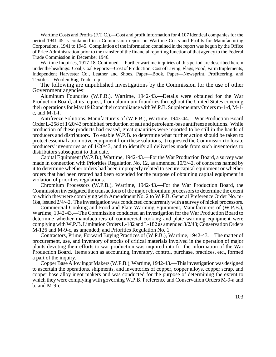Wartime Costs and Profits (F.T.C.).—Cost and profit information for 4,107 identical companies for the period 1941-45 is contained in a Commission report on Wartime Costs and Profits for Manufacturing Corporations, 1941 to 1945. Compilation of the information contained in the report was begun by the Office of Price Administration prior to the transfer of the financial reporting function of that agency to the Federal Trade Commission in December 1946.

Wartime Inquiries, 1917-18, Continued.—Further wartime inquiries of this period are described herein under the headings: Coal, Coal Reports—Cost of Production, Cost of Living, Flags, Food, Farm Implements, Independent Harvester Co., Leather and Shoes, Paper—Book, Paper—Newsprint, Profiteering, and Textiles—Woolen Rag Trade, o.p.

The following are unpublished investigations by the Commission for the use of other Government agencies:

Aluminum Foundries (W.P.B.), Wartime, 1942-43.—Details were obtained for the War Production Board, at its request, from aluminum foundries throughout the United States covering their operations for May 1942 and their compliance with W.P.B. Supplementary Orders m-1-d, M-1c, and M-1-f.

Antifreeze Solutions, Manufacturers of (W.P.B.), Wartime, 1943-44.—War Production Board OrderL-258 of 1/20/43 prohibited production of salt and petroleum-base antifreeze solutions. While production of these products had ceased, great quantities were reported to be still in the hands of producers and distributors. To enable W.P.B. to determine what further action should be taken to protect essential automotive equipment from these solutions, it requested the Commission to locate producers' inventories as of 1/20/43, and to identify all deliveries made from such inventories to distributors subsequent to that date.

Capital Equipment (W.P.B.), Wartime, 1942-43.—For the War Production Board, a survey was made in connection with Priorities Regulation No. 12, as amended 10/3/42, of concerns named by it to determine whether orders had been improperly related to secure capital equipment or whether orders that had been rerated had been extended for the purpose of obtaining capital equipment in violation of priorities regulations.

Chromium Processors (W.P.B.), Wartime, 1942-43.—For the War Production Board, the Commission investigated the transactions of the major chromium processorsto determine the extent to which they were complying with Amendment No. 2 to W.P.B. General Preference Order No. m-18a, issued 2/4/42. The investigation was conducted concurrently with a survey of nickel processors.

Commercial Cooking and Food and Plate Warming Equipment, Manufacturers of (W.P.B.), Wartime, 1942-43.—The Commission conducted an investigation for the War Production Board to determine whether manufacturers of commercial cooking and plate warming equipment were complying with W.P.B. Limitation Orders L-182 and L-182 as amended 3/2/43; Conservation Orders M-126 and M-9-c, as amended; and Priorities Regulation No. 1.

Contractors, Prime, Forward Buying Practices of (W.P.B.), Wartime, 1942-43.—The matter of procurement, use, and inventory of stocks of critical materials involved in the operation of major plants devoting their efforts to war production was inquired into for the information of the War Production Board. Items such as accounting, inventory, control, purchase, practices, etc., formed a part of the inquiry.

CopperBase Alloy Ingot Makers (W.P.B.), Wartime, 1942-43.—This investigation was designed to ascertain the operations, shipments, and inventories of copper, copper alloys, copper scrap, and copper base alloy ingot makers and was conducted for the purpose of determining the extent to which they were complying with governing W.P.B. Preference and Conservation Orders M-9-a and b, and M-9-c.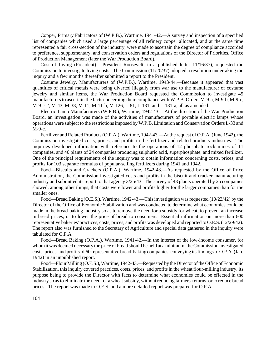Copper, Primary Fabricators of (W.P.B.), Wartime, 1941-42.—A survey and inspection of a specified list of companies which used a large percentage of all refinery copper allocated, and at the same time represented a fair cross-section of the industry, were made to ascertain the degree of compliance accorded to preference, supplementary, and conservation orders and regulations of the Director of Priorities, Office of Production Management (later the War Production Board).

Cost of Living (President).—President Roosevelt, in a published letter 11/16/37), requested the Commission to investigate living costs. The Commission (11/20/37) adopted a resolution undertaking the inquiry and a few months thereafter submitted a report to the President.

Costume Jewelry, Manufacturers of (W.P.B.), Wartime, 1943-44.—Because it appeared that vast quantities of critical metals were being diverted illegally from war use to the manufacturer of costume jewelry and similar items, the War Production Board requested the Commission to investigate 45 manufacturers to ascertain the facts concerning their compliance with W.P.B. Orders M-9-a, M-9-b, M-9-c, M-9-c-2, M-43, M-38, M-11, M-11-b, M-126, L-81, L-131, and L-131-a, all as amended.

Electric Lamp Manufacturers (W.P.B.), Wartime, 1942-43.—At the direction of the War Production Board, an investigation was made of the activities of manufacturers of portable electric lamps whose operations were subject to the restrictionsimposed by W.P.B. Limitation and Conservation Orders L-33 and M-9-c.

Fertilizer and Related Products(O.P.A.), Wartime, 1942-43.—At the request of O.P.A. (June 1942), the Commission investigated costs, prices, and profits in the fertilizer and related products industries. The inquiries developed information with reference to the operations of 12 phosphate rock mines of 11 companies, and 40 plants of 24 companies producing sulphuric acid, superphosphate, and mixed fertilizer. One of the principal requirements of the inquiry was to obtain information concerning costs, prices, and profits for 103 separate formulas of popular-selling fertilizers during 1941 and 1942.

Food—Biscuits and Crackers (O.P.A.), Wartime, 1942-43.—As requested by the Office of Price Administration, the Commission investigated costs and profits in the biscuit and cracker manufacturing industry and submitted its report to that agency 3/25/43. The survey of 43 plants operated by 25 companies showed, among other things, that costs were lower and profits higher for the larger companies than for the smaller ones.

Food—Bread Baking (O.E.S.), Wartime, 1942-43.—This investigation was requested (10/23/42) by the Director of the Office of Economic Stabilization and was conducted to determine what economies could be made in the bread-baking industry so as to remove the need for a subsidy for wheat, to prevent an increase in bread prices, or to lower the price of bread to consumers. Essential information on more than 600 representative bakeries' practices, costs, prices, and profits was developed and reported to O.E.S.(12/29/42). The report also was furnished to the Secretary of Agriculture and special data gathered in the inquiry were tabulated for O.P.A.

Food—Bread Baking (O.P.A.), Wartime, 1941-42.—In the interest of the low-income consumer, for whom it was deemed necessary the price of bread should be held at a minimum, the Commission investigated costs, prices, and profits of 60 representative bread-baking companies, conveying its findings to O.P.A. (Jan. 1942) in an unpublished report.

Food—Flour Milling (O.E.S.), Wartime, 1942-43.—Requested by the Director of the Office of Economic Stabilization, this inquiry covered practices, costs, prices, and profits in the wheat flour-milling industry, its purpose being to provide the Director with facts to determine what economies could be effected in the industry so as to eliminate the need for a wheat subsidy, without reducing farmers' returns, or to reduce bread prices. The report was made to O.E.S. and a more detailed report was prepared for O.P.A.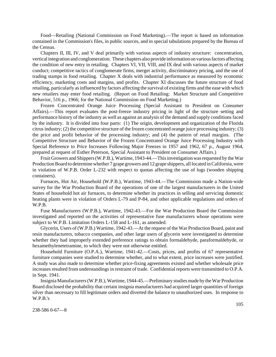Food—Retailing (National Commission on Food Marketing).—The report is based on information contained in the Commission's files, in public sources, and in special tabulations prepared by the Bureau of the Census.

Chapters II, III, IV, and V deal primarily with various aspects of industry structure: concentration, vertical integration and conglomeration. These chapters also provide information on various factors affecting the condition of new entry in retailing. Chapters VI, VII, VIII, and IX deal with various aspects of market conduct; competitive tactics of conglomerate firms, merger activity, discriminatory pricing, and the use of trading stamps in food retailing. Chapter X deals with industrial performance as measured by economic efficiency, marketing costs and margins, and profits. Chapter XI discusses the future structure of food retailing, particularly asinfluenced by factors affecting the survival of existing firms and the ease with which new retailers may enter food retailing. (Report on Food Retailing: Market Structure and Competitive Behavior, 516 p., 1966; for the National Commission on Food Marketing.)

Frozen Concentrated Orange Juice Processing (Special Assistant to President on Consumer Affairs).—This report evaluates the post-freeze industry pricing in light of the structure setting and performance history of the industry as well as against an analysis of the demand and supply conditionsfaced by the industry. It is divided into four parts: (1) The origin, development and organization of the Florida citrus industry; (2) the competitive structure of the frozen concentrated orange juice processing industry; (3) the price and profit behavior of the processing industry; and (4) the pattern of retail margins. (The Competitive Structure and Behavior of the Frozen Concentrated Orange Juice Processing Industry with Special Reference to Price Increases Following Major Freezes in 1957 and 1962, 67 p., August 1964, prepared at request of Esther Peterson, Special Assistant to President on Consumer Affairs.)

Fruit Growers and Shippers (W.P.B.), Wartime, 1943-44.—This investigation was requested by the War Production Board to determine whether 7 grape growers and 12 grape shippers, all located in California, were in violation of W.P.B. Order L-232 with respect to quotas affecting the use of lugs (wooden shipping containers).

Furnaces, Hot Air, Household (W.P.B.), Wartime, 1943-44.—The Commission made a Nation-wide survey for the War Production Board of the operations of one of the largest manufacturers in the United States of household hot air furnaces, to determine whether its practices in selling and servicing domestic heating plants were in violation of Orders L-79 and P-84, and other applicable regulations and orders of W.P.B.

Fuse Manufacturers (W.P.B.), Wartime, 1942-43.—For the War Production Board the Commission investigated and reported on the activities of representative fuse manufacturers whose operations were subject to W.P.B. Limitation Orders L-158 and L-161, as amended.

Glycerin, Users of (W.P.B.) Wartime, 1942-43.—At the request of the War Production Board, paint and resin manufacturers, tobacco companies, and other large users of glycerin were investigated to determine whether they had improperly extended preference ratings to obtain formaldehyde, paraformaldehyde, or hexamethylenetetramine, to which they were not otherwise entitled.

Household Furniture (O.P.A.), Wartime, 1941-42.—Costs, prices, and profits of 67 representative furniture companies were studied to determine whether, and to what extent, price increases were justified. A study was also made to determine whether price-fixing agreements existed and whether wholesale price increases resulted from understandings in restraint of trade. Confidential reports were transmitted to O.P.A. in Sept. 1941.

Insignia Manufacturers (W.P.B.), Wartime, 1944-45.—Preliminary studies made by the War Production Board disclosed the probability that certain insignia manufacturers had acquired larger quantities of foreign silver than necessary to fill legitimate orders and diverted the balance to unauthorized uses. In response to W.P.B.'s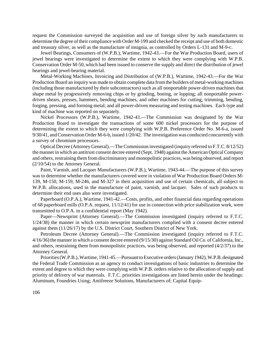request the Commission surveyed the acquisition and use of foreign silver by such manufacturers to determine the degree of their compliance with Order M-199 and checked the receipt and use of both domestic and treasury silver, as well as the manufacture of insignia, as controlled by Orders L-131 and M-9-c.

Jewel Bearings, Consumers of (W.P.B.), Wartime, 1942-43.—For the War Production Board, users of jewel bearings were investigated to determine the extent to which they were complying with W.P.B. Conservation Order M-50, which had been issued to conserve the supply and direct the distribution of jewel bearings and jewel-bearing material.

Metal-Working Machines, Invoicing and Distribution of (W.P.B.), Wartime, 1942-43.—For the War Production Board an inquiry was made to obtain complete data fromthe builders of metal-working machines (including those manufactured by their subcontractors) such as all nonportable power-driven machines that shape metal by progressively removing chips or by grinding, boning, or lopping; all nonportable powerdriven shears, presses, hammers, bending machines, and other machines for cutting, trimming, bending, forging, pressing, and forming metal; and all power-driven measuring and testing machines. Each type and kind of machine was reported on separately.

Nickel Processors (W.P.B.), Wartime, 1942-43.—The Commission was designated by the War Production Board to investigate the transactions of some 600 nickel processors for the purpose of determining the extent to which they were complying with W.P.B. Preference Order No. M-6-a, issued 9/30/41, and Conservation Order M-6-b, issued 1/20/42. The investigation was conducted concurrently with a survey of chromium processors.

Optical Decree (Attorney General).—The Commission investigated (inquiry referred to F.T.C. 8/12/52) the mannerin which an antitrust consent decree entered (Sept. 1948) against the American OpticalCompany and others, restraining them from discriminatory and monopolistic practices, was being observed, and report (2/10/54) to the Attorney General.

Paint, Varnish, and Lacquer Manufacturers (W.P.B.), Wartime, 1943-44.—The purpose of this survey was to determine whether the manufacturers covered were in violation of War Production Board Orders M-139, M-150, M-159, M-246, and M-327 in their acquisition and use of certain chemicals, all subject to W.P.B. allocations, used in the manufacture of paint, varnish, and lacquer. Sales of such products to determine their end uses also were investigated.

Paperboard (O.P.A.), Wartime, 1941-42.—Costs, profits, and other financial data regarding operations of 68 paperboard mills (O.P.A. request, 11/12/41) for use in connection with price stabilization work, were transmitted to O.P.A. in a confidential report (May 1942).

Paper—Newsprint (Attorney General).—The Commission investigated (inquiry referred to F.T.C. 1/24/38) the manner in which certain newsprint manufacturers complied with a consent decree entered against them (11/26/17) by the U.S. District Court, Southern District of New York.

Petroleum Decree (Attorney General).—The Commission investigated (inquiry referred to F.T.C. 4/16/36) the manner in which a consent decree entered (9/15/30) against Standard Oil Co. of California, Inc., and others, restraining them from monopolistic practices, was being observed, and reported (4/2/37) to the Attorney General.

Priorities(W.P.B.),Wartime, 1941-45.—Pursuant to Executive orders (January 1942), W.P.B. designated the Federal Trade Commission as an agency to conduct investigations of basic industries to determine the extent and degree to which they were complying with W.P.B. orders relative to the allocation of supply and priority of delivery of war materials. F.T.C. priorities investigations are listed herein under the headings: Aluminum, Foundries Using; Antifreeze Solutions, Manufacturers of; Capital Equip-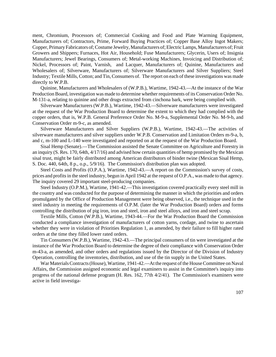ment, Chromium, Processors of; Commercial Cooking and Food and Plate Warming Equipment, Manufacturers of; Contractors, Prime, Forward Buying Practices of; Copper Base Alloy Ingot Makers; Copper, PrimaryFabricators of; Costume Jewelry, Manufacturers of; Electric Lamps, Manufacturers of; Fruit Growers and Shippers; Furnaces, Hot Air, Household; Fuse Manufacturers; Glycerin, Users of; Insignia Manufacturers; Jewel Bearings, Consumers of; Metal-working Machines, Invoicing and Distribution of; Nickel, Processors of; Paint, Varnish, and Lacquer, Manufacturers of; Quinine, Manufacturers and Wholesalers of; Silverware, Manufacturers of; Silverware Manufacturers and Silver Suppliers; Steel Industry; Textile Mills,Cotton; and Tin,Consumers of. The report on each of these investigations was made directly to W.P.B.

Quinine, Manufacturers and Wholesalers of (W.P.B.), Wartime, 1942-43.—At the instance of the War Production Board, investigation was made to determine whether requirements of its Conservation Order No. M-131-a, relating to quinine and other drugs extracted from cinchona bark, were being complied with.

Silverware Manufacturers (W.P.B.), Wartime, 1942-43.—Silverware manufacturers were investigated at the request of the War Production Board to determine the extent to which they had complied with the copper orders, that is, W.P.B. General Preference Order No. M-9-a, Supplemental Order No. M-9-b, and Conservation Order m-9-c, as amended.

Silverware Manufacturers and Silver Suppliers (W.P.B.), Wartime, 1942-43.—The activities of silverware manufacturers and silver suppliers under W.P.B. Conservation and Limitation Orders m-9-a, b, and c, m-100 and L-140 were investigated and reported on at the request of the War Production Board.

Sisal Hemp (Senate).—The Commission assisted the Senate Committee on Agriculture and Forestry in an inquiry (S. Res. 170, 64th, 4/17/16) and advised how certain quantities of hemp promised by the Mexican sisal trust, might be fairly distributed among American distributors of binder twine (Mexican Sisal Hemp, S. Doc. 440, 64th, 8 p., o.p., 5/9/16). The Commission's distribution plan was adopted.

Steel Costs and Profits (O.P.A.), Wartime, 1942-43.—A report on the Commission's survey of costs, prices and profitsin the steel industry, begun in April 1942 at the request of O.P.A., was made to that agency. The inquiry covered 29 important steel-producing companies.

Steel Industry (O.P.M.), Wartime, 1941-42.—This investigation covered practically every steel mill in the country and was conducted for the purpose of determining the manner in which the priorities and orders promulgated by the Office of Production Management were being observed, i.e., the technique used in the steel industry in meeting the requirements of O.P.M. (later the War Production Board) orders and forms controlling the distribution of pig iron, iron and steel, iron and steel alloys, and iron and steel scrap.

Textile Mills, Cotton (W.P.B.), Wartime, 1943-44.—For the War Production Board the Commission conducted a compliance investigation of manufacturers of cotton yarns, cordage, and twine to ascertain whether they were in violation of Priorities Regulation 1, as amended, by their failure to fill higher rated orders at the time they filled lower rated orders.

Tin Consumers (W.P.B.), Wartime, 1942-43.—The principal consumers of tin were investigated at the instance of the War Production Board to determine the degree of their compliance with Conservation Order m-43-a, as amended, and other orders and regulations issued by the Director of the Division of Industry Operation, controlling the inventories, distribution, and use of the tin supply in the United States.

War Materials Contracts (House), Wartime, 1941-42.—At the request of the House Committee on Naval Affairs, the Commission assigned economic and legal examiners to assist in the Committee's inquiry into progress of the national defense program (H. Res. 162, 77th 4/2/41). The Commission's examiners were active in field investiga